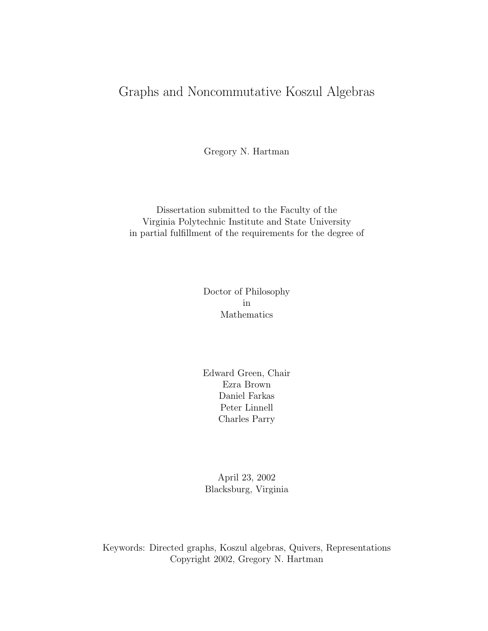# Graphs and Noncommutative Koszul Algebras

Gregory N. Hartman

Dissertation submitted to the Faculty of the Virginia Polytechnic Institute and State University in partial fulfillment of the requirements for the degree of

> Doctor of Philosophy in Mathematics

> Edward Green, Chair Ezra Brown Daniel Farkas Peter Linnell Charles Parry

April 23, 2002 Blacksburg, Virginia

Keywords: Directed graphs, Koszul algebras, Quivers, Representations Copyright 2002, Gregory N. Hartman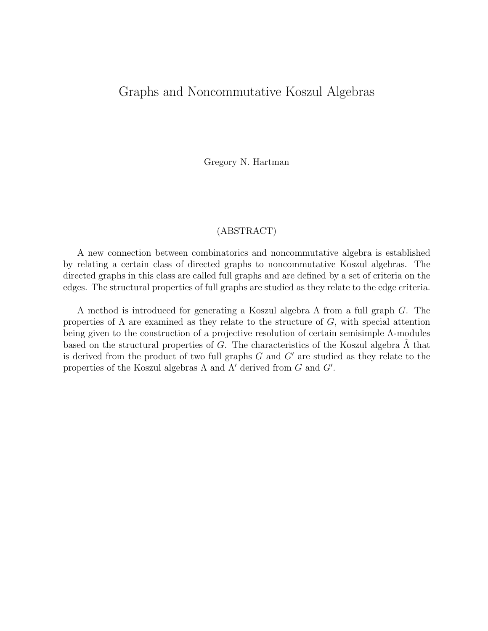## Graphs and Noncommutative Koszul Algebras

Gregory N. Hartman

#### (ABSTRACT)

A new connection between combinatorics and noncommutative algebra is established by relating a certain class of directed graphs to noncommutative Koszul algebras. The directed graphs in this class are called full graphs and are defined by a set of criteria on the edges. The structural properties of full graphs are studied as they relate to the edge criteria.

A method is introduced for generating a Koszul algebra Λ from a full graph G. The properties of  $\Lambda$  are examined as they relate to the structure of G, with special attention being given to the construction of a projective resolution of certain semisimple Λ-modules based on the structural properties of G. The characteristics of the Koszul algebra  $\Lambda$  that is derived from the product of two full graphs  $G$  and  $G'$  are studied as they relate to the properties of the Koszul algebras  $\Lambda$  and  $\Lambda'$  derived from  $G$  and  $G'$ .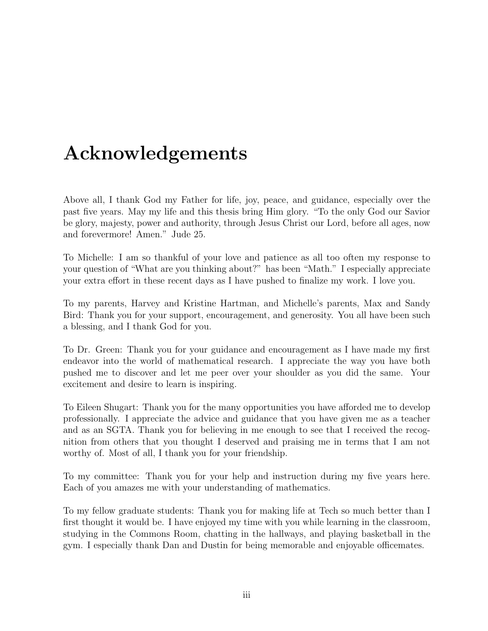# **Acknowledgements**

Above all, I thank God my Father for life, joy, peace, and guidance, especially over the past five years. May my life and this thesis bring Him glory. "To the only God our Savior be glory, majesty, power and authority, through Jesus Christ our Lord, before all ages, now and forevermore! Amen." Jude 25.

To Michelle: I am so thankful of your love and patience as all too often my response to your question of "What are you thinking about?" has been "Math." I especially appreciate your extra effort in these recent days as I have pushed to finalize my work. I love you.

To my parents, Harvey and Kristine Hartman, and Michelle's parents, Max and Sandy Bird: Thank you for your support, encouragement, and generosity. You all have been such a blessing, and I thank God for you.

To Dr. Green: Thank you for your guidance and encouragement as I have made my first endeavor into the world of mathematical research. I appreciate the way you have both pushed me to discover and let me peer over your shoulder as you did the same. Your excitement and desire to learn is inspiring.

To Eileen Shugart: Thank you for the many opportunities you have afforded me to develop professionally. I appreciate the advice and guidance that you have given me as a teacher and as an SGTA. Thank you for believing in me enough to see that I received the recognition from others that you thought I deserved and praising me in terms that I am not worthy of. Most of all, I thank you for your friendship.

To my committee: Thank you for your help and instruction during my five years here. Each of you amazes me with your understanding of mathematics.

To my fellow graduate students: Thank you for making life at Tech so much better than I first thought it would be. I have enjoyed my time with you while learning in the classroom, studying in the Commons Room, chatting in the hallways, and playing basketball in the gym. I especially thank Dan and Dustin for being memorable and enjoyable officemates.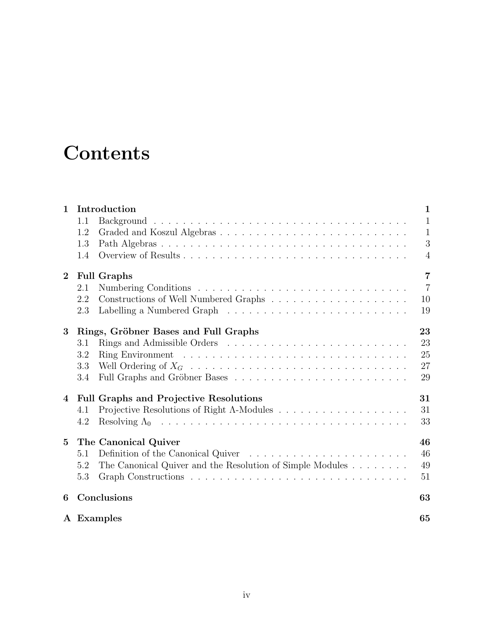# **Contents**

| $\mathbf{1}$    | Introduction                                                                                | $\mathbf{1}$   |
|-----------------|---------------------------------------------------------------------------------------------|----------------|
|                 | 1.1                                                                                         | $\mathbf{1}$   |
|                 | 1.2                                                                                         | $\mathbf{1}$   |
|                 | 1.3                                                                                         | 3              |
|                 | 1.4                                                                                         | $\overline{4}$ |
| $\mathbf{2}$    | <b>Full Graphs</b>                                                                          | $\overline{7}$ |
|                 | 2.1                                                                                         | $\overline{7}$ |
|                 | 2.2                                                                                         | 10             |
|                 | 2.3                                                                                         | 19             |
| 3               | Rings, Gröbner Bases and Full Graphs                                                        | 23             |
|                 | 3.1                                                                                         | 23             |
|                 | 3.2                                                                                         | 25             |
|                 | 3.3                                                                                         | 27             |
|                 | 3.4                                                                                         | 29             |
| 4               | <b>Full Graphs and Projective Resolutions</b>                                               | 31             |
|                 | 4.1                                                                                         | 31             |
|                 | 4.2                                                                                         | 33             |
| $5\overline{)}$ | The Canonical Quiver                                                                        | 46             |
|                 | Definition of the Canonical Quiver $\dots \dots \dots \dots \dots \dots \dots \dots$<br>5.1 | 46             |
|                 | The Canonical Quiver and the Resolution of Simple Modules $\dots \dots$<br>5.2              | 49             |
|                 | 5.3                                                                                         | 51             |
| 6               | Conclusions                                                                                 | 63             |
|                 | A Examples                                                                                  | 65             |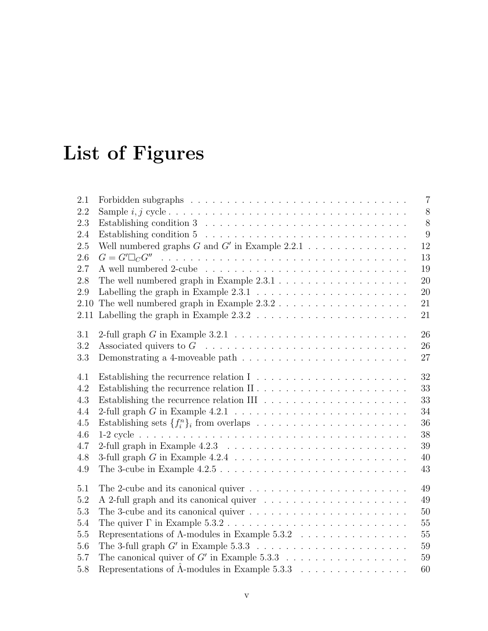# **List of Figures**

| 2.1     |                                                                                             | $\overline{7}$ |
|---------|---------------------------------------------------------------------------------------------|----------------|
| 2.2     |                                                                                             | $8\,$          |
| 2.3     |                                                                                             | 8              |
| 2.4     |                                                                                             | 9              |
| 2.5     | Well numbered graphs $G$ and $G'$ in Example 2.2.1                                          | 12             |
| 2.6     |                                                                                             | 13             |
| 2.7     |                                                                                             | 19             |
| 2.8     | The well numbered graph in Example $2.3.1 \ldots \ldots \ldots \ldots \ldots \ldots$        | 20             |
| 2.9     | Labelling the graph in Example $2.3.1 \ldots \ldots \ldots \ldots \ldots \ldots \ldots$     | 20             |
| 2.10    | The well numbered graph in Example $2.3.2\ldots\ldots\ldots\ldots\ldots\ldots\ldots$        | 21             |
| 2.11    | Labelling the graph in Example $2.3.2 \ldots \ldots \ldots \ldots \ldots \ldots \ldots$     | 21             |
| 3.1     |                                                                                             | 26             |
| 3.2     | Associated quivers to $G \dots \dots \dots \dots \dots \dots \dots \dots \dots \dots \dots$ | 26             |
| 3.3     | Demonstrating a 4-moveable path $\dots \dots \dots \dots \dots \dots \dots \dots \dots$     | 27             |
| 4.1     |                                                                                             | 32             |
| 4.2     |                                                                                             | 33             |
| $4.3\,$ | Establishing the recurrence relation III $\ldots \ldots \ldots \ldots \ldots \ldots \ldots$ | 33             |
| 4.4     |                                                                                             | 34             |
| 4.5     |                                                                                             | 36             |
| 4.6     |                                                                                             | 38             |
| 4.7     |                                                                                             | 39             |
| 4.8     |                                                                                             | 40             |
| 4.9     |                                                                                             | 43             |
| 5.1     | The 2-cube and its canonical quiver $\dots \dots \dots \dots \dots \dots \dots \dots \dots$ | 49             |
| 5.2     |                                                                                             | 49             |
| 5.3     |                                                                                             | 50             |
| 5.4     |                                                                                             | 55             |
| 5.5     | Representations of $\Lambda\text{-modules}$ in Example 5.3.2                                | 55             |
| 5.6     |                                                                                             | 59             |
| 5.7     | The canonical quiver of G' in Example $5.3.3 \ldots \ldots \ldots \ldots \ldots \ldots$     | 59             |
| 5.8     | Representations of $\hat{\Lambda}$ -modules in Example 5.3.3                                | 60             |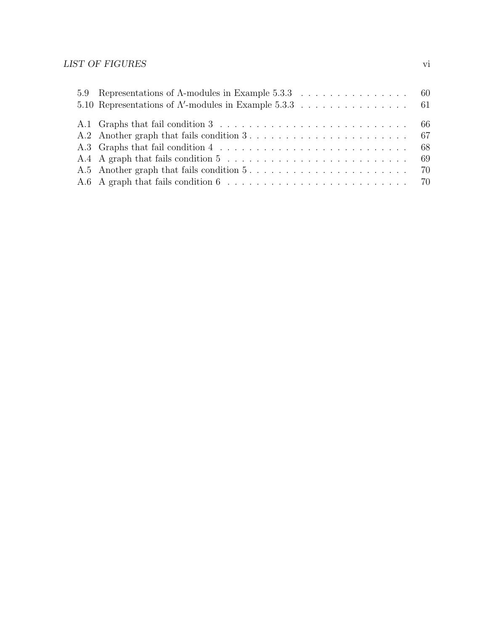### $\begin{minipage}{0.9\linewidth} \begin{tabular}{l} \textbf{LIST OF FIGURES} \end{tabular} \end{minipage}$

| A.6 A graph that fails condition $6 \ldots \ldots \ldots \ldots \ldots \ldots \ldots \ldots \ldots \ldots$ 70 |  |
|---------------------------------------------------------------------------------------------------------------|--|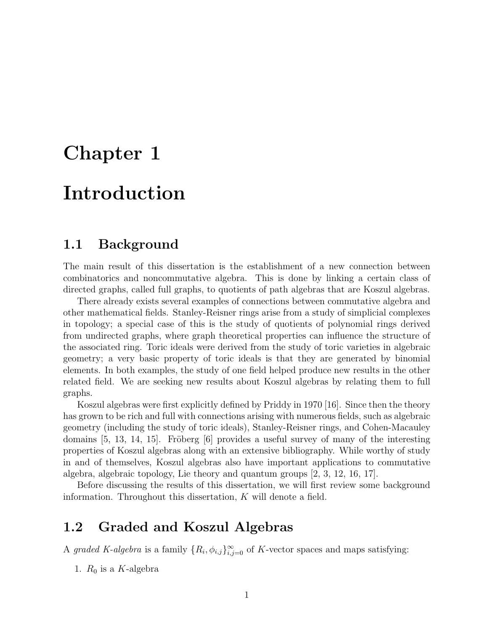# **Chapter 1**

# **Introduction**

# **1.1 Background**

The main result of this dissertation is the establishment of a new connection between combinatorics and noncommutative algebra. This is done by linking a certain class of directed graphs, called full graphs, to quotients of path algebras that are Koszul algebras.

There already exists several examples of connections between commutative algebra and other mathematical fields. Stanley-Reisner rings arise from a study of simplicial complexes in topology; a special case of this is the study of quotients of polynomial rings derived from undirected graphs, where graph theoretical properties can influence the structure of the associated ring. Toric ideals were derived from the study of toric varieties in algebraic geometry; a very basic property of toric ideals is that they are generated by binomial elements. In both examples, the study of one field helped produce new results in the other related field. We are seeking new results about Koszul algebras by relating them to full graphs.

Koszul algebras were first explicitly defined by Priddy in 1970 [16]. Since then the theory has grown to be rich and full with connections arising with numerous fields, such as algebraic geometry (including the study of toric ideals), Stanley-Reisner rings, and Cohen-Macauley domains  $[5, 13, 14, 15]$ . Fröberg  $[6]$  provides a useful survey of many of the interesting properties of Koszul algebras along with an extensive bibliography. While worthy of study in and of themselves, Koszul algebras also have important applications to commutative algebra, algebraic topology, Lie theory and quantum groups [2, 3, 12, 16, 17].

Before discussing the results of this dissertation, we will first review some background information. Throughout this dissertation, K will denote a field.

# **1.2 Graded and Koszul Algebras**

A graded K-algebra is a family  $\{R_i, \phi_{i,j}\}_{i,j=0}^{\infty}$  of K-vector spaces and maps satisfying:

1.  $R_0$  is a K-algebra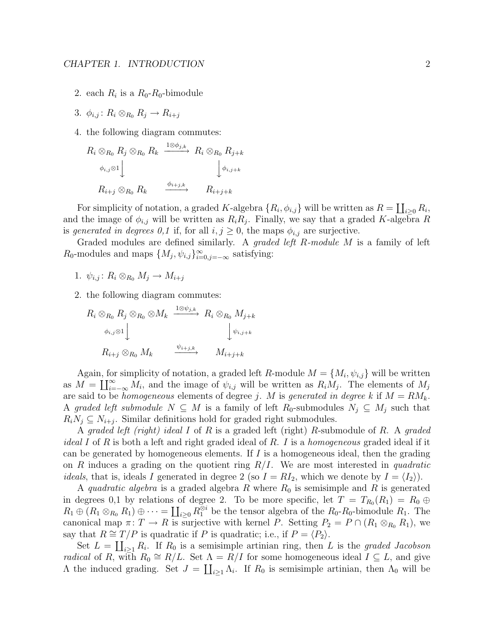- 2. each  $R_i$  is a  $R_0$ - $R_0$ -bimodule
- 3.  $\phi_{i,j}$ :  $R_i \otimes_{R_0} R_j \rightarrow R_{i+j}$
- 4. the following diagram commutes:

$$
R_i \otimes_{R_0} R_j \otimes_{R_0} R_k \xrightarrow{\begin{array}{c} 1 \otimes \phi_{j,k} \\ \phi_{i,j} \otimes 1 \end{array}} R_i \otimes_{R_0} R_{j+k}
$$
  

$$
R_{i+j} \otimes_{R_0} R_k \xrightarrow{\begin{array}{c} \phi_{i+j,k} \\ \phi_{i,j+k} \end{array}} R_{i+j+k}
$$

For simplicity of notation, a graded K-algebra  $\{R_i, \phi_{i,j}\}$  will be written as  $R = \coprod_{i \geq 0} R_i$ , and the image of  $\phi_{i,j}$  will be written as  $R_iR_j$ . Finally, we say that a graded K-algebra R is generated in degrees 0,1 if, for all  $i, j \geq 0$ , the maps  $\phi_{i,j}$  are surjective.

Graded modules are defined similarly. A *graded left R-module M* is a family of left  $R_0$ -modules and maps  $\{M_j, \psi_{i,j}\}_{i=0,j=-\infty}^{\infty}$  satisfying:

1.  $\psi_{i,j}$ :  $R_i \otimes_{R_0} M_j \rightarrow M_{i+j}$ 

2. the following diagram commutes:

$$
R_i \otimes_{R_0} R_j \otimes_{R_0} \otimes M_k \xrightarrow{1 \otimes \psi_{j,k}} R_i \otimes_{R_0} M_{j+k}
$$
  
\n
$$
\phi_{i,j} \otimes 1 \qquad \qquad \downarrow \psi_{i,j+k}
$$
  
\n
$$
R_{i+j} \otimes_{R_0} M_k \xrightarrow{\psi_{i+j,k}} M_{i+j+k}
$$

Again, for simplicity of notation, a graded left R-module  $M = \{M_i, \psi_{i,j}\}\$  will be written as  $M = \coprod_{i=-\infty}^{\infty} M_i$ , and the image of  $\psi_{i,j}$  will be written as  $R_i M_j$ . The elements of  $M_j$ are said to be *homogeneous* elements of degree j. M is generated in degree k if  $M = RM_k$ . A graded left submodule  $N \subseteq M$  is a family of left  $R_0$ -submodules  $N_j \subseteq M_j$  such that  $R_i N_j \subseteq N_{i+j}$ . Similar definitions hold for graded right submodules.

A graded left (right) ideal I of R is a graded left (right) R-submodule of R. A graded *ideal I* of R is both a left and right graded ideal of R. I is a *homogeneous* graded ideal if it can be generated by homogeneous elements. If  $I$  is a homogeneous ideal, then the grading on R induces a grading on the quotient ring  $R/I$ . We are most interested in quadratic *ideals*, that is, ideals I generated in degree 2 (so  $I = RI_2$ , which we denote by  $I = \langle I_2 \rangle$ ).

A quadratic algebra is a graded algebra R where  $R_0$  is semisimple and R is generated in degrees 0,1 by relations of degree 2. To be more specific, let  $T = T_{R_0}(R_1) = R_0 \oplus$  $R_1 \oplus (R_1 \otimes_{R_0} R_1) \oplus \cdots = \coprod_{i \geq 0} R_1^{\otimes i}$  be the tensor algebra of the  $R_0$ - $R_0$ -bimodule  $R_1$ . The canonical map  $\pi: T \to R$  is surjective with kernel P. Setting  $P_2 = P \cap (R_1 \otimes_{R_0} R_1)$ , we say that  $R \cong T/P$  is quadratic if P is quadratic; i.e., if  $P = \langle P_2 \rangle$ .

Set  $L = \coprod_{i \geq 1} R_i$ . If  $R_0$  is a semisimple artinian ring, then L is the graded Jacobson *radical* of R, with  $R_0 \cong R/L$ . Set  $\Lambda = R/I$  for some homogeneous ideal  $I \subseteq L$ , and give  $\Lambda$  the induced grading. Set  $J = \coprod_{i \geq 1} \Lambda_i$ . If  $R_0$  is semisimple artinian, then  $\Lambda_0$  will be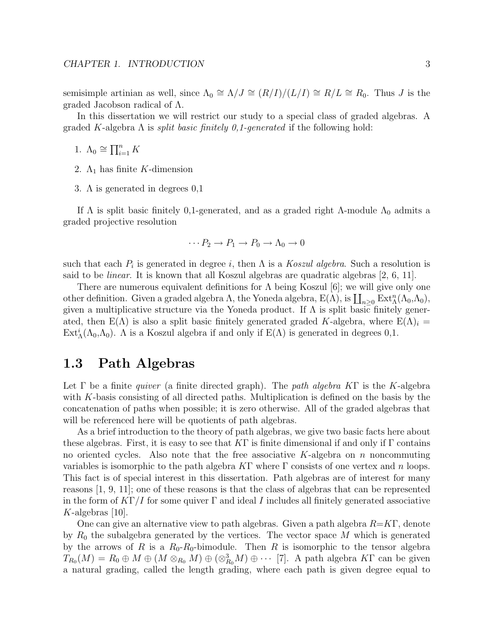semisimple artinian as well, since  $\Lambda_0 \cong \Lambda/J \cong (R/I)/(L/I) \cong R/L \cong R_0$ . Thus J is the graded Jacobson radical of Λ.

In this dissertation we will restrict our study to a special class of graded algebras. A graded K-algebra  $\Lambda$  is *split basic finitely 0,1-generated* if the following hold:

1.  $\Lambda_0 \cong \prod_{i=1}^n K$ 

- 2.  $\Lambda_1$  has finite K-dimension
- 3. Λ is generated in degrees 0,1

If  $\Lambda$  is split basic finitely 0,1-generated, and as a graded right  $\Lambda$ -module  $\Lambda_0$  admits a graded projective resolution

$$
\cdots P_2 \to P_1 \to P_0 \to \Lambda_0 \to 0
$$

such that each  $P_i$  is generated in degree i, then  $\Lambda$  is a Koszul algebra. Such a resolution is said to be linear. It is known that all Koszul algebras are quadratic algebras [2, 6, 11].

There are numerous equivalent definitions for  $\Lambda$  being Koszul [6]; we will give only one other definition. Given a graded algebra  $\Lambda$ , the Yoneda algebra,  $E(\Lambda)$ , is  $\coprod_{n\geq 0} Ext_{\Lambda}^n(\Lambda_0,\Lambda_0)$ , given a multiplicative structure via the Yoneda product. If  $\Lambda$  is split basic finitely generated, then  $E(\Lambda)$  is also a split basic finitely generated graded K-algebra, where  $E(\Lambda)_{i} =$  $\text{Ext}_{\Lambda}^{i}(\Lambda_{0}, \Lambda_{0})$ . A is a Koszul algebra if and only if  $E(\Lambda)$  is generated in degrees 0,1.

### **1.3 Path Algebras**

Let  $\Gamma$  be a finite *quiver* (a finite directed graph). The *path algebra K* $\Gamma$  is the K-algebra with K-basis consisting of all directed paths. Multiplication is defined on the basis by the concatenation of paths when possible; it is zero otherwise. All of the graded algebras that will be referenced here will be quotients of path algebras.

As a brief introduction to the theory of path algebras, we give two basic facts here about these algebras. First, it is easy to see that  $KT$  is finite dimensional if and only if  $\Gamma$  contains no oriented cycles. Also note that the free associative  $K$ -algebra on n noncommuting variables is isomorphic to the path algebra  $K\Gamma$  where  $\Gamma$  consists of one vertex and n loops. This fact is of special interest in this dissertation. Path algebras are of interest for many reasons [1, 9, 11]; one of these reasons is that the class of algebras that can be represented in the form of  $K\Gamma/I$  for some quiver  $\Gamma$  and ideal I includes all finitely generated associative  $K$ -algebras [10].

One can give an alternative view to path algebras. Given a path algebra  $R=K\Gamma$ , denote by  $R_0$  the subalgebra generated by the vertices. The vector space M which is generated by the arrows of R is a  $R_0-R_0$ -bimodule. Then R is isomorphic to the tensor algebra  $T_{R_0}(M) = R_0 \oplus M \oplus (M \otimes_{R_0} M) \oplus (\otimes_{R_0}^3 M) \oplus \cdots$  [7]. A path algebra KF can be given a natural grading, called the length grading, where each path is given degree equal to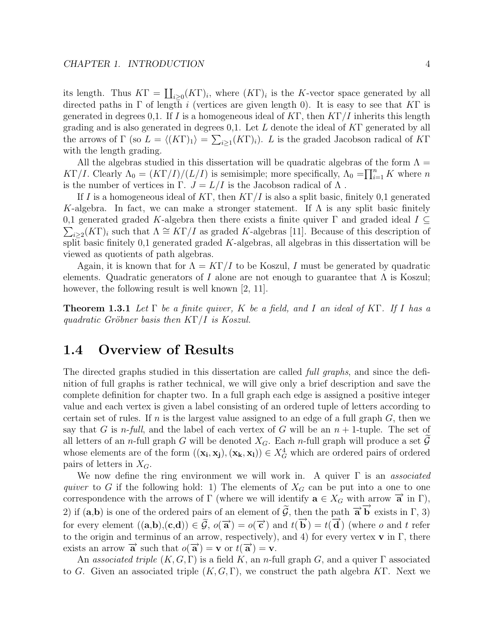its length. Thus  $KT = \coprod_{i \geq 0} (KT)_i$ , where  $(K\Gamma)_i$  is the K-vector space generated by all directed paths in  $\Gamma$  of length i (vertices are given length 0). It is easy to see that K $\Gamma$  is generated in degrees 0,1. If I is a homogeneous ideal of KΓ, then  $KT/I$  inherits this length grading and is also generated in degrees 0,1. Let L denote the ideal of  $KT$  generated by all the arrows of  $\Gamma$  (so  $L = \langle (K\Gamma)_1 \rangle = \sum_{i \geq 1} (K\Gamma)_i$ ). L is the graded Jacobson radical of  $K\Gamma$ with the length grading.

All the algebras studied in this dissertation will be quadratic algebras of the form  $\Lambda =$ KΓ/I. Clearly  $\Lambda_0 = (K\Gamma/I)/(L/I)$  is semisimple; more specifically,  $\Lambda_0 = \prod_{i=1}^n K$  where n is the number of vertices in  $\Gamma$ .  $J = L/I$  is the Jacobson radical of  $\Lambda$ .

If I is a homogeneous ideal of KΓ, then  $KT/I$  is also a split basic, finitely 0,1 generated K-algebra. In fact, we can make a stronger statement. If  $\Lambda$  is any split basic finitely  $\sum_{i\geq 2}(K\Gamma)_i$  such that  $\Lambda \cong K\Gamma/I$  as graded K-algebras [11]. Because of this description of 0,1 generated graded K-algebra then there exists a finite quiver  $\Gamma$  and graded ideal  $I \subseteq$ split basic finitely  $0,1$  generated graded K-algebras, all algebras in this dissertation will be viewed as quotients of path algebras.

Again, it is known that for  $\Lambda = K\Gamma/I$  to be Koszul, I must be generated by quadratic elements. Quadratic generators of I alone are not enough to guarantee that  $\Lambda$  is Koszul; however, the following result is well known [2, 11].

**Theorem 1.3.1** Let  $\Gamma$  be a finite quiver, K be a field, and I an ideal of K $\Gamma$ . If I has a quadratic Gröbner basis then  $K\Gamma/I$  is Koszul.

## **1.4 Overview of Results**

The directed graphs studied in this dissertation are called *full graphs*, and since the definition of full graphs is rather technical, we will give only a brief description and save the complete definition for chapter two. In a full graph each edge is assigned a positive integer value and each vertex is given a label consisting of an ordered tuple of letters according to certain set of rules. If n is the largest value assigned to an edge of a full graph  $G$ , then we say that G is n-full, and the label of each vertex of G will be an  $n + 1$ -tuple. The set of all letters of an *n*-full graph G will be denoted  $X_G$ . Each *n*-full graph will produce a set G whose elements are of the form  $((\mathbf{x}_i, \mathbf{x}_j), (\mathbf{x}_k, \mathbf{x}_l)) \in X_G^4$  which are ordered pairs of ordered pairs of letters in  $X_G$ .

We now define the ring environment we will work in. A quiver  $\Gamma$  is an associated quiver to G if the following hold: 1) The elements of  $X_G$  can be put into a one to one correspondence with the arrows of  $\Gamma$  (where we will identify  $\mathbf{a} \in X_G$  with arrow  $\overrightarrow{\mathbf{a}}$  in  $\Gamma$ ), 2) if  $(a,b)$  is one of the ordered pairs of an element of  $\tilde{G}$ , then the path  $\vec{a} \vec{b}$  exists in  $\Gamma$ , 3) for every element  $((a,b),(c,d)) \in \tilde{\mathcal{G}}, o(\vec{a}) = o(\vec{c})$  and  $t(\vec{b}) = t(\vec{d})$  (where *o* and *t* refer to the origin and terminus of an arrow, respectively), and 4) for every vertex **v** in Γ, there exists an arrow  $\overrightarrow{a}$  such that  $o(\overrightarrow{a}) = \mathbf{v}$  or  $t(\overrightarrow{a}) = \mathbf{v}$ .

An associated triple  $(K, G, \Gamma)$  is a field K, an n-full graph G, and a quiver  $\Gamma$  associated to G. Given an associated triple  $(K, G, \Gamma)$ , we construct the path algebra K $\Gamma$ . Next we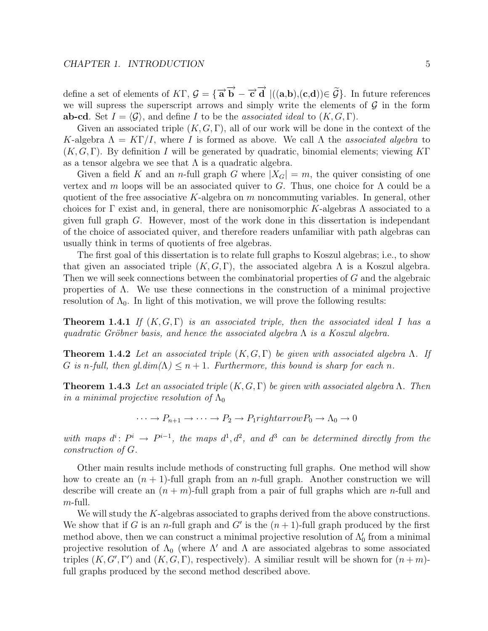define a set of elements of  $K\Gamma$ ,  $\mathcal{G} = {\vec{a} \vec{b} - \vec{c} \vec{d} \mid ((a,b),(c,d)) \in \mathcal{G}}$ . In future references we will suppress the superscript arrows and simply write the elements of  $\mathcal G$  in the form **ab-cd**. Set  $I = \langle \mathcal{G} \rangle$ , and define I to be the *associated ideal* to  $(K, G, \Gamma)$ .

Given an associated triple  $(K, G, \Gamma)$ , all of our work will be done in the context of the K-algebra  $\Lambda = K\Gamma/I$ , where I is formed as above. We call  $\Lambda$  the associated algebra to  $(K, G, \Gamma)$ . By definition I will be generated by quadratic, binomial elements; viewing KΓ as a tensor algebra we see that  $\Lambda$  is a quadratic algebra.

Given a field K and an n-full graph G where  $|X_G| = m$ , the quiver consisting of one vertex and m loops will be an associated quiver to G. Thus, one choice for  $\Lambda$  could be a quotient of the free associative K-algebra on  $m$  noncommuting variables. In general, other choices for  $\Gamma$  exist and, in general, there are nonisomorphic K-algebras  $\Lambda$  associated to a given full graph G. However, most of the work done in this dissertation is independant of the choice of associated quiver, and therefore readers unfamiliar with path algebras can usually think in terms of quotients of free algebras.

The first goal of this dissertation is to relate full graphs to Koszul algebras; i.e., to show that given an associated triple  $(K, G, \Gamma)$ , the associated algebra  $\Lambda$  is a Koszul algebra. Then we will seek connections between the combinatorial properties of G and the algebraic properties of  $\Lambda$ . We use these connections in the construction of a minimal projective resolution of  $\Lambda_0$ . In light of this motivation, we will prove the following results:

**Theorem 1.4.1** If  $(K, G, \Gamma)$  is an associated triple, then the associated ideal I has a quadratic Gröbner basis, and hence the associated algebra  $\Lambda$  is a Koszul algebra.

**Theorem 1.4.2** Let an associated triple  $(K, G, \Gamma)$  be given with associated algebra  $\Lambda$ . If G is n-full, then gl.dim( $\Lambda$ )  $\leq n+1$ . Furthermore, this bound is sharp for each n.

**Theorem 1.4.3** Let an associated triple  $(K, G, \Gamma)$  be given with associated algebra  $\Lambda$ . Then in a minimal projective resolution of  $\Lambda_0$ 

$$
\cdots \to P_{n+1} \to \cdots \to P_2 \to P_1 \rightarrow \mathit{rightarrow} P_0 \to \Lambda_0 \to 0
$$

with maps  $d^i$ :  $P^i \rightarrow P^{i-1}$ , the maps  $d^1, d^2$ , and  $d^3$  can be determined directly from the construction of G.

Other main results include methods of constructing full graphs. One method will show how to create an  $(n + 1)$ -full graph from an *n*-full graph. Another construction we will describe will create an  $(n + m)$ -full graph from a pair of full graphs which are *n*-full and m-full.

We will study the K-algebras associated to graphs derived from the above constructions. We show that if G is an *n*-full graph and G' is the  $(n + 1)$ -full graph produced by the first method above, then we can construct a minimal projective resolution of  $\Lambda_0'$  from a minimal projective resolution of  $\Lambda_0$  (where  $\Lambda'$  and  $\Lambda$  are associated algebras to some associated triples  $(K, G', \Gamma')$  and  $(K, G, \Gamma)$ , respectively). A similiar result will be shown for  $(n+m)$ full graphs produced by the second method described above.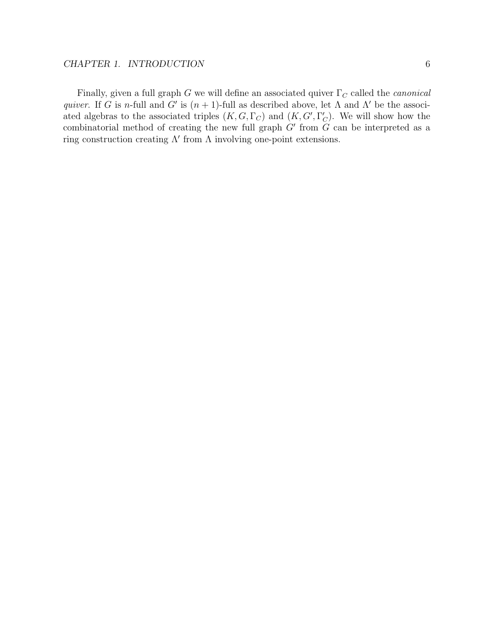Finally, given a full graph G we will define an associated quiver  $\Gamma_C$  called the *canonical* quiver. If G is n-full and G' is  $(n + 1)$ -full as described above, let  $\Lambda$  and  $\Lambda'$  be the associated algebras to the associated triples  $(K, G, \Gamma_C)$  and  $(K, G', \Gamma_C')$ . We will show how the combinatorial method of creating the new full graph  $G'$  from  $G$  can be interpreted as a ring construction creating  $\Lambda'$  from  $\Lambda$  involving one-point extensions.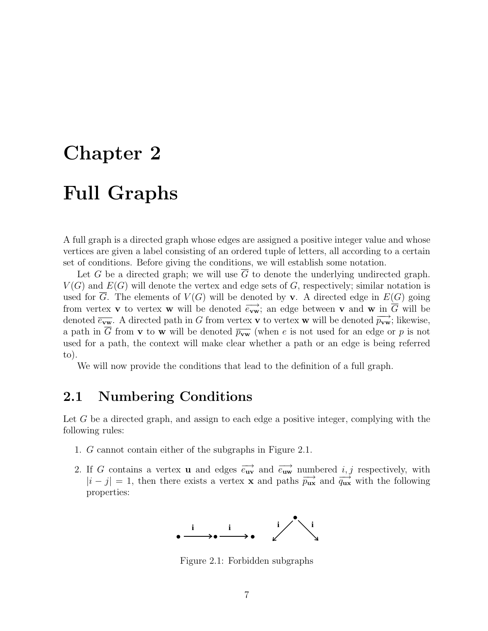# **Chapter 2 Full Graphs**

A full graph is a directed graph whose edges are assigned a positive integer value and whose vertices are given a label consisting of an ordered tuple of letters, all according to a certain set of conditions. Before giving the conditions, we will establish some notation.

Let G be a directed graph; we will use  $\overline{G}$  to denote the underlying undirected graph.  $V(G)$  and  $E(G)$  will denote the vertex and edge sets of G, respectively; similar notation is used for G. The elements of  $V(G)$  will be denoted by **v**. A directed edge in  $E(G)$  going from vertex **v** to vertex **w** will be denoted  $\overrightarrow{e_{vw}}$ ; an edge between **v** and **w** in  $\overrightarrow{G}$  will be denoted  $\overrightarrow{e_{vw}}$ . A directed path in G from vertex **v** to vertex **w** will be denoted  $\overrightarrow{p_{vw}}$ ; likewise, a path in  $\overline{G}$  from **v** to **w** will be denoted  $\overline{p_{vw}}$  (when e is not used for an edge or p is not used for a path, the context will make clear whether a path or an edge is being referred to).

We will now provide the conditions that lead to the definition of a full graph.

# **2.1 Numbering Conditions**

Let G be a directed graph, and assign to each edge a positive integer, complying with the following rules:

- 1. G cannot contain either of the subgraphs in Figure 2.1.
- 2. If G contains a vertex **u** and edges  $\overrightarrow{e_{uv}}$  and  $\overrightarrow{e_{uw}}$  numbered *i, j* respectively, with  $|i-j|=1$ , then there exists a vertex **x** and paths  $\overrightarrow{p_{\text{ux}}}$  and  $\overrightarrow{q_{\text{ux}}}$  with the following properties:



Figure 2.1: Forbidden subgraphs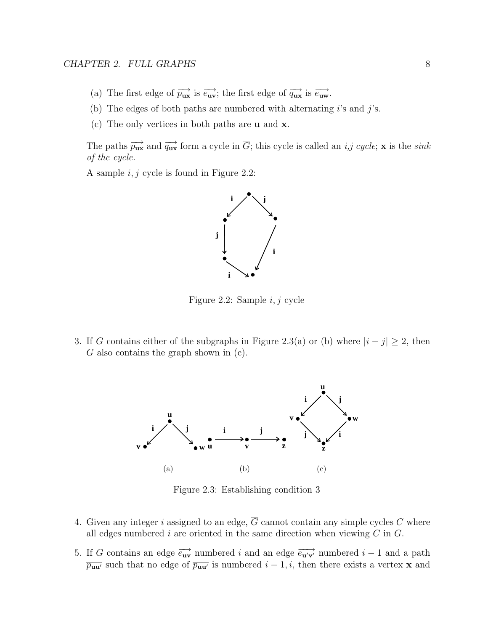- (a) The first edge of  $\overrightarrow{p_{\mathbf{u}\mathbf{x}}}$  is  $\overrightarrow{e_{\mathbf{u}\mathbf{v}}}$ ; the first edge of  $\overrightarrow{q_{\mathbf{u}\mathbf{x}}}$  is  $\overrightarrow{e_{\mathbf{u}\mathbf{w}}}$ .
- (b) The edges of both paths are numbered with alternating  $i$ 's and  $j$ 's.
- (c) The only vertices in both paths are **u** and **x**.

The paths  $\overrightarrow{p_{\text{ux}}}$  and  $\overrightarrow{q_{\text{ux}}}$  form a cycle in  $\overrightarrow{G}$ ; this cycle is called an *i,j cycle*; **x** is the *sink* of the cycle.

A sample  $i, j$  cycle is found in Figure 2.2:



Figure 2.2: Sample i, j cycle

3. If G contains either of the subgraphs in Figure 2.3(a) or (b) where  $|i - j| \ge 2$ , then  $G$  also contains the graph shown in  $(c)$ .



Figure 2.3: Establishing condition 3

- 4. Given any integer i assigned to an edge,  $\overline{G}$  cannot contain any simple cycles C where all edges numbered i are oriented in the same direction when viewing  $C$  in  $G$ .
- 5. If G contains an edge  $\overrightarrow{e_{uv}}$  numbered i and an edge  $\overrightarrow{e_{uv}}$  numbered i 1 and a path  $\overline{p_{uu'}}$  such that no edge of  $\overline{p_{uu'}}$  is numbered  $i-1, i$ , then there exists a vertex **x** and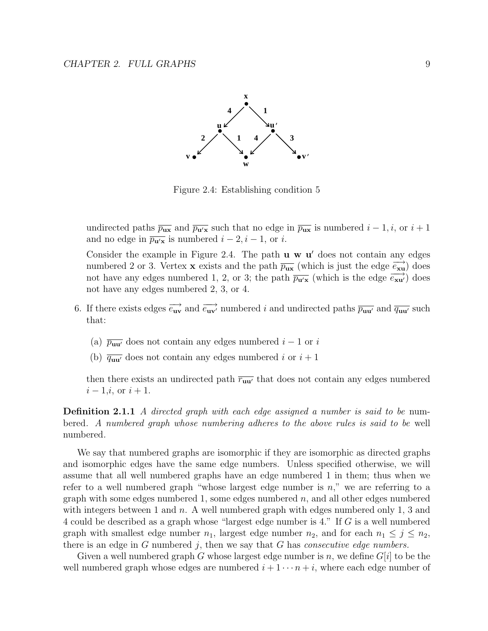

Figure 2.4: Establishing condition 5

undirected paths  $\overline{p_{\mathbf{u}\mathbf{x}}}$  and  $\overline{p_{\mathbf{u}'\mathbf{x}}}$  such that no edge in  $\overline{p_{\mathbf{u}\mathbf{x}}}$  is numbered  $i-1, i$ , or  $i+1$ and no edge in  $\overline{p_{\mathbf{u}'\mathbf{x}}}$  is numbered  $i - 2, i - 1$ , or i.

Consider the example in Figure 2.4. The path **u w u**' does not contain any edges numbered 2 or 3. Vertex **x** exists and the path  $\overline{p_{\text{ux}}}$  (which is just the edge  $\overrightarrow{e_{\text{xu}}}$ ) does not have any edges numbered 1, 2, or 3; the path  $\overline{p_{\mathbf{u}'\mathbf{x}}}$  (which is the edge  $\overline{e_{\mathbf{x}\mathbf{u}'}}$ ) does not have any edges numbered 2, 3, or 4.

- 6. If there exists edges  $\overrightarrow{e_{uv}}$  and  $\overrightarrow{e_{uv'}}$  numbered i and undirected paths  $\overrightarrow{p_{uu'}}$  and  $\overrightarrow{q_{uu'}}$  such that:
	- (a)  $\overline{p_{\mathbf{u}\mathbf{u}'}}$  does not contain any edges numbered  $i-1$  or i
	- (b)  $\overline{q_{\mathbf{u}\mathbf{u}'}}$  does not contain any edges numbered i or  $i+1$

then there exists an undirected path  $\overline{r_{uu'}}$  that does not contain any edges numbered  $i - 1, i$ , or  $i + 1$ .

**Definition 2.1.1** A directed graph with each edge assigned a number is said to be numbered. A numbered graph whose numbering adheres to the above rules is said to be well numbered.

We say that numbered graphs are isomorphic if they are isomorphic as directed graphs and isomorphic edges have the same edge numbers. Unless specified otherwise, we will assume that all well numbered graphs have an edge numbered 1 in them; thus when we refer to a well numbered graph "whose largest edge number is  $n$ ," we are referring to a graph with some edges numbered 1, some edges numbered  $n$ , and all other edges numbered with integers between 1 and n. A well numbered graph with edges numbered only 1, 3 and 4 could be described as a graph whose "largest edge number is 4." If G is a well numbered graph with smallest edge number  $n_1$ , largest edge number  $n_2$ , and for each  $n_1 \leq j \leq n_2$ , there is an edge in  $G$  numbered j, then we say that  $G$  has *consecutive edge numbers*.

Given a well numbered graph G whose largest edge number is n, we define  $G[i]$  to be the well numbered graph whose edges are numbered  $i + 1 \cdots n + i$ , where each edge number of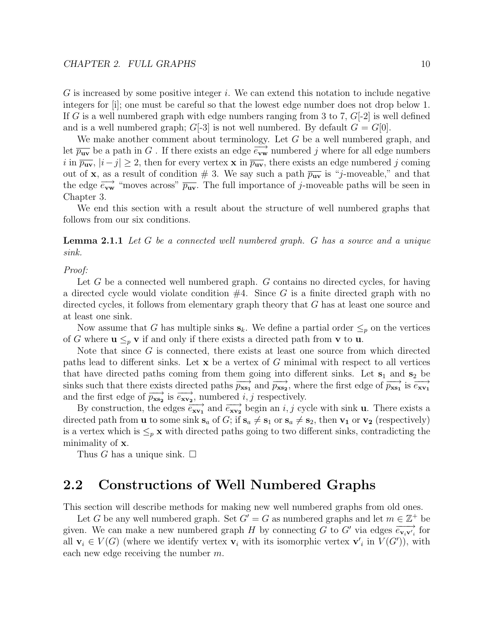$G$  is increased by some positive integer i. We can extend this notation to include negative integers for [i]; one must be careful so that the lowest edge number does not drop below 1. If G is a well numbered graph with edge numbers ranging from 3 to 7,  $G[-2]$  is well defined and is a well numbered graph;  $G[-3]$  is not well numbered. By default  $G = G[0]$ .

We make another comment about terminology. Let G be a well numbered graph, and let  $\overline{p_{uv}}$  be a path in G. If there exists an edge  $\overrightarrow{e_{vw}}$  numbered j where for all edge numbers i in  $\overline{p_{uv}}, |i-j| \geq 2$ , then for every vertex **x** in  $\overline{p_{uv}},$  there exists an edge numbered j coming out of **x**, as a result of condition  $\# 3$ . We say such a path  $\overline{p_{uv}}$  is "j-moveable," and that the edge  $\overrightarrow{e_{vw}}$  "moves across"  $\overrightarrow{p_{uv}}$ . The full importance of j-moveable paths will be seen in Chapter 3.

We end this section with a result about the structure of well numbered graphs that follows from our six conditions.

**Lemma 2.1.1** Let G be a connected well numbered graph. G has a source and a unique sink.

#### Proof:

Let G be a connected well numbered graph. G contains no directed cycles, for having a directed cycle would violate condition  $#4$ . Since G is a finite directed graph with no directed cycles, it follows from elementary graph theory that G has at least one source and at least one sink.

Now assume that G has multiple sinks  $s_k$ . We define a partial order  $\leq_p$  on the vertices of G where  $\mathbf{u} \leq_{p} \mathbf{v}$  if and only if there exists a directed path from **v** to **u**.

Note that since G is connected, there exists at least one source from which directed paths lead to different sinks. Let **x** be a vertex of G minimal with respect to all vertices that have directed paths coming from them going into different sinks. Let  $s_1$  and  $s_2$  be sinks such that there exists directed paths  $\overrightarrow{p_{\textbf{x}}}_{\textbf{x}}$  and  $\overrightarrow{p_{\textbf{x}}}_{\textbf{x}}$ , where the first edge of  $\overrightarrow{p_{\textbf{x}}}_{\textbf{x}}$  is  $\overrightarrow{e_{\textbf{x}}}_{\textbf{y}}$ and the first edge of  $\overrightarrow{p_{\textbf{x}}}_{\textbf{s}_2}$  is  $\overrightarrow{e_{\textbf{x}}}_{\textbf{v}_2}$ , numbered *i*, *j* respectively.

By construction, the edges  $\overrightarrow{e_{\mathbf{x}\mathbf{v}_1}}$  and  $\overrightarrow{e_{\mathbf{x}\mathbf{v}_2}}$  begin an *i*, *j* cycle with sink **u**. There exists a directed path from **u** to some sink  $\mathbf{s}_a$  of G; if  $\mathbf{s}_a \neq \mathbf{s}_1$  or  $\mathbf{s}_a \neq \mathbf{s}_2$ , then  $\mathbf{v}_1$  or  $\mathbf{v}_2$  (respectively) is a vertex which is  $\leq_p$ **x** with directed paths going to two different sinks, contradicting the minimality of **x**.

Thus G has a unique sink.  $\square$ 

# **2.2 Constructions of Well Numbered Graphs**

This section will describe methods for making new well numbered graphs from old ones.

Let G be any well numbered graph. Set  $G' = G$  as numbered graphs and let  $m \in \mathbb{Z}^+$  be given. We can make a new numbered graph H by connecting G to G' via edges  $\overrightarrow{e_{\mathbf{v},\mathbf{v}'}}_i$  for all  $\mathbf{v}_i \in V(G)$  (where we identify vertex  $\mathbf{v}_i$  with its isomorphic vertex  $\mathbf{v}'_i$  in  $V(G')$ ), with each new edge receiving the number m.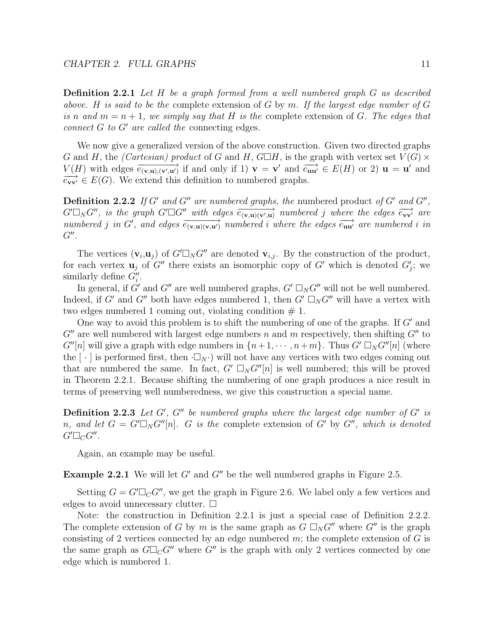**Definition 2.2.1** Let H be a graph formed from a well numbered graph G as described above. H is said to be the complete extension of  $G$  by  $m$ . If the largest edge number of  $G$ is n and  $m = n + 1$ , we simply say that H is the complete extension of G. The edges that connect  $G$  to  $G'$  are called the connecting edges.

We now give a generalized version of the above construction. Given two directed graphs G and H, the (Cartesian) product of G and H,  $G\Box H$ , is the graph with vertex set  $V(G) \times$  $V(H)$  with edges  $\overrightarrow{e_{(\mathbf{v},\mathbf{u}),(\mathbf{v}',\mathbf{u}')}}$  if and only if 1)  $\mathbf{v} = \mathbf{v}'$  and  $\overrightarrow{e_{\mathbf{uu}'}} \in E(H)$  or 2)  $\mathbf{u} = \mathbf{u}'$  and  $\overrightarrow{e_{\mathbf{vv}'}} \in E(G)$ . We extend this definition to numbered graphs.  $\overrightarrow{e_{vv'}} \in E(G)$ . We extend this definition to numbered graphs.

**Definition 2.2.2** If G' and G" are numbered graphs, the numbered product of G' and G",  $G' \square_N G''$ , is the graph  $G' \square G''$  with edges  $\overrightarrow{e_{(\mathbf{v},\mathbf{u})(\mathbf{v}',\mathbf{u})}}$  numbered j where the edges  $\overrightarrow{e_{\mathbf{v}\mathbf{v}'}}$  are numbered j in G', and edges  $\overrightarrow{e_{(\mathbf{v},\mathbf{u})(\mathbf{v},\mathbf{u'})}}$  numbered i where the edges  $\overrightarrow{e_{\mathbf{u}\mathbf{u'}}}$  are numbered i in  $G''$ .

The vertices  $(\mathbf{v}_i, \mathbf{u}_j)$  of  $G' \square_N G''$  are denoted  $\mathbf{v}_{i,j}$ . By the construction of the product, for each vertex  $\mathbf{u}_j$  of  $G''$  there exists an isomorphic copy of  $G'$  which is denoted  $G'_j$ ; we similarly define  $G_i''$ .

In general, if  $G'$  and  $G''$  are well numbered graphs,  $G' \square_N G''$  will not be well numbered. Indeed, if G' and G'' both have edges numbered 1, then  $G' \square_N G''$  will have a vertex with two edges numbered 1 coming out, violating condition  $# 1$ .

One way to avoid this problem is to shift the numbering of one of the graphs. If  $G'$  and  $G''$  are well numbered with largest edge numbers n and m respectively, then shifting  $G''$  to  $G''[n]$  will give a graph with edge numbers in  $\{n+1, \dots, n+m\}$ . Thus  $G' \square_N G''[n]$  (where the  $[\cdot]$  is performed first, then  $\Box_N \cdot$ ) will not have any vertices with two edges coming out that are numbered the same. In fact,  $G' \square_N G''[n]$  is well numbered; this will be proved in Theorem 2.2.1. Because shifting the numbering of one graph produces a nice result in terms of preserving well numberedness, we give this construction a special name.

**Definition 2.2.3** Let  $G'$ ,  $G''$  be numbered graphs where the largest edge number of  $G'$  is n, and let  $G = G' \square_N G''[n]$ . G is the complete extension of G' by G'', which is denoted  $G'\Box_C G''$  .

Again, an example may be useful.

**Example 2.2.1** We will let  $G'$  and  $G''$  be the well numbered graphs in Figure 2.5.

Setting  $G = G' \square_C G''$ , we get the graph in Figure 2.6. We label only a few vertices and edges to avoid unnecessary clutter.  $\square$ 

Note: the construction in Definition 2.2.1 is just a special case of Definition 2.2.2. The complete extension of G by m is the same graph as  $G \square_N G''$  where  $G''$  is the graph consisting of 2 vertices connected by an edge numbered  $m$ ; the complete extension of  $G$  is the same graph as  $G\Box_{\mathcal{C}}G''$  where  $G''$  is the graph with only 2 vertices connected by one edge which is numbered 1.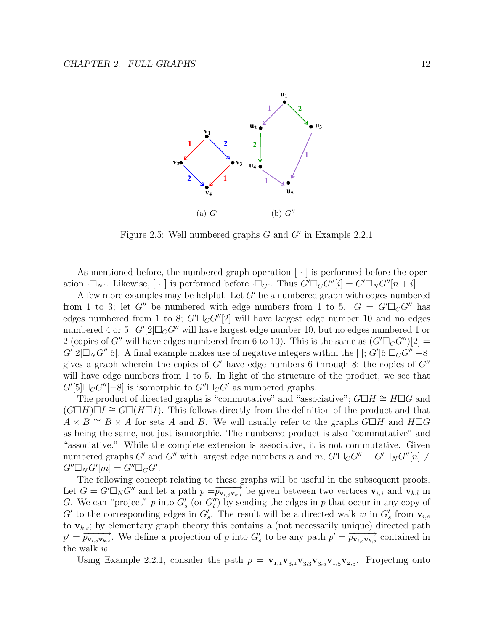

Figure 2.5: Well numbered graphs  $G$  and  $G'$  in Example 2.2.1

As mentioned before, the numbered graph operation  $[\cdot]$  is performed before the operation  $\Box_N$ . Likewise,  $[\cdot]$  is performed before  $\Box_C$ . Thus  $G'\Box_C G''[i] = G'\Box_N G''[n+i]$ 

A few more examples may be helpful. Let  $G'$  be a numbered graph with edges numbered from 1 to 3; let G'' be numbered with edge numbers from 1 to 5.  $G = G' \square_C G''$  has edges numbered from 1 to 8;  $G' \square_C G''[2]$  will have largest edge number 10 and no edges numbered 4 or 5.  $G'[2]\square_C G''$  will have largest edge number 10, but no edges numbered 1 or 2 (copies of G'' will have edges numbered from 6 to 10). This is the same as  $(G' \square_C G'')[2] =$  $G'[2]\Box_N G''[5]$ . A final example makes use of negative integers within the [];  $G'[5]\Box_C G''[-8]$ gives a graph wherein the copies of G' have edge numbers 6 through 8; the copies of  $G''$ will have edge numbers from 1 to 5. In light of the structure of the product, we see that  $G'[5]\Box_C G''[-8]$  is isomorphic to  $G''\Box_C G'$  as numbered graphs.

The product of directed graphs is "commutative" and "associative";  $G\Box H \cong H\Box G$  and  $(G\Box H)\Box I \cong G\Box (H\Box I)$ . This follows directly from the definition of the product and that  $A \times B \cong B \times A$  for sets A and B. We will usually refer to the graphs  $G\Box H$  and  $H\Box G$ as being the same, not just isomorphic. The numbered product is also "commutative" and "associative." While the complete extension is associative, it is not commutative. Given numbered graphs  $G'$  and  $G''$  with largest edge numbers n and  $m$ ,  $G'\Box_C G'' = G'\Box_N G''[n] \neq$  $G''\Box_N G'[m] = G''\Box_C G'.$ 

The following concept relating to these graphs will be useful in the subsequent proofs. Let  $G = G' \square_N G''$  and let a path  $p = \overrightarrow{p_{\mathbf{v}_i, j\mathbf{v}_k, l}}$  be given between two vertices  $\mathbf{v}_{i,j}$  and  $\mathbf{v}_{k,l}$  in G. We can "project" p into  $G'_{s}$  (or  $G''_{t}$ ) by sending the edges in p that occur in any copy of G' to the corresponding edges in  $G_s'$ . The result will be a directed walk w in  $G_s'$  from  $\mathbf{v}_{i,s}$ to  $\mathbf{v}_{k,s}$ ; by elementary graph theory this contains a (not necessarily unique) directed path  $p' = \overrightarrow{p_{\mathbf{v}_{i,s}\mathbf{v}_{k,s}}}$ . We define a projection of p into  $G'_{s}$  to be any path  $p' = \overrightarrow{p_{\mathbf{v}_{i,s}\mathbf{v}_{k,s}}}$  contained in the walk w.

Using Example 2.2.1, consider the path  $p = \mathbf{v}_{1,1}\mathbf{v}_{3,1}\mathbf{v}_{3,3}\mathbf{v}_{3,5}\mathbf{v}_{1,5}\mathbf{v}_{2,5}$ . Projecting onto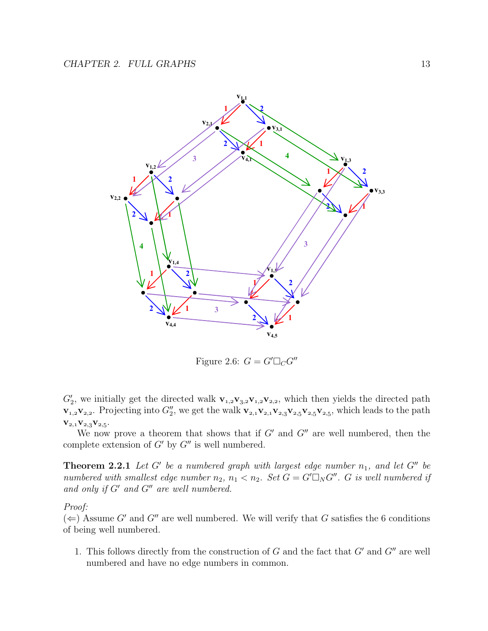

Figure 2.6:  $G = G' \square_C G''$ 

 $G'_2$ , we initially get the directed walk  $\mathbf{v}_{1,2}\mathbf{v}_{3,2}\mathbf{v}_{1,2}\mathbf{v}_{2,2}$ , which then yields the directed path  $\mathbf{v}_{1,2}\mathbf{v}_{2,2}$ . Projecting into  $G''_2$ , we get the walk  $\mathbf{v}_{2,1}\mathbf{v}_{2,1}\mathbf{v}_{2,3}\mathbf{v}_{2,5}\mathbf{v}_{2,5}\mathbf{v}_{2,5}$ , which leads to the path  ${\bf V}_{2,1}{\bf V}_{2,3}{\bf V}_{2,5}.$ 

We now prove a theorem that shows that if  $G'$  and  $G''$  are well numbered, then the complete extension of  $G'$  by  $G''$  is well numbered.

**Theorem 2.2.1** Let G' be a numbered graph with largest edge number  $n_1$ , and let G" be numbered with smallest edge number  $n_2$ ,  $n_1 < n_2$ . Set  $G = G' \square_N G''$ . G is well numbered if and only if  $G'$  and  $G''$  are well numbered.

#### Proof:

 $(\Leftarrow)$  Assume G' and G'' are well numbered. We will verify that G satisfies the 6 conditions of being well numbered.

1. This follows directly from the construction of  $G$  and the fact that  $G'$  and  $G''$  are well numbered and have no edge numbers in common.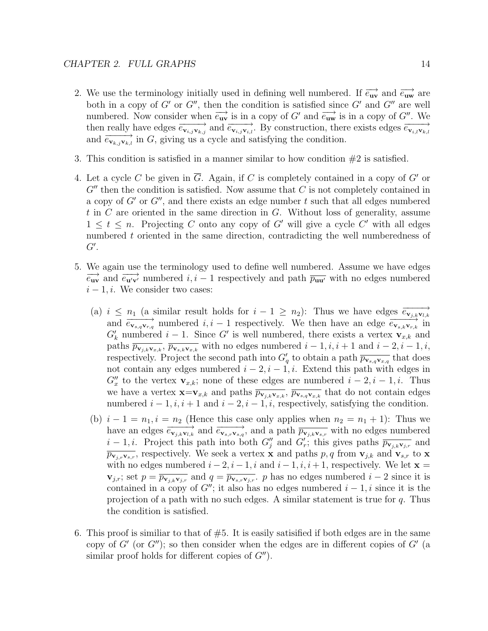- 2. We use the terminology initially used in defining well numbered. If  $\vec{e}_{uv}$  and  $\vec{e}_{uw}$  are both in a copy of  $G'$  or  $G''$ , then the condition is satisfied since  $G'$  and  $G''$  are well numbered. Now consider when  $\overrightarrow{e_{uv}}$  is in a copy of G' and  $\overrightarrow{e_{uw}}$  is in a copy of G". We then really have edges  $\overrightarrow{e_{\mathbf{v}_i,\mathbf{y}\mathbf{v}_k,j}}$  and  $\overrightarrow{e_{\mathbf{v}_i,\mathbf{y}\mathbf{v}_i,l}}$ . By construction, there exists edges  $\overrightarrow{e_{\mathbf{v}_i,\mathbf{v}_k,l}}$ and  $\overrightarrow{e_{\mathbf{v}_{k,j}\mathbf{v}_{k,l}}}$  in G, giving us a cycle and satisfying the condition.
- 3. This condition is satisfied in a manner similar to how condition  $#2$  is satisfied.
- 4. Let a cycle C be given in  $\overline{G}$ . Again, if C is completely contained in a copy of G' or  $G''$  then the condition is satisfied. Now assume that C is not completely contained in a copy of  $G'$  or  $G''$ , and there exists an edge number t such that all edges numbered t in  $C$  are oriented in the same direction in  $G$ . Without loss of generality, assume  $1 \leq t \leq n$ . Projecting C onto any copy of G' will give a cycle C' with all edges numbered t oriented in the same direction, contradicting the well numberedness of  $G^{\prime}.$
- 5. We again use the terminology used to define well numbered. Assume we have edges  $\overrightarrow{e_{\mathbf{u}} \cdot \mathbf{v}}$  and  $\overrightarrow{e_{\mathbf{u}} \cdot \mathbf{v}}$  numbered  $i, i 1$  respectively and path  $\overrightarrow{p_{\mathbf{u}} \cdot \mathbf{u}}$  with no edges numbered  $i-1, i$ . We consider two cases:
	- (a)  $i \leq n_1$  (a similar result holds for  $i 1 \geq n_2$ ): Thus we have edges  $\overrightarrow{e_{\mathbf{v}_{j,k}\mathbf{v}_{l,k}}}$ and  $\overrightarrow{e_{\mathbf{v}_{s,q}\mathbf{v}_{r,q}}}$  numbered  $i, i - 1$  respectively. We then have an edge  $\overrightarrow{e_{\mathbf{v}_{s,k}\mathbf{v}_{r,k}}}$  in  $G'_{k}$  numbered  $i-1$ . Since G' is well numbered, there exists a vertex  $\mathbf{v}_{x,k}$  and paths  $\overline{p_{\mathbf{v}_{j,k}\mathbf{v}_{x,k}}}, \overline{p_{\mathbf{v}_{s,k}\mathbf{v}_{x,k}}}$  with no edges numbered  $i-1, i, i+1$  and  $i-2, i-1, i$ , respectively. Project the second path into  $G'_q$  to obtain a path  $\overline{p_{\mathbf{v}_{s,q}\mathbf{v}_{x,q}}}$  that does not contain any edges numbered  $i - 2$ ,  $i - 1$ , i. Extend this path with edges in  $G''_x$  to the vertex  $\mathbf{v}_{x,k}$ ; none of these edges are numbered  $i-2, i-1, i$ . Thus we have a vertex  $\mathbf{x} = \mathbf{v}_{x,k}$  and paths  $\overline{p_{\mathbf{v}_{j,k}\mathbf{v}_{x,k}}}$ ,  $\overline{p_{\mathbf{v}_{s,q}\mathbf{v}_{x,k}}}$  that do not contain edges numbered  $i - 1, i, i + 1$  and  $i - 2, i - 1, i$ , respectively, satisfying the condition.
	- (b)  $i 1 = n_1$ ,  $i = n_2$  (Hence this case only applies when  $n_2 = n_1 + 1$ ): Thus we have an edges  $\overrightarrow{e_{\mathbf{v}_j,k\mathbf{v}_l,k}}}$  and  $\overrightarrow{e_{\mathbf{v}_s,r\mathbf{v}_s,q}}$ , and a path  $\overrightarrow{p_{\mathbf{v}_j,k\mathbf{v}_s,r}}$  with no edges numbered  $i-1, i$ . Project this path into both  $G''_j$  and  $G'_r$ ; this gives paths  $\overline{p_{\mathbf{v}_{j,k}\mathbf{v}_{j,r}}}$  and  $\overline{p_{\mathbf{v}_j,r\mathbf{v}_s,r}}$ , respectively. We seek a vertex **x** and paths p, q from  $\mathbf{v}_{j,k}$  and  $\mathbf{v}_{s,r}$  to **x** with no edges numbered  $i - 2$ ,  $i - 1$ , i and  $i - 1$ ,  $i$ ,  $i + 1$ , respectively. We let  $\mathbf{x} =$ **v**<sub>j,r</sub>; set  $p = \overline{p_{\mathbf{v}_{j,k}\mathbf{v}_{j,r}}}$  and  $q = \overline{p_{\mathbf{v}_{s,r}\mathbf{v}_{j,r}}}$ . p has no edges numbered  $i-2$  since it is contained in a copy of  $G''$ ; it also has no edges numbered  $i-1, i$  since it is the projection of a path with no such edges. A similar statement is true for  $q$ . Thus the condition is satisfied.
- 6. This proof is similiar to that of  $#5$ . It is easily satisfied if both edges are in the same copy of  $G'$  (or  $G''$ ); so then consider when the edges are in different copies of  $G'$  (a similar proof holds for different copies of  $G''$ ).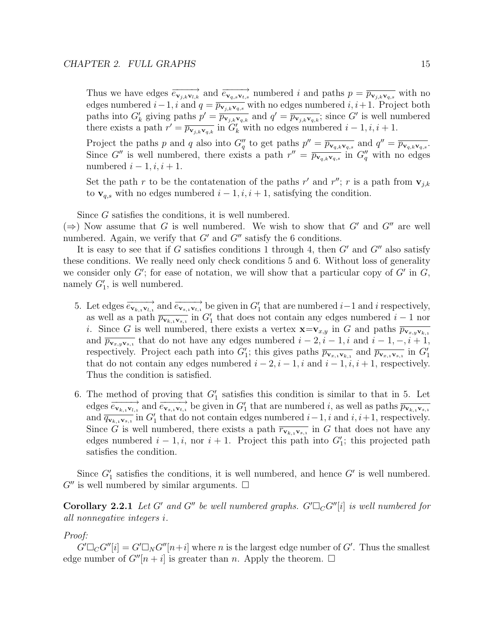Thus we have edges  $\overrightarrow{e_{\mathbf{v}_{j,k}\mathbf{v}_{l,k}}}$  and  $\overrightarrow{e_{\mathbf{v}_{q,s}\mathbf{v}_{t,s}}}$  numbered i and paths  $p = \overrightarrow{p_{\mathbf{v}_{j,k}\mathbf{v}_{q,s}}}$  with no edges numbered  $i-1$ ,  $i$  and  $q = \overline{p_{\mathbf{v}_{j,k}\mathbf{v}_{q,s}}}$  with no edges numbered  $i, i+1$ . Project both paths into  $G'_k$  giving paths  $p' = \overline{p_{\mathbf{v}_{j,k}\mathbf{v}_{q,k}}}$  and  $q' = \overline{p_{\mathbf{v}_{j,k}\mathbf{v}_{q,k}}}$ ; since G' is well numbered there exists a path  $r' = \overline{p_{\mathbf{v}_{j,k}\mathbf{v}_{q,k}}}$  in  $G'_{k}$  with no edges numbered  $i - 1, i, i + 1$ .

Project the paths p and q also into  $G''_q$  to get paths  $p'' = \overline{p_{\mathbf{v}_{q,k}\mathbf{v}_{q,s}}}$  and  $q'' = \overline{p_{\mathbf{v}_{q,k}\mathbf{v}_{q,s}}}$ . Since G'' is well numbered, there exists a path  $r'' = \overline{p_{\mathbf{v}_q,k}\mathbf{v}_{q,s}}$  in  $G''_q$  with no edges numbered  $i - 1, i, i + 1$ .

Set the path r to be the contatenation of the paths r' and r''; r is a path from  $\mathbf{v}_{j,k}$ to  $\mathbf{v}_{q,s}$  with no edges numbered  $i-1, i, i+1$ , satisfying the condition.

Since G satisfies the conditions, it is well numbered.

(⇒) Now assume that G is well numbered. We wish to show that G' and G'' are well numbered. Again, we verify that  $G'$  and  $G''$  satisfy the 6 conditions.

It is easy to see that if G satisfies conditions 1 through 4, then  $G'$  and  $G''$  also satisfy these conditions. We really need only check conditions 5 and 6. Without loss of generality we consider only  $G'$ ; for ease of notation, we will show that a particular copy of  $G'$  in  $G$ , namely  $G'_{1}$ , is well numbered.

- 5. Let edges  $\overrightarrow{e_{\mathbf{v}_{k,i}\mathbf{v}_{l,i}}}$  and  $\overrightarrow{e_{\mathbf{v}_{s,i}\mathbf{v}_{t,i}}}$  be given in  $G'_1$  that are numbered  $i-1$  and i respectively, as well as a path  $\overline{p_{\mathbf{v}_{k,1}\mathbf{v}_{s,1}}}$  in  $G'_1$  that does not contain any edges numbered  $i-1$  nor i. Since G is well numbered, there exists a vertex  $\mathbf{x} = \mathbf{v}_{x,y}$  in G and paths  $\overline{p_{\mathbf{v}_x,y\mathbf{v}_{k,1}}}$ and  $\overline{p_{\mathbf{v}_{x,y}\mathbf{v}_{s,1}}}$  that do not have any edges numbered  $i-2, i-1, i$  and  $i-1, -, i+1$ , respectively. Project each path into  $G'_1$ ; this gives paths  $\overline{p_{\mathbf{v}_{x,1}\mathbf{v}_{k,1}}}$  and  $\overline{p_{\mathbf{v}_{x,1}\mathbf{v}_{s,1}}}$  in  $G'_1$ that do not contain any edges numbered  $i - 2$ ,  $i - 1$ , i and  $i - 1$ ,  $i$ ,  $i + 1$ , respectively. Thus the condition is satisfied.
- 6. The method of proving that  $G'_{1}$  satisfies this condition is similar to that in 5. Let edges  $\overrightarrow{e_{\mathbf{v}_{k,i}\mathbf{v}_{l,i}}}$  and  $\overrightarrow{e_{\mathbf{v}_{s,i}\mathbf{v}_{t,i}}}$  be given in  $G'_1$  that are numbered i, as well as paths  $\overrightarrow{p_{\mathbf{v}_{k,i}\mathbf{v}_{s,i}}}$ and  $\overline{q_{\mathbf{v}_{k,i}\mathbf{v}_{s,i}}}$  in  $G'_1$  that do not contain edges numbered  $i-1$ , i and  $i, i+1$ , respectively. Since G is well numbered, there exists a path  $\overline{r_{\mathbf{v}_{k,1}\mathbf{v}_{s,1}}}$  in G that does not have any edges numbered  $i - 1, i$ , nor  $i + 1$ . Project this path into  $G'_{1}$ ; this projected path satisfies the condition.

Since  $G'_1$  satisfies the conditions, it is well numbered, and hence  $G'$  is well numbered.  $G''$  is well numbered by similar arguments.  $\Box$ 

**Corollary 2.2.1** Let G' and G" be well numbered graphs.  $G' \square_C G''[i]$  is well numbered for all nonnegative integers i.

#### Proof:

 $G' \Box_C G''[i] = G' \Box_N G''[n+i]$  where n is the largest edge number of  $G'$ . Thus the smallest edge number of  $G''[n + i]$  is greater than n. Apply the theorem.  $\Box$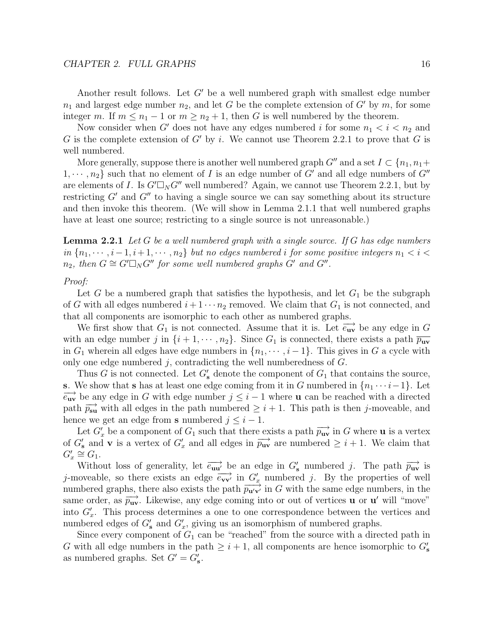Another result follows. Let  $G'$  be a well numbered graph with smallest edge number  $n_1$  and largest edge number  $n_2$ , and let G be the complete extension of G' by m, for some integer m. If  $m \leq n_1 - 1$  or  $m \geq n_2 + 1$ , then G is well numbered by the theorem.

Now consider when G' does not have any edges numbered i for some  $n_1 < i < n_2$  and G is the complete extension of G' by i. We cannot use Theorem 2.2.1 to prove that G is well numbered.

More generally, suppose there is another well numbered graph  $G''$  and a set  $I \subset \{n_1, n_1+\}$  $1, \dots, n_2$  such that no element of I is an edge number of G' and all edge numbers of G'' are elements of *I*. Is  $G' \square_N G''$  well numbered? Again, we cannot use Theorem 2.2.1, but by restricting  $G'$  and  $G''$  to having a single source we can say something about its structure and then invoke this theorem. (We will show in Lemma 2.1.1 that well numbered graphs have at least one source; restricting to a single source is not unreasonable.)

**Lemma 2.2.1** Let G be a well numbered graph with a single source. If G has edge numbers in  ${n_1, \dots, i-1, i+1, \dots, n_2}$  but no edges numbered i for some positive integers  $n_1 < i <$  $n_2$ , then  $G \cong G' \square_N G''$  for some well numbered graphs  $G'$  and  $G''$ .

#### Proof:

Let G be a numbered graph that satisfies the hypothesis, and let  $G_1$  be the subgraph of G with all edges numbered  $i + 1 \cdots n_2$  removed. We claim that  $G_1$  is not connected, and that all components are isomorphic to each other as numbered graphs.

We first show that  $G_1$  is not connected. Assume that it is. Let  $\overrightarrow{e_{uv}}$  be any edge in G with an edge number j in  $\{i+1,\dots,n_2\}$ . Since  $G_1$  is connected, there exists a path  $\overline{p_{uv}}$ in  $G_1$  wherein all edges have edge numbers in  $\{n_1, \dots, i-1\}$ . This gives in G a cycle with only one edge numbered  $j$ , contradicting the well numberedness of  $G$ .

Thus G is not connected. Let  $G'_{s}$  denote the component of  $G_1$  that contains the source, **s**. We show that **s** has at least one edge coming from it in G numbered in  $\{n_1 \cdots i-1\}$ . Let  $\overrightarrow{e_{uv}}$  be any edge in G with edge number  $j \leq i-1$  where **u** can be reached with a directed path  $\overrightarrow{p_{\text{su}}}$  with all edges in the path numbered  $\geq i+1$ . This path is then j-moveable, and hence we get an edge from **s** numbered  $j \leq i - 1$ .

Let  $G'_x$  be a component of  $G_1$  such that there exists a path  $\overrightarrow{p_{uv}}$  in G where **u** is a vertex of  $G'_{s}$  and **v** is a vertex of  $G'_{x}$  and all edges in  $\overrightarrow{p_{uv}}$  are numbered  $\geq i+1$ . We claim that  $G'_x \cong G_1.$ 

Without loss of generality, let  $\overrightarrow{e_{uu}}$  be an edge in  $G'_{s}$  numbered j. The path  $\overrightarrow{p_{uv}}$  is j-moveable, so there exists an edge  $\overrightarrow{e_{vv'}}$  in  $G'_x$  numbered j. By the properties of well numbered graphs, there also exists the path  $\overrightarrow{p_{\mathbf{u}'\mathbf{v}'}}$  in G with the same edge numbers, in the same order, as  $\overrightarrow{p_{uv}}$ . Likewise, any edge coming into or out of vertices **u** or **u**' will "move" into  $G'_x$ . This process determines a one to one correspondence between the vertices and numbered edges of  $G'_{s}$  and  $G'_{x}$ , giving us an isomorphism of numbered graphs.

Since every component of  $G_1$  can be "reached" from the source with a directed path in G with all edge numbers in the path  $\geq i + 1$ , all components are hence isomorphic to  $G'_{s}$ as numbered graphs. Set  $G' = G'_{s}$ .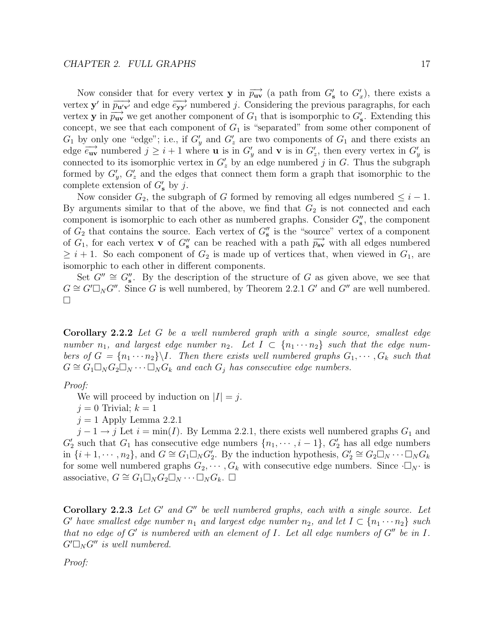Now consider that for every vertex **y** in  $\overrightarrow{p_{uv}}$  (a path from  $G'_{s}$  to  $G'_{x}$ ), there exists a vertex **y** in  $\overrightarrow{p_{\mathbf{u}'\mathbf{v}'}}$  and edge  $\overrightarrow{e_{\mathbf{y}\mathbf{y}'}}$  numbered j. Considering the previous paragraphs, for each vertex **y** in  $\overrightarrow{p_{uv}}$  we get another component of  $G_1$  that is isomporphic to  $G'_s$ . Extending this concept, we see that each component of  $G_1$  is "separated" from some other component of  $G_1$  by only one "edge"; i.e., if  $G'_y$  and  $G'_z$  are two components of  $G_1$  and there exists an edge  $\overrightarrow{e_{uv}}$  numbered  $\overrightarrow{j} \geq i+1$  where **u** is in  $G'_v$  and **v** is in  $G'_z$ , then every vertex in  $G'_v$  is connected to its isomorphic vertex in  $G'_{z}$  by an edge numbered j in G. Thus the subgraph formed by  $G'_n$ ,  $G'_z$  and the edges that connect them form a graph that isomorphic to the complete extension of  $G'_{s}$  by j.

Now consider  $G_2$ , the subgraph of G formed by removing all edges numbered  $\leq i - 1$ . By arguments similar to that of the above, we find that  $G_2$  is not connected and each component is isomorphic to each other as numbered graphs. Consider  $G''_{s}$ , the component of  $G_2$  that contains the source. Each vertex of  $G''_{s}$  is the "source" vertex of a component of  $G_1$ , for each vertex **v** of  $G''_s$  can be reached with a path  $\overrightarrow{p_{sv}}$  with all edges numbered  $\geq i+1$ . So each component of  $G_2$  is made up of vertices that, when viewed in  $G_1$ , are isomorphic to each other in different components.

Set  $G'' \cong G''_s$ . By the description of the structure of G as given above, we see that  $G \cong G' \square_N G''$ . Since G is well numbered, by Theorem 2.2.1 G' and G'' are well numbered.  $\Box$ 

**Corollary 2.2.2** Let G be a well numbered graph with a single source, smallest edge number  $n_1$ , and largest edge number  $n_2$ . Let  $I \subset \{n_1 \cdots n_2\}$  such that the edge numbers of  $G = \{n_1 \cdots n_2\} \backslash I$ . Then there exists well numbered graphs  $G_1, \cdots, G_k$  such that  $G \cong G_1 \square_N G_2 \square_N \cdots \square_N G_k$  and each  $G_j$  has consecutive edge numbers.

#### Proof:

We will proceed by induction on  $|I| = j$ .

 $j = 0$  Trivial;  $k = 1$ 

 $j = 1$  Apply Lemma 2.2.1

 $j-1 \rightarrow j$  Let  $i = \min(I)$ . By Lemma 2.2.1, there exists well numbered graphs  $G_1$  and  $G_2'$  such that  $G_1$  has consecutive edge numbers  $\{n_1, \dots, i-1\}$ ,  $G_2'$  has all edge numbers in  $\{i+1,\dotsm,n_2\}$ , and  $G \cong G_1 \square_N G_2^{\gamma}$ . By the induction hypothesis,  $G_2^{\prime} \cong G_2 \square_N \cdots \square_N G_k$ for some well numbered graphs  $G_2, \cdots, G_k$  with consecutive edge numbers. Since  $\cdot \Box_N \cdot$  is associative,  $G \cong G_1 \square_N G_2 \square_N \cdots \square_N G_k$ .  $\square$ 

**Corollary 2.2.3** Let  $G'$  and  $G''$  be well numbered graphs, each with a single source. Let G' have smallest edge number  $n_1$  and largest edge number  $n_2$ , and let  $I \subset \{n_1 \cdots n_2\}$  such that no edge of  $G'$  is numbered with an element of I. Let all edge numbers of  $G''$  be in I.  $G' \square_N G''$  is well numbered.

Proof: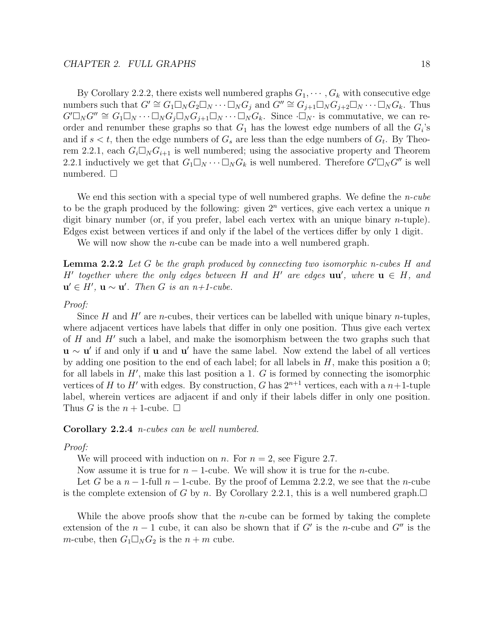By Corollary 2.2.2, there exists well numbered graphs  $G_1, \dots, G_k$  with consecutive edge numbers such that  $G' \cong G_1 \square_N G_2 \square_N \cdots \square_N G_j$  and  $G'' \cong G_{j+1} \square_N G_{j+2} \square_N \cdots \square_N G_k$ . Thus  $G' \square_N G'' \cong G_1 \square_N \cdots \square_N G_j \square_N G_{j+1} \square_N \cdots \square_N G_k$ . Since  $\cdot \square_N \cdot$  is commutative, we can reorder and renumber these graphs so that  $G_1$  has the lowest edge numbers of all the  $G_i$ 's and if  $s < t$ , then the edge numbers of  $G_s$  are less than the edge numbers of  $G_t$ . By Theorem 2.2.1, each  $G_i\Box_N G_{i+1}$  is well numbered; using the associative property and Theorem 2.2.1 inductively we get that  $G_1\square_N\cdots\square_N G_k$  is well numbered. Therefore  $G'\square_N G''$  is well numbered.  $\square$ 

We end this section with a special type of well numbered graphs. We define the *n-cube* to be the graph produced by the following: given  $2<sup>n</sup>$  vertices, give each vertex a unique n digit binary number (or, if you prefer, label each vertex with an unique binary  $n$ -tuple). Edges exist between vertices if and only if the label of the vertices differ by only 1 digit.

We will now show the *n*-cube can be made into a well numbered graph.

**Lemma 2.2.2** Let G be the graph produced by connecting two isomorphic n-cubes H and H' together where the only edges between H and H' are edges  $\mathbf{u}\mathbf{u}'$ , where  $\mathbf{u} \in H$ , and  $\mathbf{u}' \in H'$ ,  $\mathbf{u} \sim \mathbf{u}'$ . Then G is an  $n+1$ -cube.

#### Proof:

Since H and H' are n-cubes, their vertices can be labelled with unique binary n-tuples, where adjacent vertices have labels that differ in only one position. Thus give each vertex of H and  $H'$  such a label, and make the isomorphism between the two graphs such that **u** ∼ **u**' if and only if **u** and **u**' have the same label. Now extend the label of all vertices by adding one position to the end of each label; for all labels in  $H$ , make this position a 0; for all labels in  $H'$ , make this last position a 1. G is formed by connecting the isomorphic vertices of H to H' with edges. By construction, G has  $2^{n+1}$  vertices, each with a  $n+1$ -tuple label, wherein vertices are adjacent if and only if their labels differ in only one position. Thus G is the  $n+1$ -cube.  $\Box$ 

#### **Corollary 2.2.4** n-cubes can be well numbered.

#### Proof:

We will proceed with induction on n. For  $n = 2$ , see Figure 2.7.

Now assume it is true for  $n-1$ -cube. We will show it is true for the *n*-cube.

Let G be a  $n-1$ -full  $n-1$ -cube. By the proof of Lemma 2.2.2, we see that the *n*-cube is the complete extension of G by n. By Corollary 2.2.1, this is a well numbered graph.  $\Box$ 

While the above proofs show that the *n*-cube can be formed by taking the complete extension of the  $n-1$  cube, it can also be shown that if G' is the n-cube and G'' is the m-cube, then  $G_1 \square_N G_2$  is the  $n + m$  cube.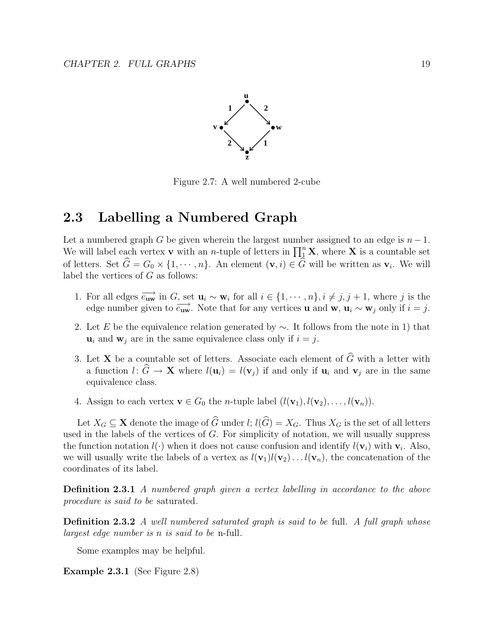

Figure 2.7: A well numbered 2-cube

# **2.3 Labelling a Numbered Graph**

Let a numbered graph G be given wherein the largest number assigned to an edge is  $n-1$ . We will label each vertex **v** with an *n*-tuple of letters in  $\prod_{1}^{n} \mathbf{X}$ , where **X** is a countable set of letters. Set  $G = G_0 \times \{1, \dots, n\}$ . An element  $(\mathbf{v}, i) \in G$  will be written as  $\mathbf{v}_i$ . We will label the vertices of  $G$  as follows:

- 1. For all edges  $\overrightarrow{e_{uw}}$  in G, set  $\mathbf{u}_i \sim \mathbf{w}_i$  for all  $i \in \{1, \cdots, n\}$ ,  $i \neq j, j+1$ , where j is the edge number given to  $\overrightarrow{e_{uw}}$ . Note that for any vertices **u** and **w**,  $\mathbf{u}_i \sim \mathbf{w}_j$  only if  $i = j$ .
- 2. Let E be the equivalence relation generated by  $\sim$ . It follows from the note in 1) that  $\mathbf{u}_i$  and  $\mathbf{w}_j$  are in the same equivalence class only if  $i = j$ .
- 3. Let **X** be a countable set of letters. Associate each element of  $\widehat{G}$  with a letter with a function  $l: \widehat{G} \to \mathbf{X}$  where  $l(\mathbf{u}_i) = l(\mathbf{v}_j)$  if and only if  $\mathbf{u}_i$  and  $\mathbf{v}_j$  are in the same equivalence class.
- 4. Assign to each vertex  $\mathbf{v} \in G_0$  the *n*-tuple label  $(l(\mathbf{v}_1), l(\mathbf{v}_2), \ldots, l(\mathbf{v}_n))$ .

Let  $X_G \subseteq \mathbf{X}$  denote the image of  $\widehat{G}$  under  $l$ ;  $l(\widehat{G}) = X_G$ . Thus  $X_G$  is the set of all letters used in the labels of the vertices of  $G$ . For simplicity of notation, we will usually suppress the function notation  $l(\cdot)$  when it does not cause confusion and identify  $l(\mathbf{v}_i)$  with  $\mathbf{v}_i$ . Also, we will usually write the labels of a vertex as  $l(\mathbf{v}_1)l(\mathbf{v}_2)...l(\mathbf{v}_n)$ , the concatenation of the coordinates of its label.

**Definition 2.3.1** A numbered graph given a vertex labelling in accordance to the above procedure is said to be saturated.

**Definition 2.3.2** A well numbered saturated graph is said to be full. A full graph whose largest edge number is n is said to be n-full.

Some examples may be helpful.

**Example 2.3.1** (See Figure 2.8)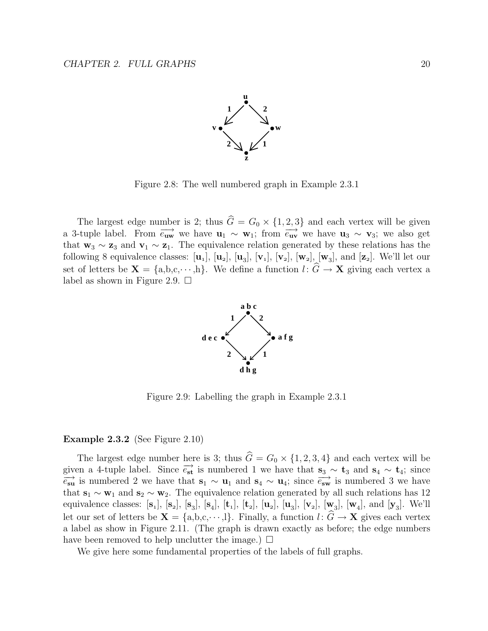

Figure 2.8: The well numbered graph in Example 2.3.1

The largest edge number is 2; thus  $\hat{G} = G_0 \times \{1, 2, 3\}$  and each vertex will be given a 3-tuple label. From  $\overrightarrow{e_{uw}}$  we have  $\mathbf{u}_1 \sim \mathbf{w}_1$ ; from  $\overrightarrow{e_{uv}}$  we have  $\mathbf{u}_3 \sim \mathbf{v}_3$ ; we also get that  $\mathbf{w}_3 \sim \mathbf{z}_3$  and  $\mathbf{v}_1 \sim \mathbf{z}_1$ . The equivalence relation generated by these relations has the following 8 equivalence classes:  $[\mathbf{u}_1], [\mathbf{u}_2], [\mathbf{u}_3], [\mathbf{v}_1], [\mathbf{v}_2], [\mathbf{w}_2], [\mathbf{w}_3],$  and  $[\mathbf{z}_2]$ . We'll let our set of letters be  $\mathbf{X} = \{a, b, c, \dots, h\}$ . We define a function  $l: \widehat{G} \to \mathbf{X}$  giving each vertex a label as shown in Figure 2.9.  $\Box$ 



Figure 2.9: Labelling the graph in Example 2.3.1

#### **Example 2.3.2** (See Figure 2.10)

The largest edge number here is 3; thus  $\hat{G} = G_0 \times \{1, 2, 3, 4\}$  and each vertex will be given a 4-tuple label. Since  $\overrightarrow{e_{st}}$  is numbered 1 we have that  $\overrightarrow{s_3} \sim \overrightarrow{t_3}$  and  $\overrightarrow{s_4} \sim \overrightarrow{t_4}$ ; since  $\overrightarrow{e_{su}}$  is numbered 2 we have that  $\overrightarrow{s_1} \sim \overrightarrow{u_1}$  and  $\overrightarrow{s_4} \sim \overrightarrow{u_4}$ ; since  $\overrightarrow{e_{sw}}$  is  $\frac{\partial}{\partial s}$  is numbered 2 we have that  $s_1 \sim u_1$  and  $s_4 \sim u_4$ ; since  $\frac{\partial}{\partial s}$  is numbered 3 we have that  $\mathbf{s}_1 \sim \mathbf{w}_1$  and  $\mathbf{s}_2 \sim \mathbf{w}_2$ . The equivalence relation generated by all such relations has 12 equivalence classes: [**s**], [**s**], [**s**], [**s**], [**t**], [**t**], [**u**], [**u**], [**v**], [**w**], [**w**], and [**y**]. We'll let our set of letters be  $X = \{a, b, c, \dots, l\}$ . Finally, a function  $l: \hat{G} \to X$  gives each vertex a label as show in Figure 2.11. (The graph is drawn exactly as before; the edge numbers have been removed to help unclutter the image.)  $\Box$ 

We give here some fundamental properties of the labels of full graphs.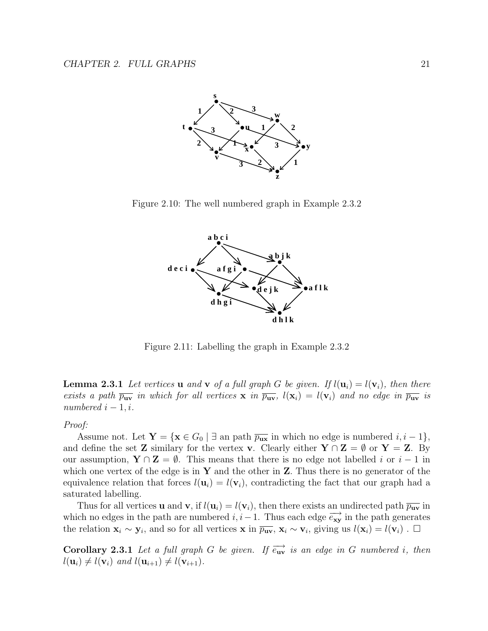

Figure 2.10: The well numbered graph in Example 2.3.2



Figure 2.11: Labelling the graph in Example 2.3.2

**Lemma 2.3.1** Let vertices **u** and **v** of a full graph G be given. If  $l(\mathbf{u}_i) = l(\mathbf{v}_i)$ , then there exists a path  $\overline{p_{uv}}$  in which for all vertices **x** in  $\overline{p_{uv}}$ ,  $l(\mathbf{x}_i) = l(\mathbf{v}_i)$  and no edge in  $\overline{p_{uv}}$  is numbered  $i - 1, i$ .

Proof:

Assume not. Let  $\mathbf{Y} = {\mathbf{x} \in G_0 \mid \exists \text{ an path } \overline{p_{\mathbf{u}\mathbf{x}}}}$  in which no edge is numbered  $i, i - 1}$ , and define the set **Z** similary for the vertex **v**. Clearly either  $Y \cap Z = \emptyset$  or  $Y = Z$ . By our assumption,  $Y \cap Z = \emptyset$ . This means that there is no edge not labelled i or  $i - 1$  in which one vertex of the edge is in **Y** and the other in **Z**. Thus there is no generator of the equivalence relation that forces  $l(\mathbf{u}_i) = l(\mathbf{v}_i)$ , contradicting the fact that our graph had a saturated labelling.

Thus for all vertices **u** and **v**, if  $l(\mathbf{u}_i) = l(\mathbf{v}_i)$ , then there exists an undirected path  $\overline{p_{\mathbf{u}\mathbf{v}}}$  in which no edges in the path are numbered  $i, i-1$ . Thus each edge  $\overrightarrow{e_{xy}}$  in the path generates the relation  $\mathbf{x}_i \sim \mathbf{y}_i$ , and so for all vertices **x** in  $\overline{p_{uv}}, \mathbf{x}_i \sim \mathbf{v}_i$ , giving us  $l(\mathbf{x}_i) = l(\mathbf{v}_i)$ . □

**Corollary 2.3.1** Let a full graph G be given. If  $\overrightarrow{e_{uv}}$  is an edge in G numbered i, then  $l(\mathbf{u}_i) \neq l(\mathbf{v}_i)$  and  $l(\mathbf{u}_{i+1}) \neq l(\mathbf{v}_{i+1})$ .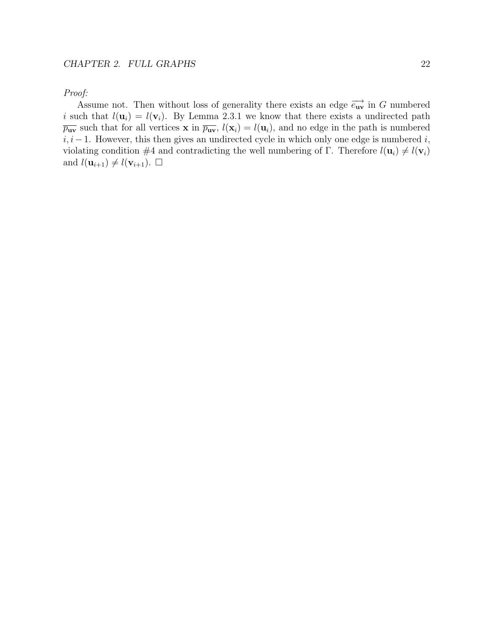Proof:

Assume not. Then without loss of generality there exists an edge  $\overrightarrow{e_{uv}}$  in G numbered i such that  $l(\mathbf{u}_i) = l(\mathbf{v}_i)$ . By Lemma 2.3.1 we know that there exists a undirected path  $\overline{p_{uv}}$  such that for all vertices **x** in  $\overline{p_{uv}}$ ,  $l(\mathbf{x}_i) = l(\mathbf{u}_i)$ , and no edge in the path is numbered  $i, i-1$ . However, this then gives an undirected cycle in which only one edge is numbered  $i$ , violating condition #4 and contradicting the well numbering of  $\Gamma$ . Therefore  $l(\mathbf{u}_i) \neq l(\mathbf{v}_i)$ and  $l(\mathbf{u}_{i+1}) \neq l(\mathbf{v}_{i+1})$ .  $\Box$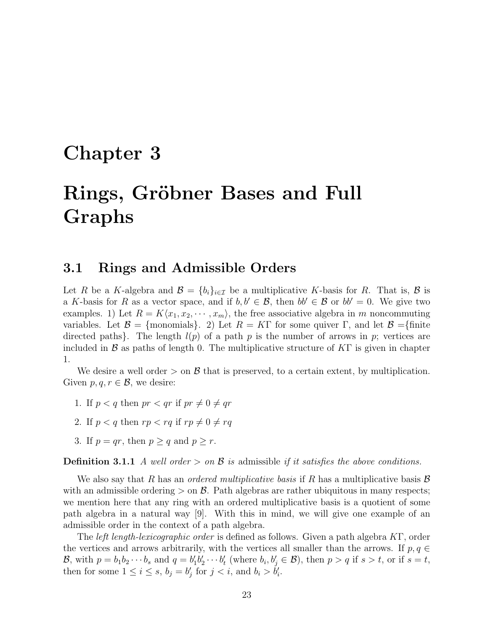# **Chapter 3**

# Rings, Gröbner Bases and Full **Graphs**

## **3.1 Rings and Admissible Orders**

Let R be a K-algebra and  $\mathcal{B} = \{b_i\}_{i \in \mathcal{I}}$  be a multiplicative K-basis for R. That is,  $\mathcal{B}$  is a K-basis for R as a vector space, and if  $b, b' \in \mathcal{B}$ , then  $bb' \in \mathcal{B}$  or  $bb' = 0$ . We give two examples. 1) Let  $R = K\langle x_1, x_2, \cdots, x_m \rangle$ , the free associative algebra in m noncommuting variables. Let  $\mathcal{B} = \{$ monomials $\}$ . 2) Let  $R = K\Gamma$  for some quiver  $\Gamma$ , and let  $\mathcal{B} = \{$ finite directed paths). The length  $l(p)$  of a path p is the number of arrows in p; vertices are included in B as paths of length 0. The multiplicative structure of  $K\Gamma$  is given in chapter 1.

We desire a well order  $>$  on  $\beta$  that is preserved, to a certain extent, by multiplication. Given  $p, q, r \in \mathcal{B}$ , we desire:

- 1. If  $p < q$  then  $pr < qr$  if  $pr \neq 0 \neq qr$
- 2. If  $p < q$  then  $rp < rq$  if  $rp \neq 0 \neq rq$
- 3. If  $p = qr$ , then  $p > q$  and  $p > r$ .

**Definition 3.1.1** A well order  $>$  on  $\mathcal B$  is admissible if it satisfies the above conditions.

We also say that R has an *ordered multiplicative basis* if R has a multiplicative basis  $\mathcal{B}$ with an admissible ordering  $>$  on  $\beta$ . Path algebras are rather ubiquitous in many respects; we mention here that any ring with an ordered multiplicative basis is a quotient of some path algebra in a natural way [9]. With this in mind, we will give one example of an admissible order in the context of a path algebra.

The left length-lexicographic order is defined as follows. Given a path algebra KΓ, order the vertices and arrows arbitrarily, with the vertices all smaller than the arrows. If  $p, q \in$ B, with  $p = b_1 b_2 \cdots b_s$  and  $q = b'_1 b'_2 \cdots b'_t$  (where  $b_i, b'_j \in \mathcal{B}$ ), then  $p > q$  if  $s > t$ , or if  $s = t$ , then for some  $1 \leq i \leq s$ ,  $b_j = b'_j$  for  $j < i$ , and  $b_i > b'_i$ .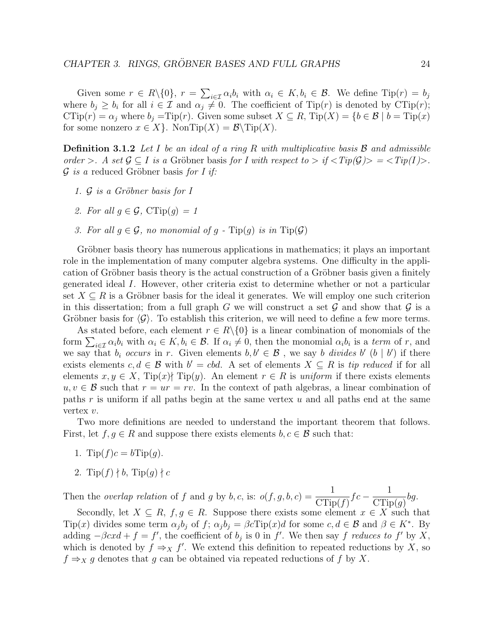Given some  $r \in R \setminus \{0\}$ ,  $r = \sum_{i \in \mathcal{I}} \alpha_i b_i$  with  $\alpha_i \in K$ ,  $b_i \in \mathcal{B}$ . We define  $\text{Tip}(r) = b_j$ where  $b_i \geq b_i$  for all  $i \in \mathcal{I}$  and  $\alpha_i \neq 0$ . The coefficient of Tip(r) is denoted by CTip(r);  $\text{CTip}(r) = \alpha_j$  where  $b_j = \text{Tip}(r)$ . Given some subset  $X \subseteq R$ ,  $\text{Tip}(X) = \{b \in \mathcal{B} \mid b = \text{Tip}(x)\}$ for some nonzero  $x \in X$ . NonTip $(X) = \mathcal{B} \setminus \text{Tip}(X)$ .

**Definition 3.1.2** Let I be an ideal of a ring R with multiplicative basis B and admissible order >. A set  $\mathcal{G} \subset I$  is a Gröbner basis for I with respect to > if  $\langle Tip(\mathcal{G}) \rangle = \langle Tip(I) \rangle$ .  $\mathcal G$  is a reduced Gröbner basis for I if:

- 1.  $\mathcal G$  is a Gröbner basis for I
- 2. For all  $q \in \mathcal{G}$ ,  $CTip(q) = 1$
- 3. For all  $q \in \mathcal{G}$ , no monomial of q  $\text{Tip}(q)$  is in  $\text{Tip}(\mathcal{G})$

Gröbner basis theory has numerous applications in mathematics; it plays an important role in the implementation of many computer algebra systems. One difficulty in the application of Gröbner basis theory is the actual construction of a Gröbner basis given a finitely generated ideal I. However, other criteria exist to determine whether or not a particular set  $X \subseteq R$  is a Gröbner basis for the ideal it generates. We will employ one such criterion in this dissertation; from a full graph G we will construct a set  $\mathcal G$  and show that  $\mathcal G$  is a Gröbner basis for  $\langle \mathcal{G} \rangle$ . To establish this criterion, we will need to define a few more terms.

As stated before, each element  $r \in R \setminus \{0\}$  is a linear combination of monomials of the form  $\sum_{i\in\mathcal{I}}\alpha_i b_i$  with  $\alpha_i \in K, b_i \in \mathcal{B}$ . If  $\alpha_i \neq 0$ , then the monomial  $\alpha_i b_i$  is a term of r, and we say that  $b_i$  occurs in r. Given elements  $b, b' \in \mathcal{B}$ , we say b divides b'  $(b | b')$  if there exists elements  $c, d \in \mathcal{B}$  with  $b' = cbd$ . A set of elements  $X \subseteq R$  is tip reduced if for all elements  $x, y \in X$ , Tip(x) Tip(y). An element  $r \in R$  is uniform if there exists elements  $u, v \in \mathcal{B}$  such that  $r = ur = rv$ . In the context of path algebras, a linear combination of paths r is uniform if all paths begin at the same vertex  $u$  and all paths end at the same vertex v.

Two more definitions are needed to understand the important theorem that follows. First, let  $f, g \in R$  and suppose there exists elements  $b, c \in \mathcal{B}$  such that:

- 1. Tip( $f$ ) $c = b$ Tip( $q$ ).
- 2. Tip $(f) \nmid b$ , Tip $(g) \nmid c$

Then the *overlap relation* of f and g by b, c, is:  $o(f, g, b, c) = \frac{1}{C}$  $CTip(f)$  $fc - \frac{1}{\text{C} \cdot \text{C}}$  $CTip(g)$ bg.

Secondly, let  $X \subseteq R$ ,  $f, g \in R$ . Suppose there exists some element  $x \in X$  such that Tip(x) divides some term  $\alpha_j b_j$  of f;  $\alpha_j b_j = \beta c \text{Tip}(x) d$  for some  $c, d \in \mathcal{B}$  and  $\beta \in K^*$ . By adding  $-\beta cxd + f = f'$ , the coefficient of  $b_j$  is 0 in f'. We then say f reduces to f' by X, which is denoted by  $f \Rightarrow_X f'$ . We extend this definition to repeated reductions by X, so  $f \Rightarrow_X g$  denotes that g can be obtained via repeated reductions of f by X.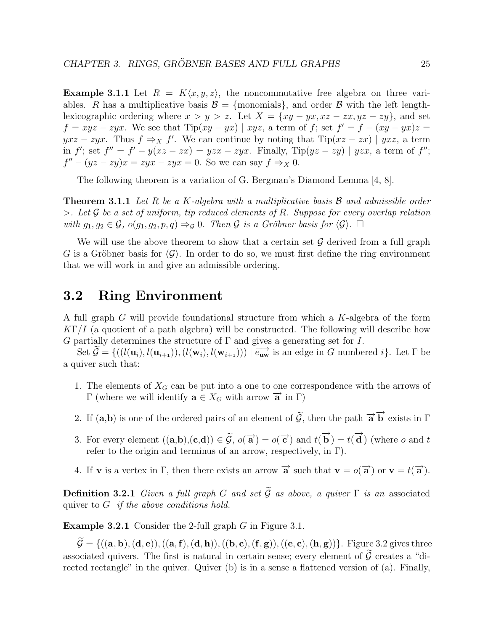**Example 3.1.1** Let  $R = K\langle x, y, z \rangle$ , the noncommutative free algebra on three variables. R has a multiplicative basis  $\mathcal{B} = \{$ monomials $\}$ , and order  $\mathcal{B}$  with the left lengthlexicographic ordering where  $x>y>z$ . Let  $X = \{xy-yx, xz - zx, yz - zy\}$ , and set  $f = xyz - zyx$ . We see that  $Tip(xy - yx) | xyz$ , a term of f; set  $f' = f - (xy - yx)z =$  $yxz - zyx$ . Thus  $f \Rightarrow_X f'$ . We can continue by noting that  $Tip(xz - zx) | yxz$ , a term in f'; set  $f'' = f' - y(xz - zx) = yzx - zyx$ . Finally, Tip $(yz - zy)$  |  $yzx$ , a term of f'';  $f'' - (yz - zy)x = zyx - zyx = 0$ . So we can say  $f \Rightarrow_X 0$ .

The following theorem is a variation of G. Bergman's Diamond Lemma [4, 8].

**Theorem 3.1.1** Let R be a K-algebra with a multiplicative basis B and admissible order  $>$ . Let G be a set of uniform, tip reduced elements of R. Suppose for every overlap relation with  $g_1, g_2 \in \mathcal{G}$ ,  $o(g_1, g_2, p, q) \Rightarrow_{\mathcal{G}} 0$ . Then  $\mathcal{G}$  is a Gröbner basis for  $\langle \mathcal{G} \rangle$ .  $\Box$ 

We will use the above theorem to show that a certain set  $\mathcal G$  derived from a full graph G is a Gröbner basis for  $\langle \mathcal{G} \rangle$ . In order to do so, we must first define the ring environment that we will work in and give an admissible ordering.

## **3.2 Ring Environment**

A full graph G will provide foundational structure from which a K-algebra of the form  $K\Gamma/I$  (a quotient of a path algebra) will be constructed. The following will describe how G partially determines the structure of  $\Gamma$  and gives a generating set for I.

Set  $\widetilde{\mathcal{G}} = \{((l(\mathbf{u}_i), l(\mathbf{u}_{i+1})),(l(\mathbf{w}_i), l(\mathbf{w}_{i+1}))) \mid \overrightarrow{e_{\mathbf{u}\mathbf{w}}}$  is an edge in G numbered i}. Let  $\Gamma$  be a quiver such that:

- 1. The elements of  $X_G$  can be put into a one to one correspondence with the arrows of Γ (where we will identify **a**  $\in$   $X$ <sub>*G*</sub> with arrow  $\overrightarrow{a}$  in Γ)
- 2. If  $(a,b)$  is one of the ordered pairs of an element of  $\tilde{G}$ , then the path  $\overrightarrow{a}$   $\overrightarrow{b}$  exists in  $\Gamma$
- 3. For every element  $((\mathbf{a}, \mathbf{b}), (\mathbf{c}, \mathbf{d})) \in \widetilde{\mathcal{G}}, o(\overrightarrow{\mathbf{a}}) = o(\overrightarrow{\mathbf{c}})$  and  $t(\overrightarrow{\mathbf{b}}) = t(\overrightarrow{\mathbf{d}})$  (where o and t refer to the origin and terminus of an arrow, respectively, in  $\Gamma$ ).
- 4. If **v** is a vertex in  $\Gamma$ , then there exists an arrow  $\vec{a}$  such that  $\mathbf{v} = o(\vec{a})$  or  $\mathbf{v} = t(\vec{a})$ .

**Definition 3.2.1** Given a full graph G and set  $\widetilde{G}$  as above, a quiver  $\Gamma$  is an associated quiver to  $G$  if the above conditions hold.

**Example 3.2.1** Consider the 2-full graph G in Figure 3.1.

 $\widetilde{\mathcal{G}} = \{((\mathbf{a}, \mathbf{b}),(\mathbf{d}, \mathbf{e})),((\mathbf{a}, \mathbf{f}),(\mathbf{d}, \mathbf{h})),((\mathbf{b}, \mathbf{c}),(\mathbf{f}, \mathbf{g})),((\mathbf{e}, \mathbf{c}),(\mathbf{h}, \mathbf{g}))\}$ . Figure 3.2 gives three associated quivers. The first is natural in certain sense; every element of  $\tilde{\mathcal{G}}$  creates a "directed rectangle" in the quiver. Quiver (b) is in a sense a flattened version of (a). Finally,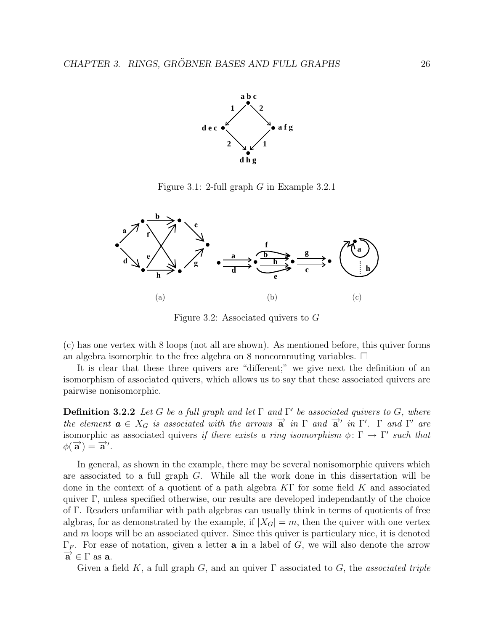

Figure 3.1: 2-full graph G in Example 3.2.1



Figure 3.2: Associated quivers to G

(c) has one vertex with 8 loops (not all are shown). As mentioned before, this quiver forms an algebra isomorphic to the free algebra on 8 noncommuting variables.  $\Box$ 

It is clear that these three quivers are "different;" we give next the definition of an isomorphism of associated quivers, which allows us to say that these associated quivers are pairwise nonisomorphic.

**Definition 3.2.2** Let G be a full graph and let  $\Gamma$  and  $\Gamma'$  be associated quivers to G, where the element  $\mathbf{a} \in X_G$  is associated with the arrows  $\overrightarrow{\mathbf{a}}$  in  $\Gamma$  and  $\overrightarrow{\mathbf{a}}'$  in  $\Gamma'$ .  $\Gamma$  and  $\Gamma'$  are isomorphic as associated quivers if there exists a ring isomorphism  $\phi \colon \Gamma \to \Gamma'$  such that  $\phi(\vec{a}) = \vec{a}'$ .

In general, as shown in the example, there may be several nonisomorphic quivers which are associated to a full graph G. While all the work done in this dissertation will be done in the context of a quotient of a path algebra KΓ for some field K and associated quiver Γ, unless specified otherwise, our results are developed independantly of the choice of Γ. Readers unfamiliar with path algebras can usually think in terms of quotients of free algbras, for as demonstrated by the example, if  $|X_G| = m$ , then the quiver with one vertex and  $m$  loops will be an associated quiver. Since this quiver is particulary nice, it is denoted  $Γ<sub>F</sub>$ . For ease of notation, given a letter **a** in a label of *G*, we will also denote the arrow  $\overrightarrow{a}$  ∈ Γ as **a**.

Given a field K, a full graph G, and an quiver  $\Gamma$  associated to G, the associated triple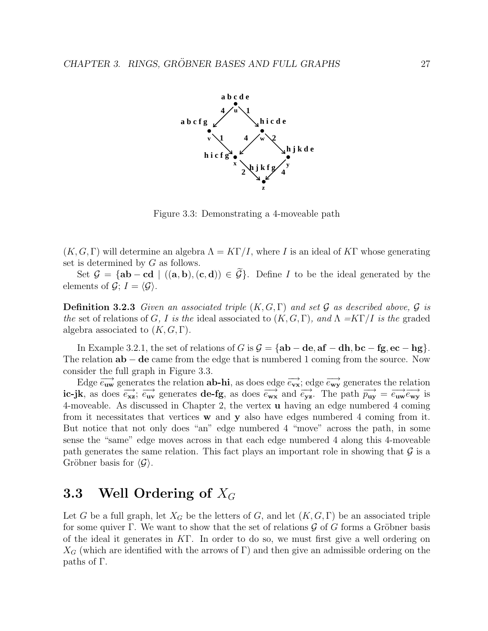

Figure 3.3: Demonstrating a 4-moveable path

 $(K, G, \Gamma)$  will determine an algebra  $\Lambda = K\Gamma/I$ , where I is an ideal of KT whose generating set is determined by  $G$  as follows.

Set  $\mathcal{G} = {\bf{ab}-cd \mid ((a,b),(c,d)) \in \widetilde{\mathcal{G}}}$ . Define I to be the ideal generated by the elements of  $\mathcal{G}$ ;  $I = \langle \mathcal{G} \rangle$ .

**Definition 3.2.3** Given an associated triple  $(K, G, \Gamma)$  and set G as described above, G is the set of relations of G, I is the ideal associated to  $(K, G, \Gamma)$ , and  $\Lambda = K\Gamma/I$  is the graded algebra associated to  $(K, G, \Gamma)$ .

In Example 3.2.1, the set of relations of G is G = {**ab** − **de**, **af** − **dh**, **bc** − **fg**, **ec** − **hg**}. The relation **ab** − **de** came from the edge that is numbered 1 coming from the source. Now consider the full graph in Figure 3.3.

Edge  $\overrightarrow{e_{uw}}$  generates the relation **ab-hi**, as does edge  $\overrightarrow{e_{vx}}$ ; edge  $\overrightarrow{e_{wy}}$  generates the relation **ic-jk**, as does  $\overrightarrow{e_{xx}}$ ;  $\overrightarrow{e_{uv}}$  generates **de-fg**, as does  $\overrightarrow{e_{wx}}$  and  $\overrightarrow{e_{yz}}$ . The path  $\overrightarrow{p_{uy}} = \overrightarrow{e_{uw}} \overrightarrow{e_{wy}}$  is 4-moveable. As discussed in Chapter 2, the vertex **u** having an edge numbered 4 coming from it necessitates that vertices **w** and **y** also have edges numbered 4 coming from it. But notice that not only does "an" edge numbered 4 "move" across the path, in some sense the "same" edge moves across in that each edge numbered 4 along this 4-moveable path generates the same relation. This fact plays an important role in showing that  $\mathcal G$  is a Gröbner basis for  $\langle \mathcal{G} \rangle$ .

# **3.3** Well Ordering of  $X_G$

Let G be a full graph, let  $X_G$  be the letters of G, and let  $(K, G, \Gamma)$  be an associated triple for some quiver Γ. We want to show that the set of relations  $\mathcal G$  of G forms a Gröbner basis of the ideal it generates in KΓ. In order to do so, we must first give a well ordering on  $X_G$  (which are identified with the arrows of Γ) and then give an admissible ordering on the paths of Γ.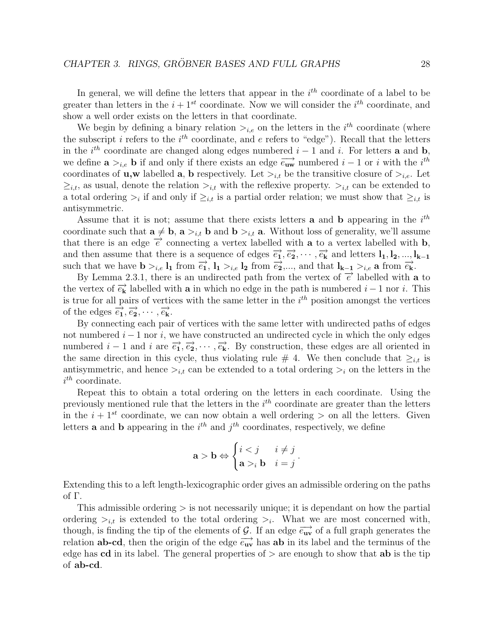In general, we will define the letters that appear in the  $i^{th}$  coordinate of a label to be greater than letters in the  $i+1^{st}$  coordinate. Now we will consider the  $i^{th}$  coordinate, and show a well order exists on the letters in that coordinate.

We begin by defining a binary relation  $\sum_{i,e}$  on the letters in the  $i^{th}$  coordinate (where the subscript i refers to the  $i^{th}$  coordinate, and e refers to "edge"). Recall that the letters in the  $i^{th}$  coordinate are changed along edges numbered  $i - 1$  and i. For letters **a** and **b**, we define  $\mathbf{a} >_{i,e} \mathbf{b}$  if and only if there exists an edge  $\overrightarrow{e_{\mathbf{uw}}}$  numbered  $i-1$  or i with the i<sup>th</sup> coordinates of **u**,w labelled **a**, **b** respectively. Let  $>_{i,t}$  be the transitive closure of  $>_{i,e}$ . Let  $\geq_{i,t}$ , as usual, denote the relation  $\gt_{i,t}$  with the reflexive property.  $\gt_{i,t}$  can be extended to a total ordering  $\geq_i$  if and only if  $\geq_{i,t}$  is a partial order relation; we must show that  $\geq_{i,t}$  is antisymmetric.

Assume that it is not; assume that there exists letters **a** and **b** appearing in the  $i^{th}$ coordinate such that  $\mathbf{a} \neq \mathbf{b}$ ,  $\mathbf{a} >_{i,t} \mathbf{b}$  and  $\mathbf{b} >_{i,t} \mathbf{a}$ . Without loss of generality, we'll assume that there is an edge  $\overrightarrow{e}$  connecting a vertex labelled with **a** to a vertex labelled with **b**, and then assume that there is a sequence of edges  $\vec{e_1}, \vec{e_2}, \cdots, \vec{e_k}$  and letters  $\mathbf{l}_1, \mathbf{l}_2, ..., \mathbf{l}_{k-1}$ such that we have  $\mathbf{b} >_{i,e} \mathbf{l}_1$  from  $\overrightarrow{e_1}$ ,  $\mathbf{l}_1 >_{i,e} \mathbf{l}_2$  from  $\overrightarrow{e_2}$ ,..., and that  $\mathbf{l}_{k-1} >_{i,e} \mathbf{a}$  from  $\overrightarrow{e_k}$ .

By Lemma 2.3.1, there is an undirected path from the vertex of  $\vec{e}$  labelled with **a** to the vertex of  $\vec{e_k}$  labelled with **a** in which no edge in the path is numbered  $i - 1$  nor i. This is true for all pairs of vertices with the same letter in the  $i^{th}$  position amongst the vertices of the edges  $\overrightarrow{e_1}, \overrightarrow{e_2}, \cdots, \overrightarrow{e_k}$ .

By connecting each pair of vertices with the same letter with undirected paths of edges not numbered  $i - 1$  nor i, we have constructed an undirected cycle in which the only edges numbered  $i - 1$  and i are  $\overrightarrow{e_1}, \overrightarrow{e_2}, \cdots, \overrightarrow{e_k}$ . By construction, these edges are all oriented in the same direction in this cycle, thus violating rule # 4. We then conclude that  $\geq_{i,t}$  is antisymmetric, and hence  $\sum_{i,t}$  can be extended to a total ordering  $\sum_i$  on the letters in the  $i^{th}$  coordinate.

Repeat this to obtain a total ordering on the letters in each coordinate. Using the previously mentioned rule that the letters in the  $i^{th}$  coordinate are greater than the letters in the  $i + 1^{st}$  coordinate, we can now obtain a well ordering  $>$  on all the letters. Given letters **a** and **b** appearing in the  $i^{th}$  and  $j^{th}$  coordinates, respectively, we define

$$
\mathbf{a} > \mathbf{b} \Leftrightarrow \begin{cases} i < j & i \neq j \\ \mathbf{a} > i \mathbf{b} & i = j \end{cases}.
$$

Extending this to a left length-lexicographic order gives an admissible ordering on the paths of Γ.

This admissible ordering  $\geq$  is not necessarily unique; it is dependant on how the partial ordering  $\geq_{i,t}$  is extended to the total ordering  $\geq_i$ . What we are most concerned with, though, is finding the tip of the elements of G. If an edge  $\overrightarrow{e_{uv}}$  of a full graph generates the relation **ab-cd**, then the origin of the edge  $\overrightarrow{e_{uv}}$  has **ab** in its label and the terminus of the edge has **cd** in its label. The general properties of  $\geq$  are enough to show that **ab** is the tip of **ab-cd**.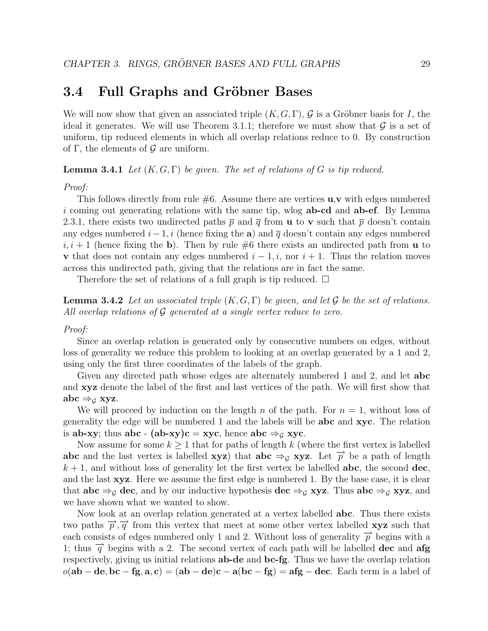## **3.4 Full Graphs and Gröbner Bases**

We will now show that given an associated triple  $(K, G, \Gamma)$ , G is a Gröbner basis for I, the ideal it generates. We will use Theorem 3.1.1; therefore we must show that  $\mathcal G$  is a set of uniform, tip reduced elements in which all overlap relations reduce to 0. By construction of  $\Gamma$ , the elements of  $\mathcal G$  are uniform.

**Lemma 3.4.1** Let  $(K, G, \Gamma)$  be given. The set of relations of G is tip reduced.

#### Proof:

This follows directly from rule #6. Assume there are vertices **u**,**v** with edges numbered i coming out generating relations with the same tip, wlog **ab-cd** and **ab-ef**. By Lemma 2.3.1, there exists two undirected paths  $\bar{p}$  and  $\bar{q}$  from **u** to **v** such that  $\bar{p}$  doesn't contain any edges numbered  $i - 1$ , i (hence fixing the **a**) and  $\overline{q}$  doesn't contain any edges numbered  $i, i + 1$  (hence fixing the **b**). Then by rule #6 there exists an undirected path from **u** to **v** that does not contain any edges numbered  $i - 1, i$ , nor  $i + 1$ . Thus the relation moves across this undirected path, giving that the relations are in fact the same.

Therefore the set of relations of a full graph is tip reduced.  $\Box$ 

**Lemma 3.4.2** Let an associated triple  $(K, G, \Gamma)$  be given, and let G be the set of relations. All overlap relations of  $\mathcal G$  generated at a single vertex reduce to zero.

#### Proof:

Since an overlap relation is generated only by consecutive numbers on edges, without loss of generality we reduce this problem to looking at an overlap generated by a 1 and 2, using only the first three coordinates of the labels of the graph.

Given any directed path whose edges are alternately numbered 1 and 2, and let **abc** and **xyz** denote the label of the first and last vertices of the path. We will first show that  $abc \Rightarrow_G xyz$ .

We will proceed by induction on the length n of the path. For  $n = 1$ , without loss of generality the edge will be numbered 1 and the labels will be **abc** and **xyc**. The relation is **ab-xy**; thus **abc** - **(ab-xy)c** = **xyc**, hence **abc**  $\Rightarrow$   $g$  **xyc**.

Now assume for some  $k \geq 1$  that for paths of length k (where the first vertex is labelled **abc** and the last vertex is labelled **xyz**) that **abc**  $\Rightarrow$ <sub>G</sub> **xyz**. Let  $\overrightarrow{p}$  be a path of length  $k + 1$ , and without loss of generality let the first vertex be labelled **abc**, the second **dec**, and the last **xyz**. Here we assume the first edge is numbered 1. By the base case, it is clear that **abc**  $\Rightarrow$  **dec**, and by our inductive hypothesis **dec**  $\Rightarrow$  **g xyz**. Thus **abc**  $\Rightarrow$  **g xyz**, and we have shown what we wanted to show.

Now look at an overlap relation generated at a vertex labelled **abc**. Thus there exists two paths  $\vec{p}, \vec{q}$  from this vertex that meet at some other vertex labelled **xyz** such that each consists of edges numbered only 1 and 2. Without loss of generality  $\vec{p}$  begins with a 1; thus  $\vec{q}$  begins with a 2. The second vertex of each path will be labelled **dec** and **afg** respectively, giving us initial relations **ab-de** and **bc-fg**. Thus we have the overlap relation  $o(\mathbf{ab} - \mathbf{de}, \mathbf{bc} - \mathbf{fg}, \mathbf{a}, \mathbf{c}) = (\mathbf{ab} - \mathbf{de})\mathbf{c} - \mathbf{a}(\mathbf{bc} - \mathbf{fg}) = \mathbf{afg} - \mathbf{dec}$ . Each term is a label of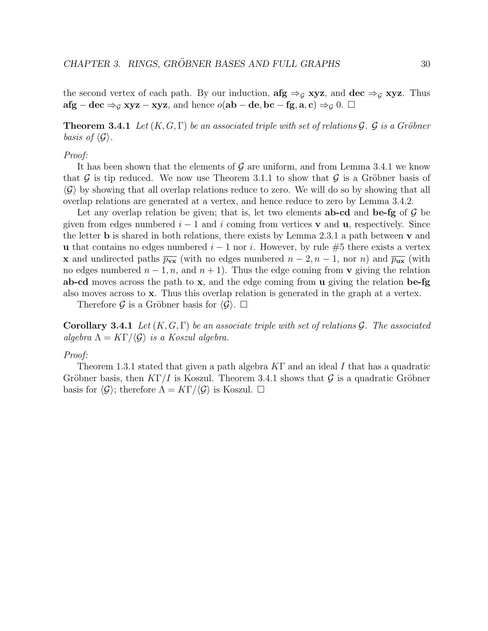the second vertex of each path. By our induction,  $\arg \Rightarrow_G xyz$ , and  $\deg \Rightarrow_G xyz$ . Thus **afg** − **dec**  $\Rightarrow$   $_G$  **xyz** − **xyz**, and hence  $o$ (**ab** − **de**, **bc** − **fg**, **a**, **c**)  $\Rightarrow$   $_G$  0. □

**Theorem 3.4.1** Let  $(K, G, \Gamma)$  be an associated triple with set of relations  $\mathcal G$ .  $\mathcal G$  is a Gröbner basis of  $\langle \mathcal{G} \rangle$ .

#### Proof:

It has been shown that the elements of  $\mathcal G$  are uniform, and from Lemma 3.4.1 we know that  $\mathcal G$  is tip reduced. We now use Theorem 3.1.1 to show that  $\mathcal G$  is a Gröbner basis of  $\langle \mathcal{G} \rangle$  by showing that all overlap relations reduce to zero. We will do so by showing that all overlap relations are generated at a vertex, and hence reduce to zero by Lemma 3.4.2.

Let any overlap relation be given; that is, let two elements **ab-cd** and **be-fg** of  $\mathcal{G}$  be given from edges numbered  $i - 1$  and i coming from vertices **v** and **u**, respectively. Since the letter **b** is shared in both relations, there exists by Lemma 2.3.1 a path between **v** and **u** that contains no edges numbered  $i - 1$  nor i. However, by rule #5 there exists a vertex **x** and undirected paths  $\overline{p_{\text{vx}}}$  (with no edges numbered  $n-2, n-1$ , nor n) and  $\overline{p_{\text{ux}}}$  (with no edges numbered  $n-1, n$ , and  $n+1$ ). Thus the edge coming from **v** giving the relation **ab-cd** moves across the path to **x**, and the edge coming from **u** giving the relation **be-fg** also moves across to **x**. Thus this overlap relation is generated in the graph at a vertex.

Therefore G is a Gröbner basis for  $\langle \mathcal{G} \rangle$ .  $\Box$ 

**Corollary 3.4.1** Let  $(K, G, \Gamma)$  be an associate triple with set of relations G. The associated algebra  $\Lambda = K\Gamma/\langle \mathcal{G} \rangle$  is a Koszul algebra.

#### Proof:

Theorem 1.3.1 stated that given a path algebra  $KT$  and an ideal I that has a quadratic Gröbner basis, then  $K\Gamma/I$  is Koszul. Theorem 3.4.1 shows that G is a quadratic Gröbner basis for  $\langle \mathcal{G} \rangle$ ; therefore  $\Lambda = K\Gamma / \langle \mathcal{G} \rangle$  is Koszul.  $\Box$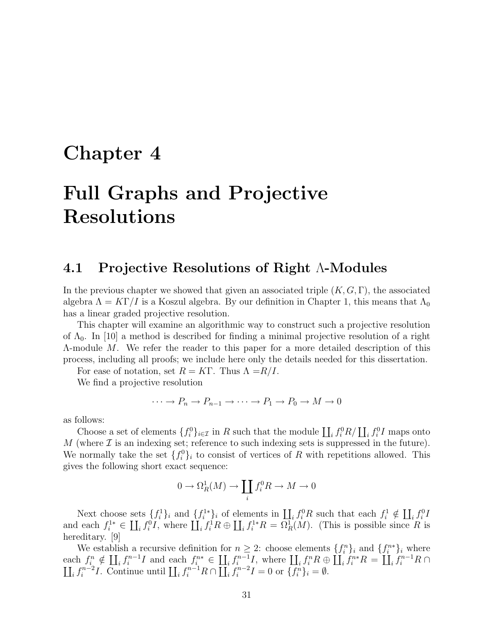# **Chapter 4**

# **Full Graphs and Projective Resolutions**

## **4.1 Projective Resolutions of Right** Λ**-Modules**

In the previous chapter we showed that given an associated triple  $(K, G, \Gamma)$ , the associated algebra  $\Lambda = K\Gamma/I$  is a Koszul algebra. By our definition in Chapter 1, this means that  $\Lambda_0$ has a linear graded projective resolution.

This chapter will examine an algorithmic way to construct such a projective resolution of  $\Lambda_0$ . In [10] a method is described for finding a minimal projective resolution of a right Λ-module M. We refer the reader to this paper for a more detailed description of this process, including all proofs; we include here only the details needed for this dissertation.

For ease of notation, set  $R = K\Gamma$ . Thus  $\Lambda = R/I$ .

We find a projective resolution

$$
\cdots \to P_n \to P_{n-1} \to \cdots \to P_1 \to P_0 \to M \to 0
$$

as follows:

Choose a set of elements  $\{f_i^0\}_{i\in\mathcal{I}}$  in R such that the module  $\coprod_i f_i^0R/\coprod_i f_i^0I$  maps onto M (where  $\mathcal I$  is an indexing set; reference to such indexing sets is suppressed in the future). We normally take the set  $\{f_i^0\}_i$  to consist of vertices of R with repetitions allowed. This gives the following short exact sequence:

$$
0 \to \Omega_R^1(M) \to \coprod_i f_i^0 R \to M \to 0
$$

Next choose sets  $\{f_i^1\}_i$  and  $\{f_i^{1*}\}_i$  of elements in  $\coprod_i f_i^0 R$  such that each  $f_i^1 \notin \coprod_i f_i^0 R$ and each  $f_i^{1*} \in \coprod_i f_i^0 I$ , where  $\coprod_i f_i^1 R \oplus \coprod_i f_i^{1*} R = \Omega_R^1(M)$ . (This is possible since R is hereditary. [9]

We establish a recursive definition for  $n \geq 2$ : choose elements  $\{f_i^n\}_i$  and  $\{f_i^{n*}\}_i$  where each  $f_i^n \notin \prod_i f_i^{n-1}I$  and each  $f_i^{n*} \in \prod_i f_i^{n-1}I$ , where  $\prod_i f_i^n R \oplus \prod_i f_i^{n*}R = \prod_i f_i^{n-1}I$  $\overline{1}$  $i^{n-1}R\cap$  $\prod_i f_i^{n-2} I$ . Continue until  $\prod_i f_i^{n-1} R \cap \prod_i f_i^{n-2} I = 0$  or  $\{f_i^n\}_i = \emptyset$ .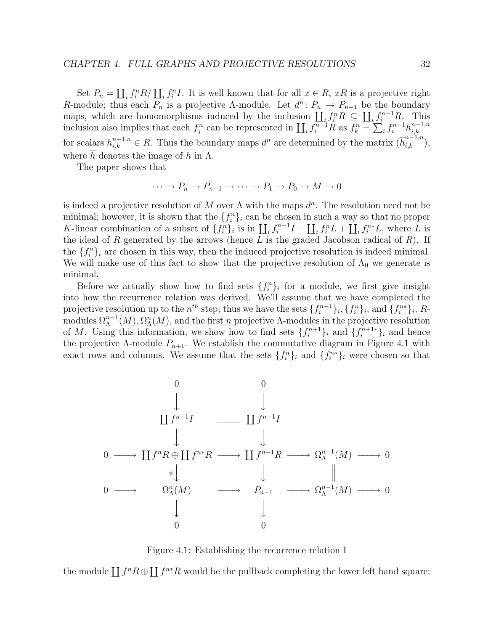Set  $P_n = \coprod_i f_i^n R / \coprod_i f_i^n I$ . It is well known that for all  $x \in R$ , xR is a projective right R-module; thus each  $\overline{P_n}$  is a projective A-module. Let  $d^n: P_n \to P_{n-1}$  be the boundary maps, which are homomorphisms induced by the inclusion  $\coprod_i f_i^n R \subseteq \coprod_i f_i^{n-1} R$ . This inclusion also implies that each  $f_i^n$  can be represented in  $\prod_i f_i^{n-1}R$  as  $f_k^n = \sum_i f_i^{n-1}h_{i,k}^{n-1,n}$ for scalars  $h_{i,k}^{n-1,n} \in R$ . Thus the boundary maps  $d^n$  are determined by the matrix  $(\overline{h}_{i,k}^{n-1,n}),$ where h denotes the image of h in  $\Lambda$ .

The paper shows that

$$
\cdots \to P_n \to P_{n-1} \to \cdots \to P_1 \to P_0 \to M \to 0
$$

is indeed a projective resolution of M over  $\Lambda$  with the maps  $d^n$ . The resolution need not be minimal; however, it is shown that the  $\{f_i^n\}_i$  can be chosen in such a way so that no proper K-linear combination of a subset of  $\{f_i^n\}_i$  is in  $\prod_i f_i^{n-1}I + \prod_i f_i^n L + \prod_i f_i^{n*}L$ , where L is the ideal of R generated by the arrows (hence  $L$  is the graded Jacobson radical of  $R$ ). If the  $\{f_i^n\}_i$  are chosen in this way, then the induced projective resolution is indeed minimal. We will make use of this fact to show that the projective resolution of  $\Lambda_0$  we generate is minimal.

Before we actually show how to find sets  $\{f_i^n\}_i$  for a module, we first give insight into how the recurrence relation was derived. We'll assume that we have completed the projective resolution up to the  $n^{th}$  step; thus we have the sets  $\{f_i^{n-1}\}_i, \{f_i^n\}_i$ , and  $\{f_i^{n*}\}_i, R$ modules  $\Omega_{\Lambda}^{n-1}(M), \Omega_{\Lambda}^{n}(M)$ , and the first n projective  $\Lambda$ -modules in the projective resolution of M. Using this information, we show how to find sets  $\{f_i^{n+1}\}\$ i and  $\{f_i^{n+1*}\}\$ i and hence the projective  $\Lambda$ -module  $P_{n+1}$ . We establish the commutative diagram in Figure 4.1 with exact rows and columns. We assume that the sets  $\{f_i^n\}_i$  and  $\{f_i^{n*}\}_i$  were chosen so that



Figure 4.1: Establishing the recurrence relation I

the module  $\prod f^n R \oplus \prod f^{n*}R$  would be the pullback completing the lower left hand square;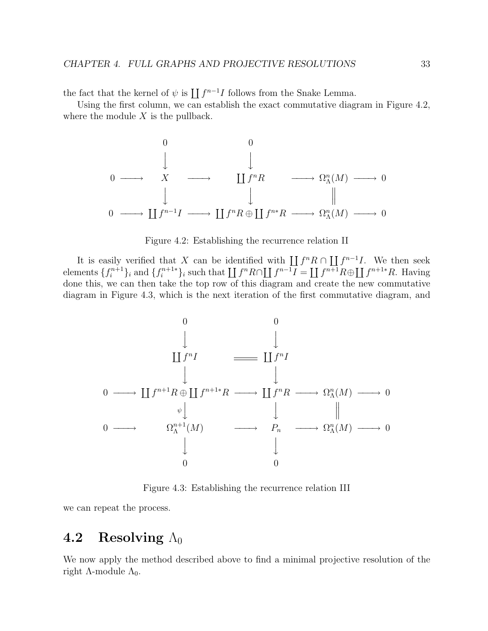the fact that the kernel of  $\psi$  is  $\prod f^{n-1}I$  follows from the Snake Lemma.

Using the first column, we can establish the exact commutative diagram in Figure 4.2, where the module  $X$  is the pullback.

0 0 - -0 −−−→ X −−−→ f<sup>n</sup>R −−−→ Ω<sup>n</sup> <sup>Λ</sup>(M) −−−→ 0 - - 0 −−−→ f<sup>n</sup>−<sup>1</sup>I −−−→ f<sup>n</sup>R ⊕ f<sup>n</sup>∗R −−−→ Ω<sup>n</sup> <sup>Λ</sup>(M) −−−→ 0



It is easily verified that X can be identified with  $\coprod f^nR \cap \coprod f^{n-1}I$ . We then seek elements  $\{f_i^{n+1}\}_i$  and  $\{f_i^{n+1*}\}_i$  such that  $\coprod f^n R \cap \coprod f^{n-1}I = \coprod f^{n+1}R \oplus \coprod f^{n+1*}R$ . Having done this, we can then take the top row of this diagram and create the new commutative diagram in Figure 4.3, which is the next iteration of the first commutative diagram, and



Figure 4.3: Establishing the recurrence relation III

we can repeat the process.

## **4.2** Resolving  $\Lambda_0$

We now apply the method described above to find a minimal projective resolution of the right  $\Lambda$ -module  $\Lambda_0$ .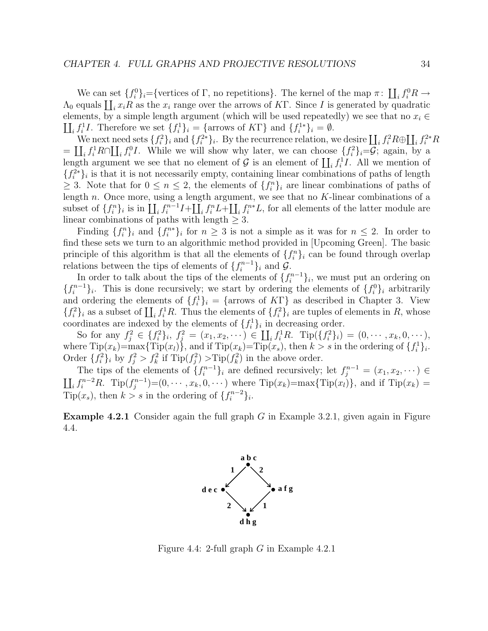We can set  $\{f_i^0\}_i = \{\text{vertices of } \Gamma, \text{ no repetitions}\}.$  The kernel of the map  $\pi: \coprod_i f_i^0 R \to$  $\Lambda_0$  equals  $\coprod_i x_iR$  as the  $x_i$  range over the arrows of KT. Since I is generated by quadratic elements, by a simple length argument (which will be used repeatedly) we see that no  $x_i \in$  $\prod_i f_i^1 I$ . Therefore we set  $\{f_i^1\}_i = \{\text{arrows of } K\Gamma\}$  and  $\{f_i^{1*}\}_i = \emptyset$ .

We next need sets  $\{f_i^2\}_i$  and  $\{f_i^{2*}\}_i$ . By the recurrence relation, we desire  $\coprod_i f_i^2 R \oplus \coprod_i f_i^{2*} R$ =  $\prod_i f_i^1 R \cap \prod_i f_i^0 I$ . While we will show why later, we can choose  $\{f_i^2\}_i = G$ ; again, by a length argument we see that no element of  $\mathcal G$  is an element of  $\prod_i f_i^1 I$ . All we mention of  ${f_i^2}$ is that it is not necessarily empty, containing linear combinations of paths of length  $\geq$  3. Note that for  $0 \leq n \leq 2$ , the elements of  $\{f_i^n\}_i$  are linear combinations of paths of length n. Once more, using a length argument, we see that no K-linear combinations of a subset of  $\{f_i^n\}_i$  is in  $\coprod_i f_i^{n-1}I + \coprod_i f_i^n L + \coprod_i f_i^{n*}L$ , for all elements of the latter module are linear combinations of paths with length  $\geq 3$ .

Finding  $\{f_i^n\}_i$  and  $\{f_i^{n*}\}_i$  for  $n \geq 3$  is not a simple as it was for  $n \leq 2$ . In order to find these sets we turn to an algorithmic method provided in [Upcoming Green]. The basic principle of this algorithm is that all the elements of  $\{f_i^n\}_i$  can be found through overlap relations between the tips of elements of  $\{f_i^{n-1}\}_i$  and  $\mathcal{G}$ .

In order to talk about the tips of the elements of  $\{f_i^{n-1}\}_i$ , we must put an ordering on  ${f_i^{n-1}}_i$ . This is done recursively; we start by ordering the elements of  ${f_i^0}_i$  arbitrarily and ordering the elements of  $\{f_i^1\}_i = \{\text{arrows of } K\Gamma\}$  as described in Chapter 3. View  ${f_i^2}_i$  as a subset of  $\prod_i f_i^1 R$ . Thus the elements of  ${f_i^2}_i$  are tuples of elements in R, whose coordinates are indexed by the elements of  $\{f_i^1\}_i$  in decreasing order.

So for any  $f_i^2 \in \{f_i^2\}_i$ ,  $f_i^2 = (x_1, x_2, \dots) \in \prod_i f_i^1 R$ . Tip $(\{f_i^2\}_i) = (0, \dots, x_k, 0, \dots)$ , where  $\text{Tip}(x_k) = \max{\text{Tip}(x_l)}$ , and if  $\text{Tip}(x_k) = \text{Tip}(x_s)$ , then  $k > s$  in the ordering of  $\{f_i^1\}_i$ . Order  $\{f_i^2\}_i$  by  $f_i^2 > f_k^2$  if  $\text{Tip}(f_i^2) > \text{Tip}(f_k^2)$  in the above order.

The tips of the elements of  $\{f_i^{n-1}\}_i$  are defined recursively; let  $f_j^{n-1} = (x_1, x_2, \dots)$  $\prod_i f_i^{n-2}R$ . Tip $(f_i^{n-1})=(0,\cdots,x_k,0,\cdots)$  where Tip $(x_k)$ =max{Tip $(x_l)$ }, and if Tip $(x_k)$  =  $\overline{\text{Tip}}(x_s)$ , then  $k > s$  in the ordering of  $\{f_i^{n-2}\}_i$ .

**Example 4.2.1** Consider again the full graph G in Example 3.2.1, given again in Figure 4.4.



Figure 4.4: 2-full graph G in Example 4.2.1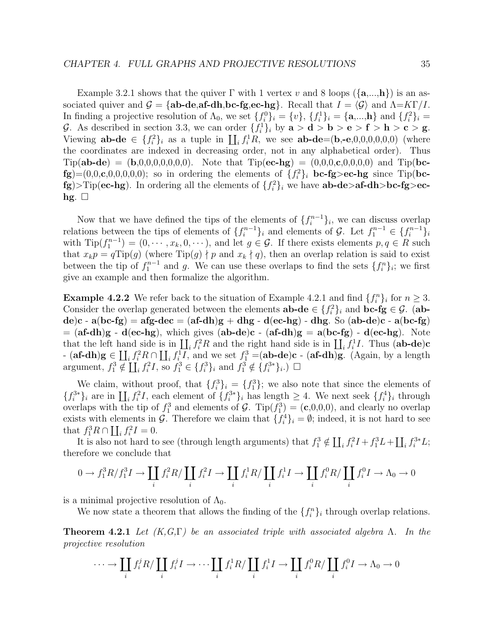Example 3.2.1 shows that the quiver  $\Gamma$  with 1 vertex v and 8 loops  $(\{a,...,h\})$  is an associated quiver and  $\mathcal{G} = {\bf ab\text{-}de\text{,af\text{-}dh\text{,bc\text{-}fg}e\text{-}hg}.$  Recall that  $I = \langle \mathcal{G} \rangle$  and  $\Lambda = K\Gamma/I$ . In finding a projective resolution of  $\Lambda_0$ , we set  $\{f_i^0\}_i = \{v\}$ ,  $\{f_i^1\}_i = \{\mathbf{a},...,\mathbf{h}\}\$ and  $\{f_i^2\}_i =$ G. As described in section 3.3, we can order  $\{f_i^1\}_i$  by  $\mathbf{a} > \mathbf{d} > \mathbf{b} > \mathbf{e} > \mathbf{f} > \mathbf{h} > \mathbf{c} > \mathbf{g}$ . Viewing  $ab-de \in \{f_i^2\}_i$  as a tuple in  $\coprod_i f_i^1R$ , we see  $ab-de=(b,-e,0,0,0,0,0,0)$  (where the coordinates are indexed in decreasing order, not in any alphabetical order). Thus  $Tip(ab-de) = (b,0,0,0,0,0,0,0).$  Note that  $Tip(ec-hg) = (0,0,0,0,0,0,0)$  and  $Tip(bc-hg)$  $f$ **g** $)=(0,0,\mathbf{c},0,0,0,0,0);$  so in ordering the elements of  $\{f_i^2\}_i$  **bc-fg>ec-hg** since Tip(**bc** $f$ g)>Tip(e**c-h**g). In ordering all the elements of  ${f_i^2}_i$  we have **ab-de>af-dh>bc-fg>ec**hg.  $\square$ 

Now that we have defined the tips of the elements of  $\{f_i^{n-1}\}_i$ , we can discuss overlap relations between the tips of elements of  $\{f_i^{n-1}\}_i$  and elements of  $\mathcal{G}$ . Let  $f_1^{n-1} \in \{f_i^{n-1}\}_i$ with  $\text{Tip}(f_1^{n-1}) = (0, \dots, x_k, 0, \dots)$ , and let  $g \in \mathcal{G}$ . If there exists elements  $p, q \in \mathbb{R}$  such that  $x_k p = q \text{Tip}(g)$  (where  $\text{Tip}(g) \nmid p$  and  $x_k \nmid q$ ), then an overlap relation is said to exist between the tip of  $f_1^{n-1}$  and g. We can use these overlaps to find the sets  $\{f_i^n\}_i$ ; we first give an example and then formalize the algorithm.

**Example 4.2.2** We refer back to the situation of Example 4.2.1 and find  $\{f_i^n\}_i$  for  $n \geq 3$ . Consider the overlap generated between the elements  $ab-de \in \{f_i^2\}_i$  and  $bc-fg \in \mathcal{G}$ . (ab**de**)**c** - **a**(**bc-fg**) = **afg-dec** = (**af-dh**)**g** + **dhg** - **d**(**ec-hg**) - **dhg**. So (**ab-de**)**c** - **a**(**bc-fg**) = (**af-dh**)**g** - **d**(**ec-hg**), which gives (**ab-de**)**c** - (**af-dh**)**g** = **a**(**bc-fg**) - **d**(**ec-hg**). Note that the left hand side is in  $\prod_i f_i^2 R$  and the right hand side is in  $\prod_i f_i^1 I$ . Thus (ab-de)c  $\mathbf{a} \in \prod_i f_i^2 R \cap \prod_i f_i^1 I$ , and we set  $f_1^3 = (\mathbf{a} \mathbf{b} - \mathbf{d} \mathbf{e}) \mathbf{c} - (\mathbf{a} \mathbf{f} - \mathbf{d} \mathbf{h}) \mathbf{g}$ . (Again, by a length argument,  $f_1^3 \notin \prod_i f_i^2 I$ , so  $f_1^3 \in \{f_i^3\}_i$  and  $f_1^3 \notin \{f_i^{3*}\}_i$ .)  $\Box$ 

We claim, without proof, that  $\{f_i^3\}_i = \{f_1^3\}$ ; we also note that since the elements of  ${f_i^{3*}}_i$  are in  $\prod_i f_i^2 I$ , each element of  ${f_i^{3*}}_i$  has length  $\geq 4$ . We next seek  ${f_i^4}_i$  through overlaps with the tip of  $f_1^3$  and elements of  $\mathcal{G}$ . Tip $(f_1^3) = (\mathbf{c},0,0,0)$ , and clearly no overlap exists with elements in G. Therefore we claim that  $\{f_i^4\}_i = \emptyset$ ; indeed, it is not hard to see that  $f_1^3 R \cap \coprod_i f_i^2 I = 0$ .

It is also not hard to see (through length arguments) that  $f_1^3 \notin \coprod_i f_i^2 I + f_1^3 L + \coprod_i f_i^{3*} L$ ; therefore we conclude that

$$
0 \to f_1^3 R/f_1^3 I \to \coprod_i f_i^2 R/\coprod_i f_i^2 I \to \coprod_i f_i^1 R/\coprod_i f_i^1 I \to \coprod_i f_i^0 R/\coprod_i f_i^0 I \to \Lambda_0 \to 0
$$

is a minimal projective resolution of  $\Lambda_0$ .

We now state a theorem that allows the finding of the  $\{f_i^n\}_i$  through overlap relations.

**Theorem 4.2.1** Let  $(K, G, \Gamma)$  be an associated triple with associated algebra Λ. In the projective resolution

$$
\cdots \longrightarrow \coprod_i f_i^j R / \coprod_i f_i^j I \longrightarrow \cdots \coprod_i f_i^1 R / \coprod_i f_i^1 I \longrightarrow \coprod_i f_i^0 R / \coprod_i f_i^0 I \longrightarrow \Lambda_0 \longrightarrow 0
$$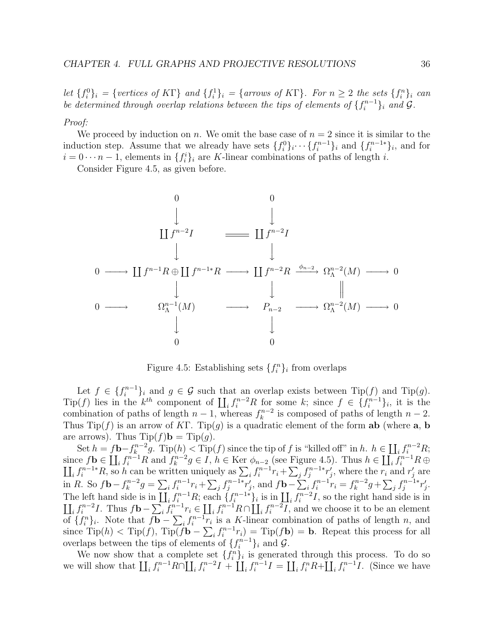let  $\{f_i^0\}_i = \{vertices \ of \ K\Gamma\}$  and  $\{f_i^1\}_i = \{arrows \ of \ K\Gamma\}.$  For  $n \geq 2$  the sets  $\{f_i^n\}_i$  can be determined through overlap relations between the tips of elements of  $\{f_i^{n-1}\}_i$  and  $\mathcal G$ .

### Proof:

We proceed by induction on n. We omit the base case of  $n = 2$  since it is similar to the induction step. Assume that we already have sets  $\{f_i^0\}_i \cdots \{f_i^{n-1}\}_i$  and  $\{f_i^{n-1*}\}_i$ , and for  $i = 0 \cdots n-1$ , elements in  $\{f_i^i\}_i$  are K-linear combinations of paths of length i.

Consider Figure 4.5, as given before.



Figure 4.5: Establishing sets  $\{f_i^n\}_i$  from overlaps

Let  $f \in \{f_i^{n-1}\}_i$  and  $g \in \mathcal{G}$  such that an overlap exists between  $\text{Tip}(f)$  and  $\text{Tip}(g)$ . Tip(f) lies in the  $k^{th}$  component of  $\prod_i f_i^{n-2}R$  for some k; since  $f \in \{f_i^{n-1}\}_i$ , it is the combination of paths of length  $n-1$ , whereas  $f_k^{n-2}$  is composed of paths of length  $n-2$ . Thus  $\text{Tip}(f)$  is an arrow of KF.  $\text{Tip}(g)$  is a quadratic element of the form **ab** (where **a**, **b** are arrows). Thus  $\text{Tip}(f)\mathbf{b} = \text{Tip}(g)$ .

Set  $h = f\mathbf{b} - f_k^{n-2}g$ . Tip $(h) <$  Tip $(f)$  since the tip of f is "killed off" in h.  $h \in \coprod_i f_i^{n-2}R$ ; since  $f$ **b**  $\in$   $\coprod_i f_i^{n-1} R$  and  $f_k^{n-2} g \in I$ ,  $h \in$  Ker  $\phi_{n-2}$  (see Figure 4.5). Thus  $h \in \coprod_i f_i^{n-1}$  $\overline{1}$  $i^{n-1}R\,\oplus\,$  $\sum_i f_i^{n-1*} R_i$ , so h can be written uniquely as  $\sum_i f_i^{n-1} r_i + \sum_i f_i^{n-1*} r_i'$ , where the  $r_i$  and  $r_i'$  are in R. So  $f\mathbf{b} - f_k^{n-2}g = \sum_i f_i^{n-1}r_i + \sum_j f_j^{n-1}r_j'$ , and  $f\mathbf{b} - \sum_i f_i^{n-1}r_i = f_k^{n-2}g + \sum_j f_j^{n-1}r_j'$ . The left hand side is in  $\prod_i f_i^{n-1}R$ ; each  $\{f_i^{n-1*}\}_i$  is in  $\prod_i f_i^{n-2}$ .<br>  $\prod_i f_i^{n-2}I$ . Thus  $f\mathbf{b} - \sum_i f_i^{n-1}r_i \in \prod_i f_i^{n-1}R \cap \prod_i f_i^{n-2}I$ , and I, so the right hand side is in  $if_i^{n-2}I$ . Thus  $f\mathbf{b}-\sum_i f_i^{n-1}r_i \in \coprod_i f_i^{n-1}R \cap \coprod_i f_i^{n-2}I$ , and we choose it to be an element of  $\{f_i^n\}_i$ . Note that  $f\mathbf{b} - \sum_i f_i^{n-1}r_i$  is a K-linear combination of paths of length n, and since  $\text{Tip}(h) < \text{Tip}(f)$ ,  $\text{Tip}(f\mathbf{b} - \sum_i f_i^{n-1}r_i) = \text{Tip}(f\mathbf{b}) = \mathbf{b}$ . Repeat this process for all overlaps between the tips of elements of  $\{f_i^{n-1}\}_i$  and  $\mathcal{G}$ .

We now show that a complete set  $\{f_i^n\}_i$  is generated through this process. To do so we will show that  $\prod_i f_i^{n-1}R\cap\prod_i f_i^{n-2}I + \prod_i f_i^{n-1}I = \prod_i f_i^nR + \prod_i f_i^{n-1}I$ . (Since we have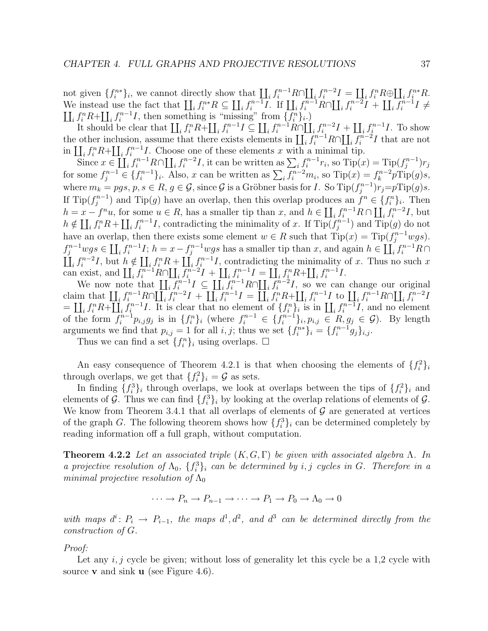not given  $\{f_i^{n*}\}_i$ , we cannot directly show that  $\prod_i f_i^{n-1}R \cap \prod_i f_i^{n-2}I = \prod_i f_i^n R \oplus \prod_i f_i^{n*}R$ . We instead use the fact that  $\prod_i f_i^{n*} R \subseteq \prod_i f_i^{n-1} I$ . If  $\prod_i f_i^{n-1} R \cap \prod_i f_i^{n-2} I + \prod_i f_i^{n-1} I \neq$  $\prod_i f_i^n R+\prod_i f_i^{n-1} I$ , then something is "missing" from  $\{f_i^n\}_i$ .)

It should be clear that  $\prod_i f_i^n R+\prod_i f_i^{n-1}I \subseteq \prod_i f_i^{n-1}R\cap \prod_i f_i^{n-2}I + \prod_i f_i^{n-1}I$ . To show the other inclusion, assume that there exists elements in  $\prod_i \overline{f_i}^{n-1} R \cap \prod_i \overline{f_i}^{n-2} I$  that are not in  $\prod_i f_i^n R+\prod_i f_i^{n-1} I$ . Choose one of these elements x with a minimal tip.

 $\sum_{i} f_i^{n-1} r_i$  it can be written as  $\sum_i f_i^{n-1} r_i$ , so  $\text{Tip}(x) = \text{Tip}(f_i^{n-1}) r_j$ for some  $f_i^{n-1} \in \{f_i^{n-1}\}\text{, also, } x$  can be written as  $\sum_i \overline{f_i^{n-2}} m_i$ , so  $\text{Tip}(x) = f_k^{n-2} p \text{Tip}(g) s$ , where  $m_k = pgs, p, s \in R, g \in \mathcal{G}$ , since  $\mathcal{G}$  is a Gröbner basis for I. So  $\text{Tip}(f_i^{n-1})$   $r_j = p \text{Tip}(g)s$ . If  $\text{Tip}(f_i^{n-1})$  and  $\text{Tip}(g)$  have an overlap, then this overlap produces an  $f^n \in \{f_i^n\}_i$ . Then  $h = x - f^n u$ , for some  $u \in R$ , has a smaller tip than x, and  $h \in \coprod_i f_i^{n-1} R \cap \coprod_i f_i^{n-2} I$ , but  $h \notin \coprod_i f_i^n R + \coprod_i f_i^{n-1} I$ , contradicting the minimality of x. If  $\text{Tip}(f_i^{n-1})$  and  $\text{Tip}(g)$  do not have an overlap, then there exists some element  $w \in R$  such that  $\text{Tip}(x) = \text{Tip}(f_i^{n-1}wgs)$ .  $f_i^{n-1}wgs \in \prod_i f_i^{n-1}I$ ;  $h = x - f_i^{n-1}wgs$  has a smaller tip than x, and again  $h \in \prod_i f_i^{n-1}R \cap$  $\prod_i f_i^{n-2}I$ , but  $h \notin \prod_i f_i^n R + \prod_i f_i^{n-1}I$ , contradicting the minimality of x. Thus no such x can exist, and  $\prod_i \overline{f_i^{n-1}} R \cap \prod_i \overline{f_i^{n-2}} I + \prod_i f_i^{n-1} I = \prod_i f_i^n R + \prod_i f_i^{n-1} I$ .

We now note that  $\prod_i \overline{f_i^{n-1}} I \subseteq \prod_i \overline{f_i^{n-1}} R \cap \prod_i \overline{f_i^{n-2}} I$ , so we can change our original claim that  $\prod_i f_i^{n-1} R \cap \prod_i f_i^{n-2} I + \prod_i f_i^{n-1} I = \prod_i f_i^n R + \prod_i f_i^{n-1} I$  to  $\prod_i f_i^{n-1} R \cap \prod_i f_i^{n-2} I$  $= \coprod_i f_i^n R + \coprod_i f_i^{n-1} I$ . It is clear that no element of  $\{f_i^n\}_i$  is in  $\coprod_i f_i^{n-1} I$ , and no element of the form  $f_i^{n-1}p_{i,j}g_j$  is in  $\{f_i^n\}_i$  (where  $f_i^{n-1} \in \{f_i^{n-1}\}_i, p_{i,j} \in R, g_j \in G$ ). By length arguments we find that  $p_{i,j} = 1$  for all i, j; thus we set  $\{f_i^{n*}\}_i = \{f_i^{n-1}g_j\}_{i,j}$ .

Thus we can find a set  $\{f_i^n\}_i$  using overlaps.  $\Box$ 

An easy consequence of Theorem 4.2.1 is that when choosing the elements of  $\{f_i^2\}_i$ through overlaps, we get that  $\{f_i^2\}_i = \mathcal{G}$  as sets.

In finding  $\{f_i^3\}_i$  through overlaps, we look at overlaps between the tips of  $\{f_i^2\}_i$  and elements of G. Thus we can find  $\{f_i^3\}_i$  by looking at the overlap relations of elements of G. We know from Theorem 3.4.1 that all overlaps of elements of  $\mathcal G$  are generated at vertices of the graph G. The following theorem shows how  $\{f_i^3\}_i$  can be determined completely by reading information off a full graph, without computation.

**Theorem 4.2.2** Let an associated triple  $(K, G, \Gamma)$  be given with associated algebra  $\Lambda$ . In a projective resolution of  $\Lambda_0$ ,  $\{f_i^3\}_i$  can be determined by i, j cycles in G. Therefore in a minimal projective resolution of  $\Lambda_0$ 

$$
\cdots \to P_n \to P_{n-1} \to \cdots \to P_1 \to P_0 \to \Lambda_0 \to 0
$$

with maps  $d^i: P_i \to P_{i-1}$ , the maps  $d^1, d^2$ , and  $d^3$  can be determined directly from the construction of G.

Proof:

Let any  $i, j$  cycle be given; without loss of generality let this cycle be a 1,2 cycle with source **v** and sink **u** (see Figure 4.6).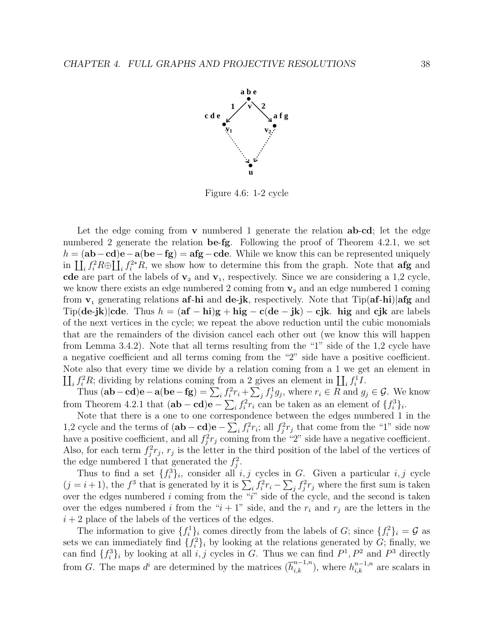

Figure 4.6: 1-2 cycle

Let the edge coming from **v** numbered 1 generate the relation **ab**-**cd**; let the edge numbered 2 generate the relation **be**-**fg**. Following the proof of Theorem 4.2.1, we set h = (**ab**−**cd**)**e**−**a**(**be**−**fg**) = **afg**−**cde**. While we know this can be represented uniquely in  $\prod_i f_i^2 R \oplus \prod_i f_i^{2*} R$ , we show how to determine this from the graph. Note that **afg** and **cde** are part of the labels of  $v_2$  and  $v_1$ , respectively. Since we are considering a 1,2 cycle, we know there exists an edge numbered  $2$  coming from  $v<sub>2</sub>$  and an edge numbered  $1$  coming from **v** generating relations **af**-**hi** and **de**-**jk**, respectively. Note that Tip(**af**-**hi**)|**afg** and  $\text{Tip}(\text{de-}\text{jk})|\text{cde}.$  Thus  $h = (\text{af} - \text{hi})\text{g} + \text{hig} - \text{c}(\text{de} - \text{jk}) - \text{c} \text{jk}.$  hig and  $\text{c} \text{jk}$  are labels of the next vertices in the cycle; we repeat the above reduction until the cubic monomials that are the remainders of the division cancel each other out (we know this will happen from Lemma 3.4.2). Note that all terms resulting from the "1" side of the 1,2 cycle have a negative coefficient and all terms coming from the "2" side have a positive coefficient. Note also that every time we divide by a relation coming from a 1 we get an element in  $\prod_i f_i^2 R$ ; dividing by relations coming from a 2 gives an element in  $\prod_i f_i^1 I$ .

Thus  $(\mathbf{ab}-\mathbf{cd})\mathbf{e}-\mathbf{a}(\mathbf{be}-\mathbf{fg})=\sum_i f_i^2 r_i + \sum_j f_j^1 g_j$ , where  $r_i \in R$  and  $g_j \in \mathcal{G}$ . We know from Theorem 4.2.1 that  $(\mathbf{ab} - \mathbf{cd})\mathbf{e} - \sum_i f_i^2 r_i$  can be taken as an element of  $\{f_i^3\}_i$ .

Note that there is a one to one correspondence between the edges numbered 1 in the 1,2 cycle and the terms of  $(ab - cd)e - \sum_i f_i^2 r_i$ ; all  $f_j^2 r_j$  that come from the "1" side now have a positive coefficient, and all  $f_i^2 r_j$  coming from the "2" side have a negative coefficient. Also, for each term  $f_j^2 r_j$ ,  $r_j$  is the letter in the third position of the label of the vertices of the edge numbered 1 that generated the  $f_i^2$ .

Thus to find a set  $\{f_i^3\}_i$ , consider all  $i, j$  cycles in G. Given a particular  $i, j$  cycle  $(j = i + 1)$ , the  $f^3$  that is generated by it is  $\sum_i f_i^2 r_i - \sum_j f_j^2 r_j$  where the first sum is taken over the edges numbered i coming from the  $\frac{a}{i}$  side of the cycle, and the second is taken over the edges numbered i from the " $i + 1$ " side, and the  $r_i$  and  $r_j$  are the letters in the  $i + 2$  place of the labels of the vertices of the edges.

The information to give  $\{f_i^1\}_i$  comes directly from the labels of G; since  $\{f_i^2\}_i = \mathcal{G}$  as sets we can immediately find  $\{f_i^2\}_i$  by looking at the relations generated by G; finally, we can find  $\{f_i^3\}_i$  by looking at all i, j cycles in G. Thus we can find  $P^1, P^2$  and  $P^3$  directly from G. The maps  $d^i$  are determined by the matrices  $(\overline{h}_{i,k}^{n-1,n})$ , where  $h_{i,k}^{n-1,n}$  are scalars in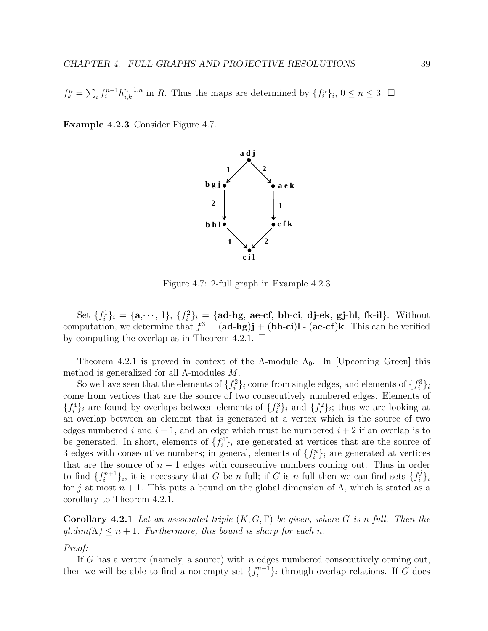$f_k^n = \sum_i f_i^{n-1} h_{i,k}^{n-1,n}$  in R. Thus the maps are determined by  $\{f_i^n\}_i, 0 \le n \le 3$ .  $\Box$ 

**Example 4.2.3** Consider Figure 4.7.



Figure 4.7: 2-full graph in Example 4.2.3

Set  $\{f_i^1\}_i = \{\mathbf{a}, \dots, 1\}, \{f_i^2\}_i = \{\text{ad-hg, ae-cf, bh-ci, dj-ek, gj-hl, fk-il}\}.$  Without computation, we determine that  $f^3 = (\mathbf{ad-hg})\mathbf{j} + (\mathbf{bh-ci})\mathbf{l} - (\mathbf{ae-cf})\mathbf{k}$ . This can be verified by computing the overlap as in Theorem 4.2.1.  $\Box$ 

Theorem 4.2.1 is proved in context of the  $\Lambda$ -module  $\Lambda_0$ . In [Upcoming Green] this method is generalized for all  $\Lambda$ -modules M.

So we have seen that the elements of  $\{f_i^2\}_i$  come from single edges, and elements of  $\{f_i^3\}_i$ come from vertices that are the source of two consecutively numbered edges. Elements of  ${f_i^4}_i$  are found by overlaps between elements of  ${f_i^3}_i$  and  ${f_i^2}_i$ ; thus we are looking at an overlap between an element that is generated at a vertex which is the source of two edges numbered i and  $i + 1$ , and an edge which must be numbered  $i + 2$  if an overlap is to be generated. In short, elements of  $\{f_i^4\}_i$  are generated at vertices that are the source of 3 edges with consecutive numbers; in general, elements of  $\{f_i^n\}_i$  are generated at vertices that are the source of  $n-1$  edges with consecutive numbers coming out. Thus in order to find  $\{f_i^{n+1}\}_i$ , it is necessary that G be *n*-full; if G is *n*-full then we can find sets  $\{f_i^j\}_i$ for j at most  $n + 1$ . This puts a bound on the global dimension of  $\Lambda$ , which is stated as a corollary to Theorem 4.2.1.

**Corollary 4.2.1** Let an associated triple  $(K, G, \Gamma)$  be given, where G is n-full. Then the  $gl.dim(\Lambda) \leq n+1$ . Furthermore, this bound is sharp for each n.

#### Proof:

If G has a vertex (namely, a source) with  $n$  edges numbered consecutively coming out, then we will be able to find a nonempty set  $\{f_i^{n+1}\}_i$  through overlap relations. If G does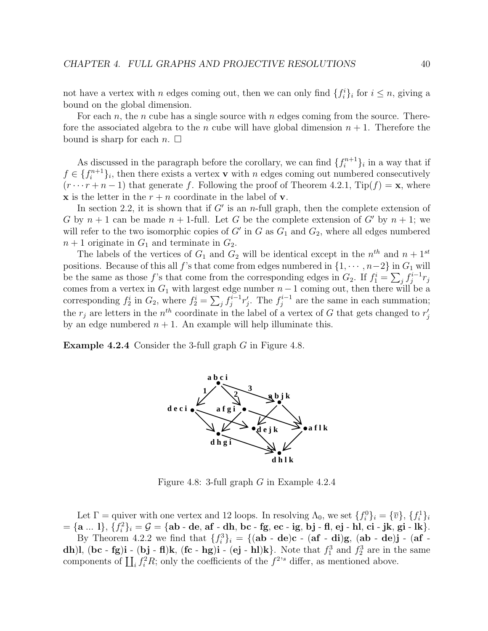not have a vertex with *n* edges coming out, then we can only find  $\{f_i^i\}_i$  for  $i \leq n$ , giving a bound on the global dimension.

For each n, the n cube has a single source with n edges coming from the source. Therefore the associated algebra to the n cube will have global dimension  $n + 1$ . Therefore the bound is sharp for each  $n. \Box$ 

As discussed in the paragraph before the corollary, we can find  $\{f_i^{n+1}\}_i$  in a way that if  $f \in \{f_i^{n+1}\}_i$ , then there exists a vertex **v** with n edges coming out numbered consecutively  $(r \cdots r + n - 1)$  that generate f. Following the proof of Theorem 4.2.1, Tip(f) = **x**, where **x** is the letter in the  $r + n$  coordinate in the label of **v**.

In section 2.2, it is shown that if  $G'$  is an *n*-full graph, then the complete extension of G by  $n + 1$  can be made  $n + 1$ -full. Let G be the complete extension of G' by  $n + 1$ ; we will refer to the two isomorphic copies of  $G'$  in G as  $G_1$  and  $G_2$ , where all edges numbered  $n+1$  originate in  $G_1$  and terminate in  $G_2$ .

The labels of the vertices of  $G_1$  and  $G_2$  will be identical except in the  $n^{th}$  and  $n + 1^{st}$ positions. Because of this all f's that come from edges numbered in  $\{1, \dots, n-2\}$  in  $G_1$  will be the same as those f's that come from the corresponding edges in  $G_2$ . If  $f_1^i = \sum_j f_j^{i-1} r_j$ comes from a vertex in  $G_1$  with largest edge number  $n-1$  coming out, then there will be a corresponding  $f_2^i$  in  $G_2$ , where  $f_2^i = \sum_j f_j^{i-1} r'_j$ . The  $f_j^{i-1}$  are the same in each summation; the  $r_j$  are letters in the  $n^{th}$  coordinate in the label of a vertex of G that gets changed to  $r'_j$ by an edge numbered  $n + 1$ . An example will help illuminate this.

**Example 4.2.4** Consider the 3-full graph G in Figure 4.8.



Figure 4.8: 3-full graph G in Example 4.2.4

Let  $\Gamma$  = quiver with one vertex and 12 loops. In resolving  $\Lambda_0$ , we set  $\{f_i^0\}_i = \{\overline{v}\}, \{f_i^1\}_i$  $=\{a ... 1\}, \{f_i^2\}_i = \mathcal{G} = \{ab - de, af - dh, bc - fg, ec - ig, bj - fl, ej - hl, ci - jk, gi - lk\}.$ By Theorem 4.2.2 we find that  $\{f_i^3\}_i = \{(\mathbf{ab} - \mathbf{de})\mathbf{c} - (\mathbf{af} - \mathbf{di})\mathbf{g}, (\mathbf{ab} - \mathbf{de})\mathbf{j} - (\mathbf{af} - \mathbf{af})\mathbf{g}\}$ **dh**)**l**, (**bc** - **fg**)**i** - (**bj** - **fl**)**k**, (**fc** - **hg**)**i** - (**ej** - **h**l)**k**}. Note that  $f_1^3$  and  $f_2^3$  are in the same components of  $\prod_i f_i^2 R$ ; only the coefficients of the  $f^{2,s}$  differ, as mentioned above.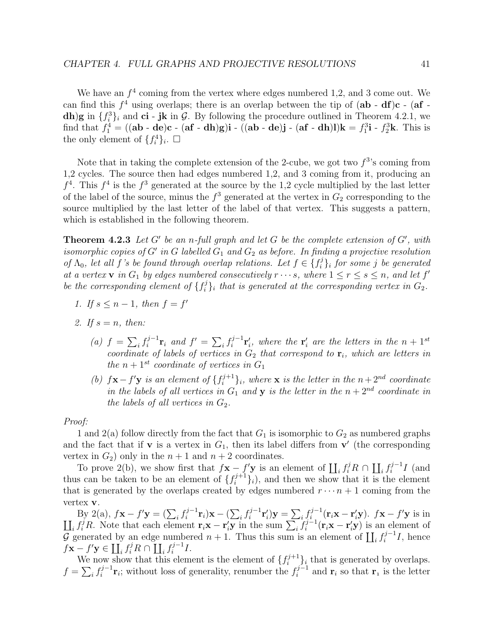We have an  $f^4$  coming from the vertex where edges numbered 1,2, and 3 come out. We can find this  $f^4$  using overlaps; there is an overlap between the tip of  $(ab - df)c - (af$ **dh**)**g** in  $\{f_i^3\}_i$  and **ci** - **jk** in G. By following the procedure outlined in Theorem 4.2.1, we find that  $f_1^4 = ((ab - de)c - (af - dh)g)i - ((ab - de)j - (af - dh)l)k = f_1^3i - f_2^3k$ . This is the only element of  $\{f_i^4\}_i$ .  $\Box$ 

Note that in taking the complete extension of the 2-cube, we got two  $f^{3}$ 's coming from 1,2 cycles. The source then had edges numbered 1,2, and 3 coming from it, producing an  $f<sup>4</sup>$ . This  $f<sup>4</sup>$  is the  $f<sup>3</sup>$  generated at the source by the 1,2 cycle multiplied by the last letter of the label of the source, minus the  $f^3$  generated at the vertex in  $G_2$  corresponding to the source multiplied by the last letter of the label of that vertex. This suggests a pattern, which is established in the following theorem.

**Theorem 4.2.3** Let G' be an n-full graph and let G be the complete extension of  $G'$ , with isomorphic copies of G' in G labelled  $G_1$  and  $G_2$  as before. In finding a projective resolution of  $\Lambda_0$ , let all f's be found through overlap relations. Let  $f \in \{f_i^j\}_i$  for some j be generated at a vertex **v** in  $G_1$  by edges numbered consecutively  $r \cdots s$ , where  $1 \le r \le s \le n$ , and let  $f'$ be the corresponding element of  $\{f_i^j\}_i$  that is generated at the corresponding vertex in  $G_2$ .

- 1. If  $s \leq n-1$ , then  $f = f'$
- 2. If  $s = n$ , then:
	- (a)  $f = \sum_i f_i^{j-1} \mathbf{r}_i$  and  $f' = \sum_i f_i^{j-1} \mathbf{r}'_i$ , where the  $\mathbf{r}'_i$  are the letters in the  $n+1^{st}$ coordinate of labels of vertices in  $G_2$  that correspond to  $\mathbf{r}_i$ , which are letters in the  $n + 1$ <sup>st</sup> coordinate of vertices in  $G_1$
	- (b)  $f\mathbf{x} f'\mathbf{y}$  is an element of  $\{f_i^{j+1}\}_i$ , where **x** is the letter in the  $n+2^{nd}$  coordinate in the labels of all vertices in  $G_1$  and **y** is the letter in the  $n + 2^{nd}$  coordinate in the labels of all vertices in  $G_2$ .

#### Proof:

1 and 2(a) follow directly from the fact that  $G_1$  is isomorphic to  $G_2$  as numbered graphs and the fact that if **v** is a vertex in  $G_1$ , then its label differs from **v**' (the corresponding vertex in  $G_2$ ) only in the  $n + 1$  and  $n + 2$  coordinates.

To prove 2(b), we show first that  $f\mathbf{x} - f'\mathbf{y}$  is an element of  $\prod_i f_i^j R \cap \prod_i f_i^{j-1} I$  (and thus can be taken to be an element of  $\{f_i^{j+1}\}_i$ , and then we show that it is the element that is generated by the overlaps created by edges numbered  $r \cdots n+1$  coming from the vertex **v**.

By 2(a),  $f$ **x** −  $f'$ **y** =  $(\sum_i f_i^{j-1}$ **r**<sub>*i*</sub>)**x** −  $(\sum_i f_i^{j-1}$ **r**<sup>*i*</sup><sub>*i*</sub>)**y** =  $\sum_i f_i^{j-1}$  (**r**<sub>*i*</sub>**x** − **r**<sup>*'*</sup><sub>i</sub>**y**).  $f$ **x** −  $f'$  $\overline{1}$ **y** is in  $i_j f_i^j R$ . Note that each element  $\mathbf{r}_i \mathbf{x} - \mathbf{r}_i' \mathbf{y}$  in the sum  $\sum_i f_i^{j-1} (\mathbf{r}_i \mathbf{x} - \mathbf{r}_i' \mathbf{y})$  is an element of  $\mathcal{G}$  generated by an edge numbered  $n + 1$ . Thus this sum is an element of  $\prod_i f_i^{j-1}I$ , hence  $f\mathbf{x} - f'\mathbf{y} \in \coprod_i f_i^j R \cap \coprod_i f_i^{j-1} I.$ 

We now show that this element is the element of  $\{f_i^{j+1}\}_i$  that is generated by overlaps.  $f = \sum_i f_i^{j-1} \mathbf{r}_i$ ; without loss of generality, renumber the  $f_i^{j-1}$  and  $\mathbf{r}_i$  so that  $\mathbf{r}_i$  is the letter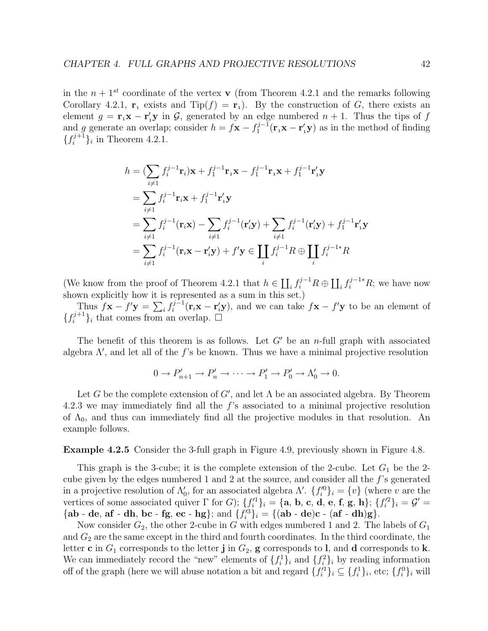in the  $n + 1$ <sup>st</sup> coordinate of the vertex **v** (from Theorem 4.2.1 and the remarks following Corollary 4.2.1,  $\mathbf{r}_1$  exists and  $\text{Tip}(f) = \mathbf{r}_1$ . By the construction of G, there exists an element  $g = \mathbf{r}_1 \mathbf{x} - \mathbf{r}'_1 \mathbf{y}$  in  $\mathcal{G}$ , generated by an edge numbered  $n + 1$ . Thus the tips of f and g generate an overlap; consider  $h = f\mathbf{x} - f_1^{j-1}(\mathbf{r}_1\mathbf{x} - \mathbf{r}_1'\mathbf{y})$  as in the method of finding  ${f_i^{j+1}}$ <sub>i</sub> in Theorem 4.2.1.

$$
h = (\sum_{i \neq 1} f_i^{j-1} \mathbf{r}_i) \mathbf{x} + f_1^{j-1} \mathbf{r}_1 \mathbf{x} - f_1^{j-1} \mathbf{r}_1 \mathbf{x} + f_1^{j-1} \mathbf{r}'_1 \mathbf{y}
$$
  
\n
$$
= \sum_{i \neq 1} f_i^{j-1} \mathbf{r}_i \mathbf{x} + f_1^{j-1} \mathbf{r}'_1 \mathbf{y}
$$
  
\n
$$
= \sum_{i \neq 1} f_i^{j-1} (\mathbf{r}_i \mathbf{x}) - \sum_{i \neq 1} f_i^{j-1} (\mathbf{r}'_i \mathbf{y}) + \sum_{i \neq 1} f_i^{j-1} (\mathbf{r}'_i \mathbf{y}) + f_1^{j-1} \mathbf{r}'_1 \mathbf{y}
$$
  
\n
$$
= \sum_{i \neq 1} f_i^{j-1} (\mathbf{r}_i \mathbf{x} - \mathbf{r}'_i \mathbf{y}) + f' \mathbf{y} \in \prod_i f_i^{j-1} R \oplus \prod_i f_i^{j-1} R
$$

(We know from the proof of Theorem 4.2.1 that  $h \in \coprod_i f_i^{j-1}R \oplus \coprod_i f_i^{j-1*}R$ ; we have now shown explicitly how it is represented as a sum in this set.)

Thus  $f\mathbf{x} - f'\mathbf{y} = \sum_i f_i^{j-1}(\mathbf{r}_i\mathbf{x} - \mathbf{r}_i'\mathbf{y})$ , and we can take  $f\mathbf{x} - f'\mathbf{y}$  to be an element of  $\{f_i^{j+1}\}_i$  that comes from an overlap.  $\Box$ 

The benefit of this theorem is as follows. Let  $G'$  be an n-full graph with associated algebra  $\Lambda'$ , and let all of the f's be known. Thus we have a minimal projective resolution

$$
0 \to P'_{n+1} \to P'_n \to \cdots \to P'_1 \to P'_0 \to \Lambda'_0 \to 0.
$$

Let G be the complete extension of  $G'$ , and let  $\Lambda$  be an associated algebra. By Theorem 4.2.3 we may immediately find all the f's associated to a minimal projective resolution of  $\Lambda_0$ , and thus can immediately find all the projective modules in that resolution. An example follows.

**Example 4.2.5** Consider the 3-full graph in Figure 4.9, previously shown in Figure 4.8.

This graph is the 3-cube; it is the complete extension of the 2-cube. Let  $G_1$  be the 2cube given by the edges numbered 1 and 2 at the source, and consider all the f's generated in a projective resolution of  $\Lambda'_0$ , for an associated algebra  $\Lambda'$ .  $\{f_i'^0\}_i = \{v\}$  (where v are the vertices of some associated quiver  $\Gamma$  for G);  $\{f_i'^1\}_i = \{\mathbf{a}, \mathbf{b}, \mathbf{c}, \mathbf{d}, \mathbf{e}, \mathbf{f}, \mathbf{g}, \mathbf{h}\}; \{f_i'^2\}_i = \mathcal{G}' =$  ${\bf \{ab - de, af - dh, bc - fg, ec - hg\}};$  and  ${f_i'^3}_i = {\bf \{(ab - de)c - (af - dh)g\}}.$ 

Now consider  $G_2$ , the other 2-cube in G with edges numbered 1 and 2. The labels of  $G_1$ and  $G_2$  are the same except in the third and fourth coordinates. In the third coordinate, the letter **c** in  $G_1$  corresponds to the letter **j** in  $G_2$ , **g** corresponds to **l**, and **d** corresponds to **k**. We can immediately record the "new" elements of  $\{f_i^1\}_i$  and  $\{f_i^2\}_i$  by reading information off of the graph (here we will abuse notation a bit and regard  $\{f_i'^{1}\}_i \subseteq \{f_i^1\}_i$ , etc;  $\{f_i^0\}_i$  will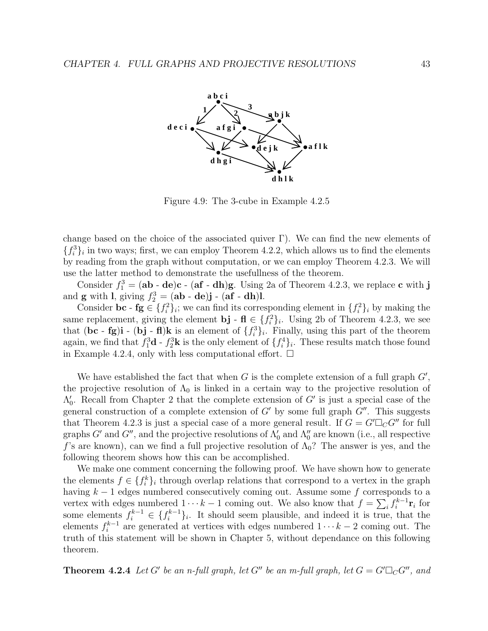

Figure 4.9: The 3-cube in Example 4.2.5

change based on the choice of the associated quiver  $\Gamma$ ). We can find the new elements of  ${f_i^3}_i$  in two ways; first, we can employ Theorem 4.2.2, which allows us to find the elements by reading from the graph without computation, or we can employ Theorem 4.2.3. We will use the latter method to demonstrate the usefullness of the theorem.

Consider  $f_1^3 = (\mathbf{a}\mathbf{b} - \mathbf{d}\mathbf{e})\mathbf{c} - (\mathbf{a}\mathbf{f} - \mathbf{d}\mathbf{h})\mathbf{g}$ . Using 2a of Theorem 4.2.3, we replace  $\mathbf{c}$  with  $\mathbf{j}$ and **g** with **l**, giving  $f_2^3 = (\mathbf{ab} - \mathbf{de})\mathbf{j} - (\mathbf{af} - \mathbf{dh})\mathbf{l}$ .

Consider **bc** -  $\mathbf{fg} \in \{f_i^2\}_i$ ; we can find its corresponding element in  $\{f_i^2\}_i$  by making the same replacement, giving the element **bj** -  $f{f} \in {f_i^2}_i$ . Using 2b of Theorem 4.2.3, we see that  $(\mathbf{bc} - \mathbf{fg})\mathbf{i} - (\mathbf{bj} - \mathbf{fl})\mathbf{k}$  is an element of  $\{f_i^3\}_i$ . Finally, using this part of the theorem again, we find that  $f_1^3$ **d** -  $f_2^3$ **k** is the only element of  $\{f_i^4\}_i$ . These results match those found in Example 4.2.4, only with less computational effort.  $\Box$ 

We have established the fact that when  $G$  is the complete extension of a full graph  $G'$ , the projective resolution of  $\Lambda_0$  is linked in a certain way to the projective resolution of  $\Lambda'_0$ . Recall from Chapter 2 that the complete extension of G' is just a special case of the general construction of a complete extension of  $G'$  by some full graph  $G''$ . This suggests that Theorem 4.2.3 is just a special case of a more general result. If  $G = G' \square_C G''$  for full graphs  $G'$  and  $G''$ , and the projective resolutions of  $\Lambda'_0$  and  $\Lambda''_0$  are known (i.e., all respective f's are known), can we find a full projective resolution of  $\Lambda_0$ ? The answer is yes, and the following theorem shows how this can be accomplished.

We make one comment concerning the following proof. We have shown how to generate the elements  $f \in \{f_i^k\}_i$  through overlap relations that correspond to a vertex in the graph having  $k - 1$  edges numbered consecutively coming out. Assume some f corresponds to a vertex with edges numbered  $1 \cdots k-1$  coming out. We also know that  $f = \sum_i f_i^{k-1} \mathbf{r}_i$  for some elements  $f_i^{k-1} \in \{f_i^{k-1}\}_i$ . It should seem plausible, and indeed it is true, that the elements  $f_i^{k-1}$  are generated at vertices with edges numbered  $1 \cdots k-2$  coming out. The truth of this statement will be shown in Chapter 5, without dependance on this following theorem.

**Theorem 4.2.4** Let G' be an n-full graph, let G" be an m-full graph, let  $G = G' \square_C G''$ , and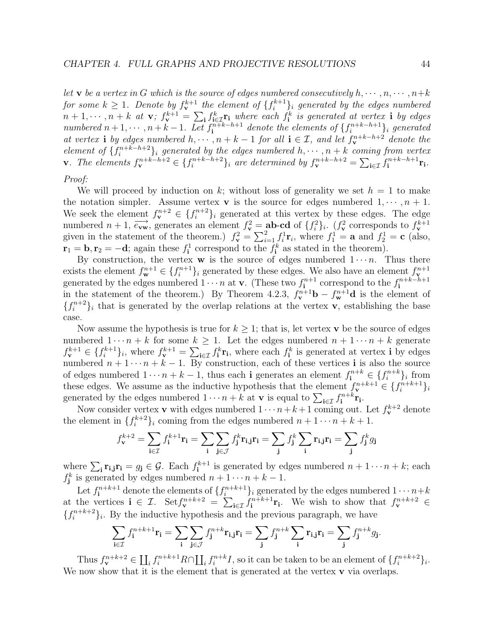let **v** be a vertex in G which is the source of edges numbered consecutively  $h, \dots, n, \dots, n+k$ for some  $k \geq 1$ . Denote by  $f_{\mathbf{v}}^{k+1}$  the element of  $\{f_i^{k+1}\}_i$  generated by the edges numbered  $n+1,\dots,n+k$  at **v**;  $f_{\mathbf{y}}^{k+1}=\sum_{\mathbf{i}}f_{\mathbf{i}\in\mathcal{I}}^{\mathbf{k}}\mathbf{r}_{\mathbf{i}}$  where each  $f_{\mathbf{i}}^k$  is generated at vertex **i** by edges numbered  $n+1, \dots, n+k-1$ . Let  $f_1^{n+k-h+1}$  denote the elements of  $\{f_i^{n+k-h+1}\}_i$  generated at vertex **i** by edges numbered  $h, \dots, n + k - 1$  for all  $\mathbf{i} \in \mathcal{I}$ , and let  $f_{\mathbf{v}}^{n+k-h+2}$  denote the element of  $\{f_i^{n+k-h+2}\}\$  generated by the edges numbered  $h, \dots, h+k$  coming from vertex **v**. The elements  $f_v^{n+k-h+2} \in \{f_i^{n+k-h+2}\}_i$  are determined by  $f_v^{n+k-h+2} = \sum_{i \in \mathcal{I}} f_i^{n+k-h+1} \mathbf{r_i}$ .

## Proof:

We will proceed by induction on k; without loss of generality we set  $h = 1$  to make the notation simpler. Assume vertex **v** is the source for edges numbered  $1, \dots, n+1$ . We seek the element  $f_{\mathbf{v}}^{n+2} \in \{f_i^{n+2}\}_i$  generated at this vertex by these edges. The edge numbered  $n + 1$ ,  $\overrightarrow{e_{vw}}$ , generates an element  $f_v^2 = ab - cd$  of  $\{f_i^2\}_i$ .  $(f_v^2$  corresponds to  $f_v^{k+1}$  given in the statement of the theorem.)  $f_v^2 = \sum_{i=1}^2 f_i^1 \mathbf{r}_i$ , where  $f_1^1 = \mathbf{a}$  and  $f_2^1 = \mathbf{c}$  (al  $\mathbf{r}_1 = \mathbf{b}, \mathbf{r}_2 = -\mathbf{d}$ ; again these  $f_i^1$  correspond to the  $f_i^k$  as stated in the theorem).

By construction, the vertex **w** is the source of edges numbered  $1 \cdots n$ . Thus there exists the element  $f_{\mathbf{w}}^{n+1} \in \{f_i^{n+1}\}_i$  generated by these edges. We also have an element  $f_{\mathbf{v}}^{n+1}$  generated by the edges numbered  $1 \cdots n$  at **v**. (These two  $f_i^{n+1}$  correspond to the  $f_i^{n+k-h+1}$ in the statement of the theorem.) By Theorem 4.2.3,  $f_{\mathbf{v}}^{n+1} \mathbf{b} - f_{\mathbf{w}}^{n+1} \mathbf{d}$  is the element of  ${f_i^{n+2}}_i$  that is generated by the overlap relations at the vertex **v**, establishing the base case.

Now assume the hypothesis is true for  $k \geq 1$ ; that is, let vertex **v** be the source of edges numbered  $1 \cdots n + k$  for some  $k \geq 1$ . Let the edges numbered  $n + 1 \cdots n + k$  generate  $f_{\mathbf{v}}^{k+1} \in \{f_i^{k+1}\}_i$ , where  $f_{\mathbf{v}}^{k+1} = \sum_{\mathbf{i} \in \mathcal{I}} f_{\mathbf{i}}^k \mathbf{r}_{\mathbf{i}}$ , where each  $f_{\mathbf{i}}^k$  is generated at vertex **i** by edges numbered  $n + 1 \cdots n + k - 1$ . By construction, each of these vertices **i** is also the source of edges numbered  $1 \cdots n + k - 1$ , thus each **i** generates an element  $f_i^{n+k} \in \{f_i^{n+k}\}_i$  from these edges. We assume as the inductive hypothesis that the element  $f_{\mathbf{v}}^{n+k+1} \in \{f_i^{n+k+1}\}_i$ generated by the edges numbered  $1 \cdots n + k$  at **v** is equal to  $\sum_{i \in \mathcal{I}} f_i^{n+k} \mathbf{r_i}$ .

Now consider vertex **v** with edges numbered  $1 \cdots n+k+1$  coming out. Let  $f_{\mathbf{v}}^{k+2}$  denote the element in  $\{f_i^{k+2}\}\$ i coming from the edges numbered  $n+1\cdots n+k+1$ .

$$
f_{\mathbf{v}}^{k+2} = \sum_{\mathbf{i} \in \mathcal{I}} f_{\mathbf{i}}^{k+1} \mathbf{r}_{\mathbf{i}} = \sum_{\mathbf{i}} \sum_{\mathbf{j} \in \mathcal{J}} f_{\mathbf{j}}^{k} \mathbf{r}_{\mathbf{i},\mathbf{j}} \mathbf{r}_{\mathbf{i}} = \sum_{\mathbf{j}} f_{\mathbf{j}}^{k} \sum_{\mathbf{i}} \mathbf{r}_{\mathbf{i},\mathbf{j}} \mathbf{r}_{\mathbf{i}} = \sum_{\mathbf{j}} f_{\mathbf{j}}^{k} g_{\mathbf{j}}
$$

where  $\sum_i \mathbf{r}_{i,j}\mathbf{r}_i = g_j \in \mathcal{G}$ . Each  $f_i^{k+1}$  is generated by edges numbered  $n+1\cdots n+k$ ; each  $f_j^k$  is generated by edges numbered  $n+1\cdots n+k-1$ .

Let  $f_i^{n+k+1}$  denote the elements of  $\{f_i^{n+k+1}\}\$ i generated by the edges numbered  $1 \cdots n+k$ at the vertices  $\mathbf{i} \in \mathcal{I}$ . Set  $f_{\mathbf{v}}^{n+k+2} = \sum_{i \in \mathcal{I}} f_i^{n+k+1} \mathbf{r}_i$ . We wish to show that  $f_{\mathbf{v}}^{n+k+2} \in$  ${f_i^{n+k+2}}_i$ . By the inductive hypothesis and the previous paragraph, we have

$$
\sum_{\mathbf{i}\in\mathcal{I}}f_{\mathbf{i}}^{n+k+1}\mathbf{r}_{\mathbf{i}}=\sum_{\mathbf{i}}\sum_{\mathbf{j}\in\mathcal{J}}f_{\mathbf{j}}^{n+k}\mathbf{r}_{\mathbf{i},\mathbf{j}}\mathbf{r}_{\mathbf{i}}=\sum_{\mathbf{j}}f_{\mathbf{j}}^{n+k}\sum_{\mathbf{i}}\mathbf{r}_{\mathbf{i},\mathbf{j}}\mathbf{r}_{\mathbf{i}}=\sum_{\mathbf{j}}f_{\mathbf{j}}^{n+k}g_{\mathbf{j}}.
$$

Thus  $f_{\mathbf{v}}^{n+k+2} \in \coprod_i f_i^{n+k+1} R \cap \coprod_i f_i^{n+k} I$ , so it can be taken to be an element of  $\{f_i^{n+k+2}\}_i$ . We now show that it is the element that is generated at the vertex **v** via overlaps.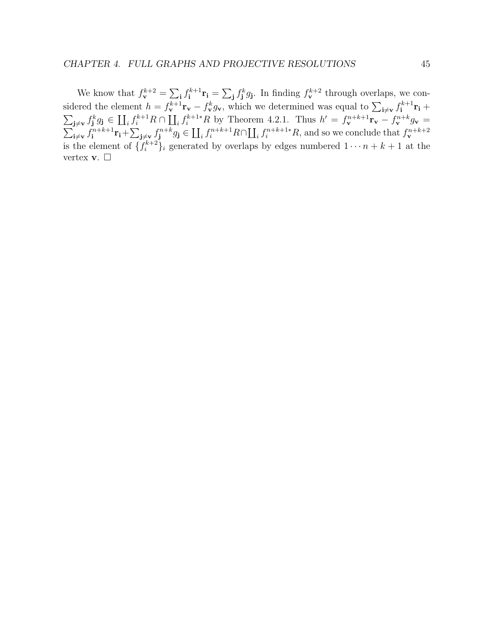We know that  $f_{\mathbf{v}}^{k+2} = \sum_{\mathbf{i}} f_{\mathbf{i}}^{k+1} \mathbf{r}_{\mathbf{i}} = \sum_{\mathbf{j}} f_{\mathbf{j}}^k g_{\mathbf{j}}$ . In finding  $f_{\mathbf{v}}^{k+2}$  through overlaps, we considered the element  $h = f_{\mathbf{v}}^{k+1} \mathbf{r}_{\mathbf{v}} - f_{\mathbf{v}}^k g_{\mathbf{v}}$ , which we determined was equal to  $\sum_{\mathbf{i} \neq \mathbf{v}} f_{\mathbf{i}}^{k+1} \mathbf{r}_{\mathbf{i}} +$  $\sum_{\mathbf{j}\neq\mathbf{v}} f_{\mathbf{j}}^k g_{\mathbf{j}} \in \prod_i f_i^{k+1}R \cap \prod_i f_i^{k+1*}R$  by Theorem 4.2.1. Thus  $h' = f_{\mathbf{v}}^{n+k+1} \mathbf{r}_{\mathbf{v}} - f_{\mathbf{v}}^{n+k} g_{\mathbf{v}} =$  $\sum_{i \neq v}^{n+k+1} \mathbf{r}_i + \sum_{j \neq v}^{n+k+1} g_j \in \prod_i f_i^{n+k+1} R \cap \prod_i f_i^{n+k+1*} R$ , and so we conclude that  $f_{\mathbf{v}}^{n+k+2}$ is the element of  $\{f_i^{k+2}\}_i$  generated by overlaps by edges numbered  $1 \cdots n + k + 1$  at the vertex **v**.  $\Box$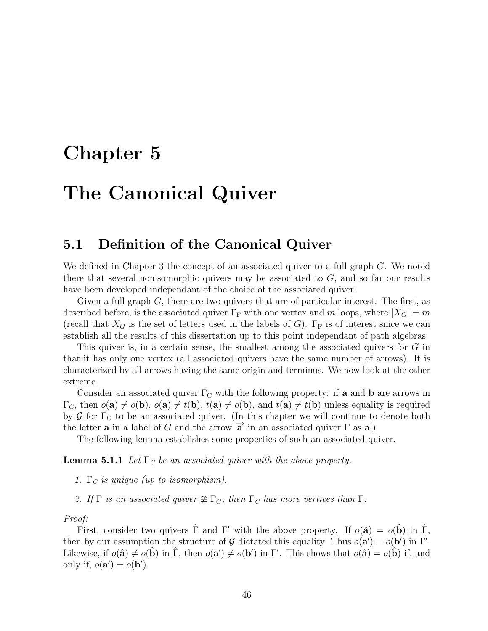# **Chapter 5**

# **The Canonical Quiver**

## **5.1 Definition of the Canonical Quiver**

We defined in Chapter 3 the concept of an associated quiver to a full graph G. We noted there that several nonisomorphic quivers may be associated to  $G$ , and so far our results have been developed independant of the choice of the associated quiver.

Given a full graph G, there are two quivers that are of particular interest. The first, as described before, is the associated quiver  $\Gamma_F$  with one vertex and m loops, where  $|X_G| = m$ (recall that  $X_G$  is the set of letters used in the labels of G).  $\Gamma_F$  is of interest since we can establish all the results of this dissertation up to this point independant of path algebras.

This quiver is, in a certain sense, the smallest among the associated quivers for G in that it has only one vertex (all associated quivers have the same number of arrows). It is characterized by all arrows having the same origin and terminus. We now look at the other extreme.

Consider an associated quiver  $\Gamma_c$  with the following property: if **a** and **b** are arrows in  $\Gamma_{\text{C}}$ , then  $o(\mathbf{a}) \neq o(\mathbf{b})$ ,  $o(\mathbf{a}) \neq t(\mathbf{b})$ ,  $t(\mathbf{a}) \neq o(\mathbf{b})$ , and  $t(\mathbf{a}) \neq t(\mathbf{b})$  unless equality is required by G for  $\Gamma_{\rm C}$  to be an associated quiver. (In this chapter we will continue to denote both the letter **a** in a label of G and the arrow  $\vec{a}$  in an associated quiver  $\Gamma$  as **a**.)

The following lemma establishes some properties of such an associated quiver.

**Lemma 5.1.1** Let  $\Gamma_C$  be an associated quiver with the above property.

- 1.  $\Gamma_C$  is unique (up to isomorphism).
- 2. If  $\Gamma$  is an associated quiver  $\ncong \Gamma_C$ , then  $\Gamma_C$  has more vertices than  $\Gamma$ .

#### Proof:

First, consider two quivers  $\hat{\Gamma}$  and  $\Gamma'$  with the above property. If  $o(\hat{\mathbf{a}}) = o(\hat{\mathbf{b}})$  in  $\hat{\Gamma}$ , then by our assumption the structure of G dictated this equality. Thus  $o(\mathbf{a}') = o(\mathbf{b}')$  in  $\Gamma'$ . Likewise, if  $o(\hat{\mathbf{a}}) \neq o(\hat{\mathbf{b}})$  in  $\hat{\Gamma}$ , then  $o(\mathbf{a}') \neq o(\mathbf{b}')$  in  $\Gamma'$ . This shows that  $o(\hat{\mathbf{a}}) = o(\hat{\mathbf{b}})$  if, and only if,  $o(\mathbf{a}') = o(\mathbf{b}')$ .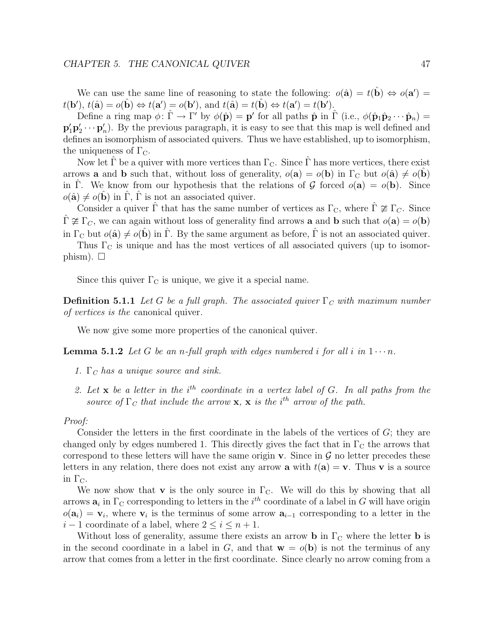We can use the same line of reasoning to state the following:  $o(\hat{\mathbf{a}}) = t(\hat{\mathbf{b}}) \Leftrightarrow o(\mathbf{a}') =$  $t(\mathbf{b}'), t(\hat{\mathbf{a}}) = o(\hat{\mathbf{b}}) \Leftrightarrow t(\mathbf{a}') = o(\mathbf{b}'), \text{ and } t(\hat{\mathbf{a}}) = t(\hat{\mathbf{b}}) \Leftrightarrow t(\mathbf{a}') = t(\mathbf{b}').$ 

Define a ring map  $\phi: \hat{\Gamma} \to \Gamma'$  by  $\phi(\hat{\mathbf{p}}) = \mathbf{p}'$  for all paths  $\hat{\mathbf{p}}$  in  $\hat{\Gamma}$  (i.e.,  $\phi(\hat{\mathbf{p}}_1 \hat{\mathbf{p}}_2 \cdots \hat{\mathbf{p}}_n) =$  $\mathbf{p}'_1 \mathbf{p}'_2 \cdots \mathbf{p}'_n$ ). By the previous paragraph, it is easy to see that this map is well defined and defines an isomorphism of associated quivers. Thus we have established, up to isomorphism, the uniqueness of  $\Gamma_{\text{C}}$ .

Now let  $\Gamma$  be a quiver with more vertices than  $\Gamma_{\text{C}}$ . Since  $\Gamma$  has more vertices, there exist arrows **a** and **b** such that, without loss of generality,  $o(\mathbf{a}) = o(\mathbf{b})$  in  $\Gamma_C$  but  $o(\hat{\mathbf{a}}) \neq o(\mathbf{b})$ in Γ. We know from our hypothesis that the relations of  $\mathcal G$  forced  $o(\mathbf a) = o(\mathbf b)$ . Since  $o(\hat{\mathbf{a}}) \neq o(\hat{\mathbf{b}})$  in  $\hat{\Gamma}$ ,  $\hat{\Gamma}$  is not an associated quiver.

Consider a quiver  $\hat{\Gamma}$  that has the same number of vertices as  $\Gamma_{\rm C}$ , where  $\hat{\Gamma} \ncong \Gamma_{C}$ . Since  $\hat{\Gamma} \ncong \Gamma_C$ , we can again without loss of generality find arrows **a** and **b** such that  $o(\mathbf{a}) = o(\mathbf{b})$ in  $\Gamma_{\rm C}$  but  $o(\hat{\bf a}) \neq o(\hat{\bf b})$  in  $\hat{\Gamma}$ . By the same argument as before,  $\hat{\Gamma}$  is not an associated quiver.

Thus  $\Gamma_{\text{C}}$  is unique and has the most vertices of all associated quivers (up to isomorphism).  $\square$ 

Since this quiver  $\Gamma_{\rm C}$  is unique, we give it a special name.

**Definition 5.1.1** Let G be a full graph. The associated quiver  $\Gamma_C$  with maximum number of vertices is the canonical quiver.

We now give some more properties of the canonical quiver.

**Lemma 5.1.2** Let G be an n-full graph with edges numbered i for all i in  $1 \cdots n$ .

- 1. Γ*<sup>C</sup>* has a unique source and sink.
- 2. Let  $\bf{x}$  be a letter in the i<sup>th</sup> coordinate in a vertex label of  $G$ . In all paths from the source of  $\Gamma_C$  that include the arrow **x**, **x** is the i<sup>th</sup> arrow of the path.

#### Proof:

Consider the letters in the first coordinate in the labels of the vertices of  $G$ ; they are changed only by edges numbered 1. This directly gives the fact that in  $\Gamma_{\rm C}$  the arrows that correspond to these letters will have the same origin **v**. Since in  $\mathcal{G}$  no letter precedes these letters in any relation, there does not exist any arrow **a** with  $t(a) = v$ . Thus v is a source in  $\Gamma_{\text{C}}$ .

We now show that **v** is the only source in  $\Gamma_{\text{C}}$ . We will do this by showing that all arrows  $a_i$  in  $\Gamma_C$  corresponding to letters in the i<sup>th</sup> coordinate of a label in G will have origin  $o(\mathbf{a}_i) = \mathbf{v}_i$ , where  $\mathbf{v}_i$  is the terminus of some arrow  $\mathbf{a}_{i-1}$  corresponding to a letter in the  $i-1$  coordinate of a label, where  $2 \leq i \leq n+1$ .

Without loss of generality, assume there exists an arrow **b** in  $\Gamma_c$  where the letter **b** is in the second coordinate in a label in G, and that  $\mathbf{w} = o(\mathbf{b})$  is not the terminus of any arrow that comes from a letter in the first coordinate. Since clearly no arrow coming from a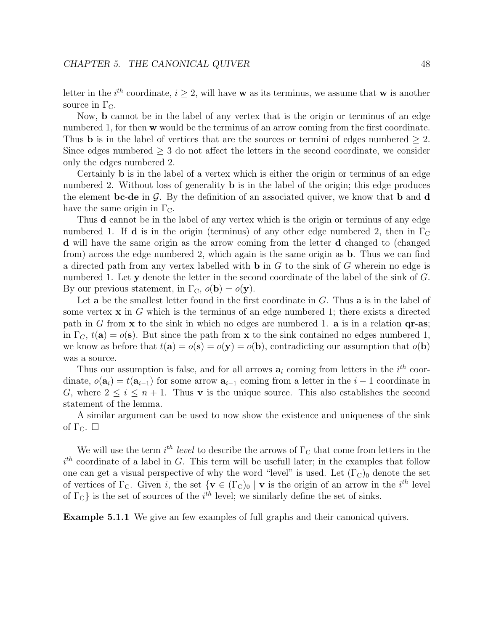letter in the *i*<sup>th</sup> coordinate,  $i \geq 2$ , will have **w** as its terminus, we assume that **w** is another source in  $\Gamma_{\text{C}}$ .

Now, **b** cannot be in the label of any vertex that is the origin or terminus of an edge numbered 1, for then **w** would be the terminus of an arrow coming from the first coordinate. Thus **b** is in the label of vertices that are the sources or termini of edges numbered  $\geq 2$ . Since edges numbered  $\geq$  3 do not affect the letters in the second coordinate, we consider only the edges numbered 2.

Certainly **b** is in the label of a vertex which is either the origin or terminus of an edge numbered 2. Without loss of generality **b** is in the label of the origin; this edge produces the element **bc-de** in  $\mathcal{G}$ . By the definition of an associated quiver, we know that **b** and **d** have the same origin in  $\Gamma_{\text{C}}$ .

Thus **d** cannot be in the label of any vertex which is the origin or terminus of any edge numbered 1. If **d** is in the origin (terminus) of any other edge numbered 2, then in  $\Gamma_{\rm C}$ **d** will have the same origin as the arrow coming from the letter **d** changed to (changed from) across the edge numbered 2, which again is the same origin as **b**. Thus we can find a directed path from any vertex labelled with **b** in G to the sink of G wherein no edge is numbered 1. Let **y** denote the letter in the second coordinate of the label of the sink of G. By our previous statement, in  $\Gamma_{\text{C}}$ ,  $o(\mathbf{b}) = o(\mathbf{y})$ .

Let **a** be the smallest letter found in the first coordinate in G. Thus **a** is in the label of some vertex **x** in G which is the terminus of an edge numbered 1; there exists a directed path in G from **x** to the sink in which no edges are numbered 1. **a** is in a relation **qr**-**as**; in  $\Gamma_C$ ,  $t(\mathbf{a}) = o(\mathbf{s})$ . But since the path from **x** to the sink contained no edges numbered 1, we know as before that  $t(\mathbf{a}) = o(\mathbf{s}) = o(\mathbf{y}) = o(\mathbf{b})$ , contradicting our assumption that  $o(\mathbf{b})$ was a source.

Thus our assumption is false, and for all arrows  $a_i$  coming from letters in the  $i^{th}$  coordinate,  $o(\mathbf{a}_i) = t(\mathbf{a}_{i-1})$  for some arrow  $\mathbf{a}_{i-1}$  coming from a letter in the  $i-1$  coordinate in G, where  $2 \leq i \leq n+1$ . Thus **v** is the unique source. This also establishes the second statement of the lemma.

A similar argument can be used to now show the existence and uniqueness of the sink of  $\Gamma_{\text{C}}$ .  $\Box$ 

We will use the term  $i^{th}$  level to describe the arrows of  $\Gamma_{\rm C}$  that come from letters in the  $i<sup>th</sup>$  coordinate of a label in G. This term will be usefull later; in the examples that follow one can get a visual perspective of why the word "level" is used. Let  $(\Gamma_{\rm C})_0$  denote the set of vertices of  $\Gamma_{\text{C}}$ . Given i, the set  $\{ \mathbf{v} \in (\Gamma_{\text{C}})_0 \mid \mathbf{v} \text{ is the origin of an arrow in the } i^{th} \text{ level } \}$ of  $\Gamma_{\text{C}}$ } is the set of sources of the  $i^{th}$  level; we similarly define the set of sinks.

**Example 5.1.1** We give an few examples of full graphs and their canonical quivers.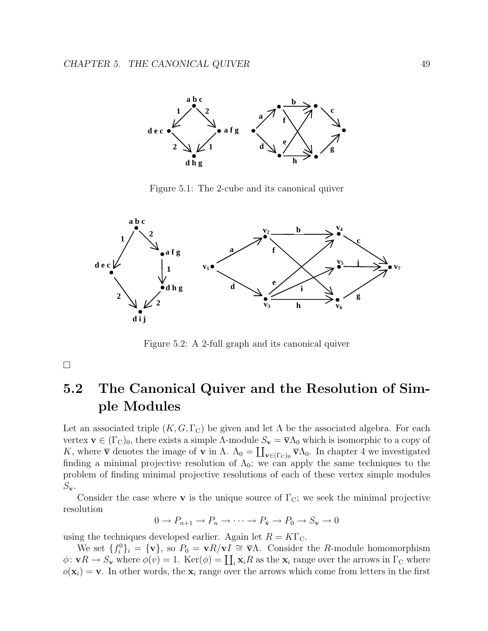

Figure 5.1: The 2-cube and its canonical quiver



Figure 5.2: A 2-full graph and its canonical quiver

 $\Box$ 

# **5.2 The Canonical Quiver and the Resolution of Simple Modules**

Let an associated triple  $(K, G, \Gamma_{\text{C}})$  be given and let  $\Lambda$  be the associated algebra. For each vertex  $\mathbf{v} \in (\Gamma_{\mathcal{C}})_0$ , there exists a simple  $\Lambda$ -module  $S_{\mathbf{v}} = \overline{\mathbf{v}} \Lambda_0$  which is isomorphic to a copy of K, where  $\bar{\mathbf{v}}$  denotes the image of **v** in  $\Lambda$ .  $\Lambda_0 = \coprod_{\mathbf{v} \in (\Gamma_C)_0} \bar{\mathbf{v}} \Lambda_0$ . In chapter 4 we investigated finding a minimal projective resolution of  $\Lambda_0$ ; we can apply the same techniques to the problem of finding minimal projective resolutions of each of these vertex simple modules  $S_{\mathbf{v}}$ .

Consider the case where **v** is the unique source of  $\Gamma_{\text{C}}$ ; we seek the minimal projective resolution

$$
0 \to P_{n+1} \to P_n \to \cdots \to P_{\hat{\mathbf{v}}} \to P_0 \to S_{\mathbf{v}} \to 0
$$

using the techniques developed earlier. Again let  $R = K\Gamma_{\text{C}}$ .

We set  ${f_i^0}_i$  =  ${\bf{v}}$ , so  $P_0 = {\bf{v}}R/{\bf{v}}I \cong {\bf{v}}\Lambda$ . Consider the R-module homomorphism  $\phi: \mathbf{v} \to \mathcal{S}_{\mathbf{v}}$  where  $\phi(v) = 1$ . Ker $(\phi) = \coprod_i \mathbf{x}_i R$  as the  $\mathbf{x}_i$  range over the arrows in  $\Gamma_{\mathbf{C}}$  where  $o(\mathbf{x}_i) = \mathbf{v}$ . In other words, the  $\mathbf{x}_i$  range over the arrows which come from letters in the first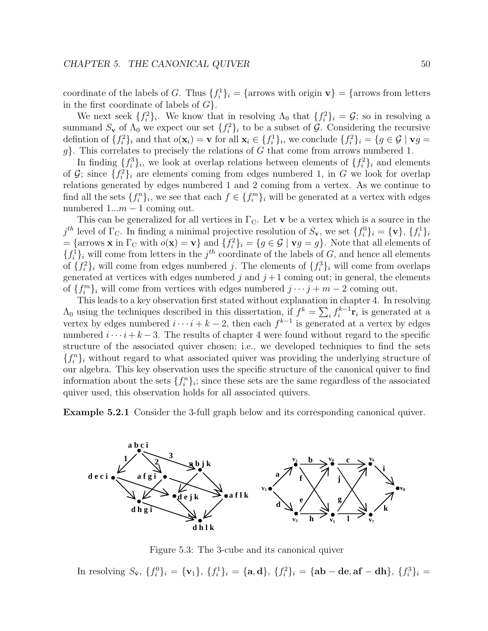coordinate of the labels of G. Thus  $\{f_i^1\}_i = \{\text{arrows with origin } \mathbf{v}\} = \{\text{arrows from letters}\}$ in the first coordinate of labels of  $G$ .

We next seek  $\{f_i^2\}_i$ . We know that in resolving  $\Lambda_0$  that  $\{f_i^2\}_i = \mathcal{G}$ ; so in resolving a summand  $S_{\mathbf{v}}$  of  $\Lambda_0$  we expect our set  $\{f_i^2\}_i$  to be a subset of  $\mathcal{G}$ . Considering the recursive definition of  $\{f_i^2\}_i$  and that  $o(\mathbf{x}_i) = \mathbf{v}$  for all  $\mathbf{x}_i \in \{f_i^1\}_i$ , we conclude  $\{f_i^2\}_i = \{g \in \mathcal{G} \mid \mathbf{v}g = \mathbf{v}\}$  $g$ . This correlates to precisely the relations of G that come from arrows numbered 1.

In finding  $\{f_i^3\}_i$ , we look at overlap relations between elements of  $\{f_i^2\}_i$  and elements of  $\mathcal{G}$ ; since  $\{f_i^2\}_i$  are elements coming from edges numbered 1, in G we look for overlap relations generated by edges numbered 1 and 2 coming from a vertex. As we continue to find all the sets  $\{f_i^n\}_i$ , we see that each  $f \in \{f_i^m\}_i$  will be generated at a vertex with edges numbered  $1...m-1$  coming out.

This can be generalized for all vertices in  $\Gamma_{\rm C}$ . Let **v** be a vertex which is a source in the  $j^{th}$  level of  $\Gamma_{\text{C}}$ . In finding a minimal projective resolution of  $S_{\mathbf{v}}$ , we set  $\{f_i^0\}_i = {\mathbf{v}}$ ,  $\{f_i^1\}_i$  $=$  {arrows **x** in  $\Gamma_{\text{C}}$  with  $o(\mathbf{x}) = \mathbf{v}$ } and  $\{f_i^2\}_i = \{g \in \mathcal{G} \mid \mathbf{v}g = g\}$ . Note that all elements of  ${f_i^1}_i$  will come from letters in the j<sup>th</sup> coordinate of the labels of G, and hence all elements of  $\{f_i^2\}_i$  will come from edges numbered j. The elements of  $\{f_i^3\}_i$  will come from overlaps generated at vertices with edges numbered  $j$  and  $j+1$  coming out; in general, the elements of  ${f_i^m}_i$  will come from vertices with edges numbered  $j \cdots j + m - 2$  coming out.

This leads to a key observation first stated without explanation in chapter 4. In resolving  $\Lambda_0$  using the techniques described in this dissertation, if  $f^k = \sum_i f_i^{k-1}$ **r**<sub>i</sub> is generated at a vertex by edges numbered  $i \cdots i + k - 2$ , then each  $f^{k-1}$  is generated at a vertex by edges numbered  $i \cdots i + k - 3$ . The results of chapter 4 were found without regard to the specific structure of the associated quiver chosen; i.e., we developed techniques to find the sets  ${f_i^n}_i$  without regard to what associated quiver was providing the underlying structure of our algebra. This key observation uses the specific structure of the canonical quiver to find information about the sets  $\{f_i^n\}_i$ ; since these sets are the same regardless of the associated quiver used, this observation holds for all associated quivers.

**Example 5.2.1** Consider the 3-full graph below and its corresponding canonical quiver.



Figure 5.3: The 3-cube and its canonical quiver

In resolving  $S_{\hat{\mathbf{v}}}, \{f_i^0\}_i = {\mathbf{v}_1}, \{f_i^1\}_i = {\mathbf{a}, \mathbf{d}}$ ,  $\{f_i^2\}_i = {\mathbf{a} \mathbf{b} - \mathbf{d} \mathbf{e}, \mathbf{a} \mathbf{f} - \mathbf{d} \mathbf{h}}$ ,  $\{f_i^3\}_i = {\mathbf{a} \mathbf{b} - \mathbf{d} \mathbf{e}}$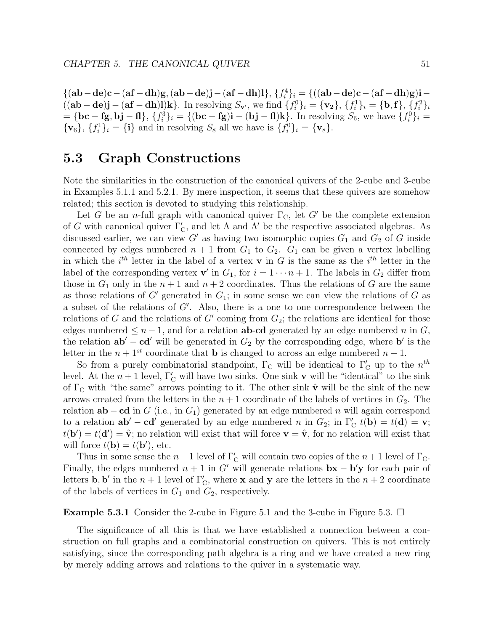${(ab-de)c-(af-dh)g, (ab-de)j-(af-dh)l}, {f<sub>i</sub><sup>4</sup>}<sub>i</sub> = {((ab-de)c-(af-dh)g)i ((ab-de)j - (af-dh)l)k$ . In resolving  $S_{\mathbf{v}'},$  we find  $\{f_i^0\}_i = \{\mathbf{v_2}\}, \{f_i^1\}_i = \{\mathbf{b},\mathbf{f}\}, \{f_i^2\}_i$  $= {\bf{bc - fg}, bj - fl}, \{f_i^3\}_i = {\bf{(bc - fg)i - (bj - fl)k}}.$  In resolving  $S_6$ , we have  ${f_i^0}_i = {\bf{b}}$  ${\bf v}_6$ ,  ${f_i^1}_i = {\bf i}$  and in resolving  $S_8$  all we have is  ${f_i^0}_i = {\bf v}_8$ .

## **5.3 Graph Constructions**

Note the similarities in the construction of the canonical quivers of the 2-cube and 3-cube in Examples 5.1.1 and 5.2.1. By mere inspection, it seems that these quivers are somehow related; this section is devoted to studying this relationship.

Let G be an n-full graph with canonical quiver  $\Gamma_{\rm C}$ , let G' be the complete extension of G with canonical quiver  $\Gamma'_{\mathcal{C}}$ , and let  $\Lambda$  and  $\Lambda'$  be the respective associated algebras. As discussed earlier, we can view  $G'$  as having two isomorphic copies  $G_1$  and  $G_2$  of G inside connected by edges numbered  $n + 1$  from  $G_1$  to  $G_2$ .  $G_1$  can be given a vertex labelling in which the  $i^{th}$  letter in the label of a vertex **v** in G is the same as the  $i^{th}$  letter in the label of the corresponding vertex **v**' in  $G_1$ , for  $i = 1 \cdots n + 1$ . The labels in  $G_2$  differ from those in  $G_1$  only in the  $n + 1$  and  $n + 2$  coordinates. Thus the relations of G are the same as those relations of G' generated in  $G_1$ ; in some sense we can view the relations of G as a subset of the relations of G . Also, there is a one to one correspondence between the relations of G and the relations of  $G'$  coming from  $G_2$ ; the relations are identical for those edges numbered  $\leq n-1$ , and for a relation **ab-cd** generated by an edge numbered n in G, the relation  $ab' - cd'$  will be generated in  $G_2$  by the corresponding edge, where **b**' is the letter in the  $n + 1^{st}$  coordinate that **b** is changed to across an edge numbered  $n + 1$ .

So from a purely combinatorial standpoint,  $\Gamma_{\text{C}}$  will be identical to  $\Gamma'_{\text{C}}$  up to the  $n^{th}$ level. At the  $n+1$  level,  $\Gamma'_{\rm C}$  will have two sinks. One sink **v** will be "identical" to the sink of  $\Gamma_{\rm C}$  with "the same" arrows pointing to it. The other sink  $\hat{\bf v}$  will be the sink of the new arrows created from the letters in the  $n + 1$  coordinate of the labels of vertices in  $G_2$ . The relation  $ab - cd$  in G (i.e., in G<sub>1</sub>) generated by an edge numbered n will again correspond to a relation  $ab' - cd'$  generated by an edge numbered n in  $G_2$ ; in  $\Gamma'_C t(b) = t(d) = v$ ;  $t(\mathbf{b}') = t(\mathbf{d}') = \hat{\mathbf{v}}$ ; no relation will exist that will force  $\mathbf{v} = \hat{\mathbf{v}}$ , for no relation will exist that will force  $t(\mathbf{b}) = t(\mathbf{b}')$ , etc.

Thus in some sense the  $n+1$  level of  $\Gamma'_{\rm C}$  will contain two copies of the  $n+1$  level of  $\Gamma_{\rm C}$ . Finally, the edges numbered  $n + 1$  in G' will generate relations  $\mathbf{bx} - \mathbf{b}'\mathbf{y}$  for each pair of letters **b**, **b**' in the  $n + 1$  level of  $\Gamma'_{\mathcal{C}}$ , where **x** and **y** are the letters in the  $n + 2$  coordinate of the labels of vertices in  $G_1$  and  $G_2$ , respectively.

### **Example 5.3.1** Consider the 2-cube in Figure 5.1 and the 3-cube in Figure 5.3.  $\Box$

The significance of all this is that we have established a connection between a construction on full graphs and a combinatorial construction on quivers. This is not entirely satisfying, since the corresponding path algebra is a ring and we have created a new ring by merely adding arrows and relations to the quiver in a systematic way.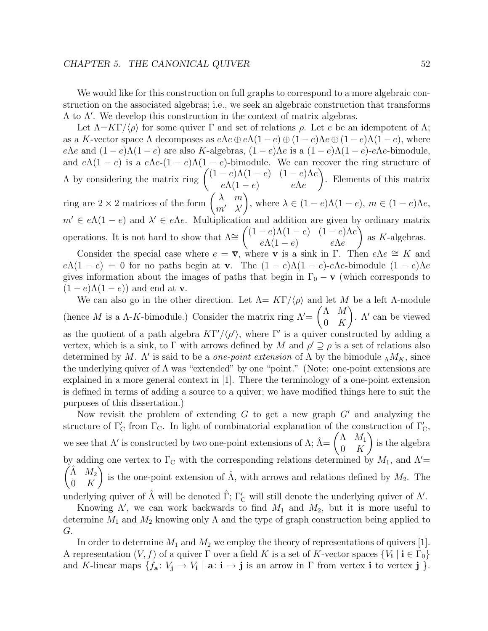#### $CHAPTER$  5. THE CANONICAL QUIVER  $52$

We would like for this construction on full graphs to correspond to a more algebraic construction on the associated algebras; i.e., we seek an algebraic construction that transforms Λ to Λ . We develop this construction in the context of matrix algebras.

Let  $\Lambda = K\Gamma/\langle \rho \rangle$  for some quiver  $\Gamma$  and set of relations  $\rho$ . Let e be an idempotent of  $\Lambda$ ; as a K-vector space  $\Lambda$  decomposes as  $e\Lambda e \oplus e\Lambda(1-e) \oplus (1-e)\Lambda e \oplus (1-e)\Lambda(1-e)$ , where eΛe and  $(1-e)\Lambda(1-e)$  are also K-algebras,  $(1-e)\Lambda e$  is a  $(1-e)\Lambda(1-e)-e\Lambda e$ -bimodule, and  $e\Lambda(1-e)$  is a  $e\Lambda e-(1-e)\Lambda(1-e)$ -bimodule. We can recover the ring structure of  $Λ$  by considering the matrix ring  $\left( (1-e)Λ(1-e)$   $(1-e)Λe$  $e\Lambda(1-e)$   $e\Lambda e$  $\lambda$ . Elements of this matrix ring are  $2 \times 2$  matrices of the form  $\begin{pmatrix} \lambda & m \\ m' & \lambda' \end{pmatrix}$  $\overline{ }$ , where  $\lambda \in (1-e)\Lambda(1-e)$ ,  $m \in (1-e)\Lambda e$ ,  $m' \in e\Lambda(1-e)$  and  $\lambda' \in e\Lambda e$ . Multiplication and addition are given by ordinary matrix operations. It is not hard to show that  $\Lambda \cong \begin{pmatrix} (1-e)\Lambda(1-e) & (1-e)\Lambda e \end{pmatrix}$  $e\Lambda(1-e)$  e $\Lambda e$ Í. as K-algebras.

Consider the special case where  $e = \overline{v}$ , where **v** is a sink in Γ. Then  $e\Lambda e \cong K$  and  $e\Lambda(1-e) = 0$  for no paths begin at **v**. The  $(1-e)\Lambda(1-e)$ -e $\Lambda e$ -bimodule  $(1-e)\Lambda e$ gives information about the images of paths that begin in  $\Gamma_0 - \mathbf{v}$  (which corresponds to  $(1-e)\Lambda(1-e)$  and end at **v**.

We can also go in the other direction. Let  $\Lambda = K\Gamma/\langle \rho \rangle$  and let M be a left  $\Lambda$ -module (hence M is a  $\Lambda$ -K-bimodule.) Consider the matrix ring  $\Lambda'$ =  $(\Lambda \ M)$  $0$  K  $\lambda$ .  $\Lambda'$  can be viewed as the quotient of a path algebra  $KT'/\langle \rho' \rangle$ , where  $\Gamma'$  is a quiver constructed by adding a vertex, which is a sink, to Γ with arrows defined by M and  $\rho' \supseteq \rho$  is a set of relations also determined by M.  $\Lambda'$  is said to be a *one-point extension* of  $\Lambda$  by the bimodule  $\Lambda M_K$ , since the underlying quiver of  $\Lambda$  was "extended" by one "point." (Note: one-point extensions are explained in a more general context in [1]. There the terminology of a one-point extension is defined in terms of adding a source to a quiver; we have modified things here to suit the purposes of this dissertation.)

Now revisit the problem of extending  $G$  to get a new graph  $G'$  and analyzing the structure of  $\Gamma_{\text{C}}'$  from  $\Gamma_{\text{C}}$ . In light of combinatorial explanation of the construction of  $\Gamma_{\text{C}}'$ , we see that  $\Lambda'$  is constructed by two one-point extensions of  $\Lambda$ ;  $\hat{\Lambda} = \begin{pmatrix} \Lambda & M_1 \\ 0 & K \end{pmatrix}$ 0 K  $\lambda$ is the algebra by adding one vertex to  $\Gamma_{\text{C}}$  with the corresponding relations determined by  $M_1$ , and  $\Lambda' = \hat{\Lambda} M_2 \hat{\Lambda} M_3$  $\hat{\Lambda}$   $M_2$ 0 K is the one-point extension of  $\hat{\Lambda}$ , with arrows and relations defined by  $M_2$ . The underlying quiver of  $\hat{\Lambda}$  will be denoted  $\hat{\Gamma}$ ;  $\Gamma'_{\rm C}$  will still denote the underlying quiver of  $\Lambda'$ .

Knowing  $\Lambda'$ , we can work backwards to find  $M_1$  and  $M_2$ , but it is more useful to determine  $M_1$  and  $M_2$  knowing only  $\Lambda$  and the type of graph construction being applied to G.

In order to determine  $M_1$  and  $M_2$  we employ the theory of representations of quivers [1]. A representation  $(V, f)$  of a quiver  $\Gamma$  over a field K is a set of K-vector spaces  $\{V_i \mid i \in \Gamma_0\}$ and K-linear maps  $\{f_a: V_j \to V_i \mid a: i \to j \text{ is an arrow in } \Gamma \text{ from vertex } i \text{ to vertex } j \}.$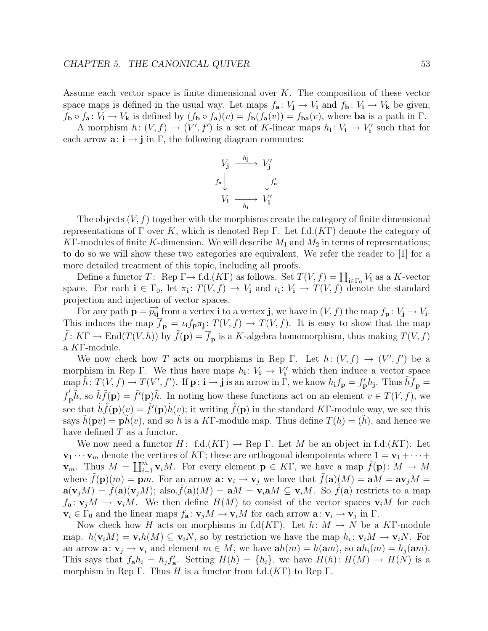Assume each vector space is finite dimensional over  $K$ . The composition of these vector space maps is defined in the usual way. Let maps  $f_a: V_j \to V_i$  and  $f_b: V_i \to V_k$  be given;  $f_{\mathbf{b}} \circ f_{\mathbf{a}} : V_{\mathbf{i}} \to V_{\mathbf{k}}$  is defined by  $(f_{\mathbf{b}} \circ f_{\mathbf{a}})(v) = f_{\mathbf{b}}(f_{\mathbf{a}}(v)) = f_{\mathbf{b}\mathbf{a}}(v)$ , where **ba** is a path in Γ.

A morphism  $h: (V, f) \to (V', f')$  is a set of K-linear maps  $h_i: V_i \to V'_i$  such that for each arrow  $\mathbf{a}: \mathbf{i} \to \mathbf{j}$  in  $\Gamma$ , the following diagram commutes:

$$
V_{\mathbf{j}} \xrightarrow{h_{\mathbf{j}}} V_{\mathbf{j}}'
$$
  

$$
f_{\mathbf{a}} \downarrow \qquad \qquad \downarrow f_{\mathbf{a}}'
$$
  

$$
V_{\mathbf{i}} \xrightarrow[h_{\mathbf{i}}]{} V_{\mathbf{i}}'
$$

The objects  $(V, f)$  together with the morphisms create the category of finite dimensional representations of  $\Gamma$  over K, which is denoted Rep  $\Gamma$ . Let f.d.(KT) denote the category of KT-modules of finite K-dimension. We will describe  $M_1$  and  $M_2$  in terms of representations; to do so we will show these two categories are equivalent. We refer the reader to [1] for a more detailed treatment of this topic, including all proofs.

Define a functor  $T:$  Rep  $\Gamma \to$  f.d. $(K\Gamma)$  as follows. Set  $T(V, f) = \coprod_{i \in \Gamma_0} V_i$  as a K-vector space. For each  $\mathbf{i} \in \Gamma_0$ , let  $\pi_{\mathbf{i}}: T(V, f) \to V_{\mathbf{i}}$  and  $\iota_{\mathbf{i}}: V_{\mathbf{i}} \to T(V, f)$  denote the standard projection and injection of vector spaces.

For any path  $\mathbf{p} = \overrightarrow{p_{ij}}$  from a vertex **i** to a vertex **j**, we have in  $(V, f)$  the map  $f_{\mathbf{p}}: V_{\mathbf{j}} \to V_{\mathbf{i}}$ . This induces the map  $\overline{f}_p = \iota_i f_p \pi_j : T(V, f) \to T(V, f)$ . It is easy to show that the map  $\hat{f}: K\Gamma \to \text{End}(T(V,h))$  by  $\hat{f}(\mathbf{p}) = \overline{f}_{\mathbf{p}}$  is a K-algebra homomorphism, thus making  $T(V,f)$ a KΓ-module.

We now check how T acts on morphisms in Rep  $\Gamma$ . Let  $h: (V, f) \to (V', f')$  be a morphism in Rep Γ. We thus have maps  $h_i: V_i \to V'_i$  which then induce a vector space  $\min \tilde{h} \colon T(V, f) \to T(V', f').$  If  $\mathbf{p} \colon \mathbf{i} \to \mathbf{j}$  is an arrow  $\min \tilde{\Gamma}$ , we know  $h_{\mathbf{i}} f_{\mathbf{p}} = f_{\mathbf{p}}' h_{\mathbf{j}}$ . Thus  $\tilde{h} \overline{f}_{\mathbf{p}} = f_{\mathbf{p}}' h_{\mathbf{j}}$ .  $\tilde{f}'_{\mathbf{p}}\tilde{h}$ , so  $\tilde{h}\tilde{f}(\mathbf{p}) = \tilde{f}'(\mathbf{p})\tilde{h}$ . In noting how these functions act on an element  $v \in T(V, f)$ , we see that  $\tilde{h}\tilde{f}(\mathbf{p})(v) = \tilde{f}'(\mathbf{p})\tilde{h}(v)$ ; it writing  $\tilde{f}(\mathbf{p})$  in the standard KT-module way, we see this says  $h(\mathbf{p}v) = \mathbf{p}h(v)$ , and so h is a KT-module map. Thus define  $T(h) = (h)$ , and hence we have defined  $T$  as a functor.

We now need a functor H: f.d.(KΓ)  $\rightarrow$  Rep Γ. Let M be an object in f.d.(KΓ). Let  $\mathbf{v}_1 \cdots \mathbf{v}_m$  denote the vertices of KΓ; these are orthogonal idempotents where  $1 = \mathbf{v}_1 + \cdots + \mathbf{v}_m$ **v**<sub>m</sub>. Thus  $M = \coprod_{i=1}^{m} \mathbf{v}_i M$ . For every element  $\mathbf{p} \in K\Gamma$ , we have a map  $\tilde{f}(\mathbf{p}) : M \to M$ where  $\tilde{f}(\mathbf{p})(m) = \mathbf{p}m$ . For an arrow  $\mathbf{a}: \mathbf{v}_i \to \mathbf{v}_j$  we have that  $\tilde{f}(\mathbf{a})(M) = \mathbf{a}M = \mathbf{a}\mathbf{v}_jM =$  $\mathbf{a}(\mathbf{v}_iM) = f(\mathbf{a})(\mathbf{v}_iM);$  also,  $f(\mathbf{a})(M) = \mathbf{a}M = \mathbf{v}_i\mathbf{a}M \subseteq \mathbf{v}_iM$ . So  $f(\mathbf{a})$  restricts to a map  $f_{\mathbf{a}}: \mathbf{v}_i M \to \mathbf{v}_i M$ . We then define  $H(M)$  to consist of the vector spaces  $\mathbf{v}_i M$  for each  $\mathbf{v}_i \in \Gamma_0$  and the linear maps  $f_{\mathbf{a}} : \mathbf{v}_i M \to \mathbf{v}_i M$  for each arrow  $\mathbf{a} : \mathbf{v}_i \to \mathbf{v}_i$  in  $\Gamma$ .

Now check how H acts on morphisms in f.d(KT). Let  $h: M \to N$  be a KF-module map.  $h(\mathbf{v}_iM) = \mathbf{v}_ih(M) \subseteq \mathbf{v}_iN$ , so by restriction we have the map  $h_i: \mathbf{v}_iM \to \mathbf{v}_iN$ . For an arrow  $\mathbf{a}: \mathbf{v}_j \to \mathbf{v}_i$  and element  $m \in M$ , we have  $\mathbf{a}h(m) = h(\mathbf{a}m)$ , so  $\mathbf{a}h_i(m) = h_j(\mathbf{a}m)$ . This says that  $f_a h_i = h_j f'_a$ . Setting  $H(h) = \{h_i\}$ , we have  $H(h) : H(M) \to H(N)$  is a morphism in Rep Γ. Thus H is a functor from f.d. $(K\Gamma)$  to Rep Γ.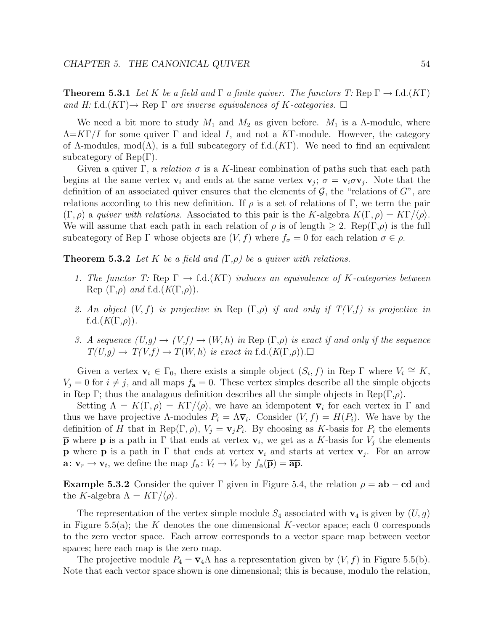**Theorem 5.3.1** Let K be a field and  $\Gamma$  a finite quiver. The functors T: Rep  $\Gamma \to \text{f.d.}(K\Gamma)$ and H: f.d. $(K\Gamma) \rightarrow$  Rep  $\Gamma$  are inverse equivalences of K-categories.  $\Box$ 

We need a bit more to study  $M_1$  and  $M_2$  as given before.  $M_1$  is a  $\Lambda$ -module, where  $\Lambda = K\Gamma/I$  for some quiver  $\Gamma$  and ideal I, and not a KT-module. However, the category of  $\Lambda$ -modules, mod $(\Lambda)$ , is a full subcategory of f.d. $(K\Gamma)$ . We need to find an equivalent subcategory of Rep $(\Gamma)$ .

Given a quiver Γ, a relation  $\sigma$  is a K-linear combination of paths such that each path begins at the same vertex  $v_i$  and ends at the same vertex  $v_j$ ;  $\sigma = v_i \sigma v_j$ . Note that the definition of an associated quiver ensures that the elements of  $G$ , the "relations of  $G$ ", are relations according to this new definition. If  $\rho$  is a set of relations of Γ, we term the pair  $(\Gamma, \rho)$  a quiver with relations. Associated to this pair is the K-algebra  $K(\Gamma, \rho) = K\Gamma/\langle \rho \rangle$ . We will assume that each path in each relation of  $\rho$  is of length  $\geq 2$ . Rep( $\Gamma,\rho$ ) is the full subcategory of Rep Γ whose objects are  $(V, f)$  where  $f_{\sigma} = 0$  for each relation  $\sigma \in \rho$ .

**Theorem 5.3.2** Let K be a field and  $(\Gamma,\rho)$  be a quiver with relations.

- 1. The functor T: Rep  $\Gamma \to \text{f.d.}(K\Gamma)$  induces an equivalence of K-categories between Rep  $(\Gamma, \rho)$  and f.d. $(K(\Gamma, \rho))$ .
- 2. An object  $(V, f)$  is projective in Rep  $(\Gamma, \rho)$  if and only if  $T(V, f)$  is projective in f.d. $(K(\Gamma,\rho)).$
- 3. A sequence  $(U,g) \to (V,f) \to (W,h)$  in Rep  $(\Gamma,\rho)$  is exact if and only if the sequence  $T(U,g) \to T(V,f) \to T(W,h)$  is exact in f.d. $(K(\Gamma,\rho))$ .

Given a vertex  $\mathbf{v}_i \in \Gamma_0$ , there exists a simple object  $(S_i, f)$  in Rep  $\Gamma$  where  $V_i \cong K$ ,  $V_j = 0$  for  $i \neq j$ , and all maps  $f_a = 0$ . These vertex simples describe all the simple objects in Rep Γ; thus the analagous definition describes all the simple objects in Rep(Γ, $\rho$ ).

Setting  $\Lambda = K(\Gamma, \rho) = K\Gamma/\langle \rho \rangle$ , we have an idempotent  $\overline{\mathbf{v}}_i$  for each vertex in  $\Gamma$  and thus we have projective  $\Lambda$ -modules  $P_i = \Lambda \overline{v}_i$ . Consider  $(V, f) = H(P_i)$ . We have by the definition of H that in Rep( $\Gamma$ ,  $\rho$ ),  $V_j = \overline{v}_j P_i$ . By choosing as K-basis for  $P_i$  the elements **p** where **p** is a path in  $\Gamma$  that ends at vertex  $\mathbf{v}_i$ , we get as a K-basis for  $V_i$  the elements **p** where **p** is a path in Γ that ends at vertex **v**<sub>i</sub> and starts at vertex **v**<sub>j</sub>. For an arrow **a**:  $\mathbf{v}_r \to \mathbf{v}_t$ , we define the map  $f_{\mathbf{a}} : V_t \to V_r$  by  $f_{\mathbf{a}}(\overline{\mathbf{p}}) = \overline{\mathbf{a}\mathbf{p}}$ .

**Example 5.3.2** Consider the quiver  $\Gamma$  given in Figure 5.4, the relation  $\rho = ab - cd$  and the K-algebra  $\Lambda = K\Gamma/\langle \rho \rangle$ .

The representation of the vertex simple module  $S_4$  associated with  $\mathbf{v}_4$  is given by  $(U, g)$ in Figure 5.5(a); the K denotes the one dimensional K-vector space; each 0 corresponds to the zero vector space. Each arrow corresponds to a vector space map between vector spaces; here each map is the zero map.

The projective module  $P_4 = \overline{v}_4 \Lambda$  has a representation given by  $(V, f)$  in Figure 5.5(b). Note that each vector space shown is one dimensional; this is because, modulo the relation,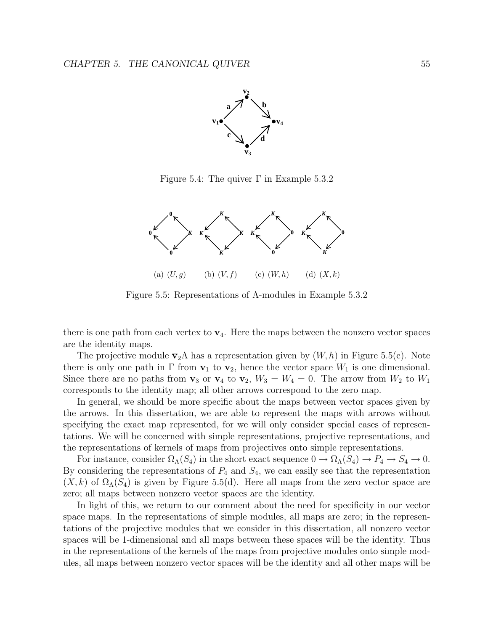

Figure 5.4: The quiver  $\Gamma$  in Example 5.3.2



Figure 5.5: Representations of Λ-modules in Example 5.3.2

there is one path from each vertex to  $\mathbf{v}_4$ . Here the maps between the nonzero vector spaces are the identity maps.

The projective module  $\bar{v}_2 \Lambda$  has a representation given by  $(W, h)$  in Figure 5.5(c). Note there is only one path in  $\Gamma$  from  $\mathbf{v}_1$  to  $\mathbf{v}_2$ , hence the vector space  $W_1$  is one dimensional. Since there are no paths from  $\mathbf{v}_3$  or  $\mathbf{v}_4$  to  $\mathbf{v}_2$ ,  $W_3 = W_4 = 0$ . The arrow from  $W_2$  to  $W_1$ corresponds to the identity map; all other arrows correspond to the zero map.

In general, we should be more specific about the maps between vector spaces given by the arrows. In this dissertation, we are able to represent the maps with arrows without specifying the exact map represented, for we will only consider special cases of representations. We will be concerned with simple representations, projective representations, and the representations of kernels of maps from projectives onto simple representations.

For instance, consider  $\Omega_{\Lambda}(S_4)$  in the short exact sequence  $0 \to \Omega_{\Lambda}(S_4) \to P_4 \to S_4 \to 0$ . By considering the representations of  $P_4$  and  $S_4$ , we can easily see that the representation  $(X, k)$  of  $\Omega_{\Lambda}(S_4)$  is given by Figure 5.5(d). Here all maps from the zero vector space are zero; all maps between nonzero vector spaces are the identity.

In light of this, we return to our comment about the need for specificity in our vector space maps. In the representations of simple modules, all maps are zero; in the representations of the projective modules that we consider in this dissertation, all nonzero vector spaces will be 1-dimensional and all maps between these spaces will be the identity. Thus in the representations of the kernels of the maps from projective modules onto simple modules, all maps between nonzero vector spaces will be the identity and all other maps will be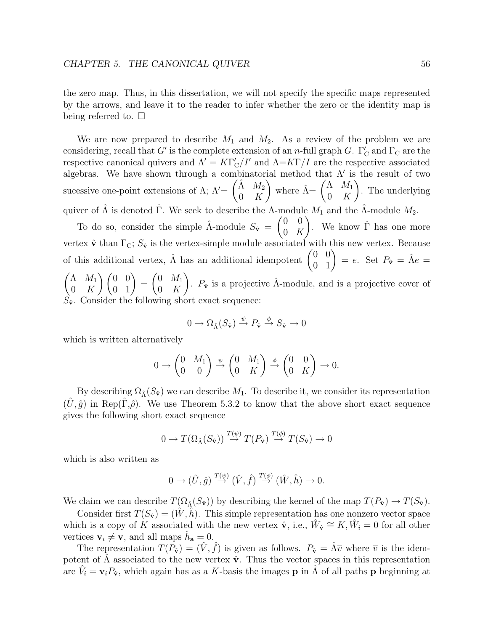the zero map. Thus, in this dissertation, we will not specify the specific maps represented by the arrows, and leave it to the reader to infer whether the zero or the identity map is being referred to.  $\square$ 

We are now prepared to describe  $M_1$  and  $M_2$ . As a review of the problem we are considering, recall that  $G'$  is the complete extension of an *n*-full graph  $G$ .  $\Gamma'_{\rm C}$  and  $\Gamma_{\rm C}$  are the respective canonical quivers and  $\Lambda' = K\Gamma'_{\rm C}/I'$  and  $\Lambda = K\Gamma/I$  are the respective associated algebras. We have shown through a combinatorial method that  $\Lambda'$  is the result of two sucessive one-point extensions of  $\Lambda$ ;  $\Lambda'$  =  $(\hat{\Lambda}$   $M_2)$ 0 K ) where  $\hat{\Lambda} = \begin{pmatrix} \Lambda & M_1 \\ 0 & K \end{pmatrix}$ 0 K  $\overline{ }$ . The underlying quiver of  $\hat{\Lambda}$  is denoted  $\hat{\Gamma}$ . We seek to describe the  $\Lambda$ -module  $M_1$  and the  $\hat{\Lambda}$ -module  $M_2$ .

To do so, consider the simple  $\hat{\Lambda}$ -module  $S_{\hat{\mathbf{v}}} = \begin{pmatrix} 0 & 0 \\ 0 & K \end{pmatrix}$  $0\;\;K$ ). We know  $\hat{\Gamma}$  has one more vertex  $\hat{\mathbf{v}}$  than  $\Gamma_{\text{C}}$ ;  $S_{\hat{\mathbf{v}}}$  is the vertex-simple module associated with this new vertex. Because of this additional vertex,  $\hat{\Lambda}$  has an additional idempotent  $\begin{pmatrix} 0 & 0 \\ 0 & 1 \end{pmatrix} = e$ . Set  $P_{\hat{\mathbf{v}}} = \hat{\Lambda}e$  $(\Lambda \ M_1$ 0 K  $\left(\begin{matrix} 0 & 0 \\ 0 & 1 \end{matrix}\right) =$  $\begin{pmatrix} 0 & M_1 \end{pmatrix}$ 0 K ).  $P_{\hat{\mathbf{v}}}$  is a projective  $\hat{\Lambda}$ -module, and is a projective cover of  $S_{\hat{\mathbf{v}}}$ . Consider the following short exact sequence:

$$
0\to \Omega_{\hat{\Lambda}}(S_{\hat{\mathbf{v}}})\overset{\psi}{\to}P_{\hat{\mathbf{v}}}\overset{\phi}{\to}S_{\hat{\mathbf{v}}}\to 0
$$

which is written alternatively

$$
0 \to \begin{pmatrix} 0 & M_1 \\ 0 & 0 \end{pmatrix} \xrightarrow{\psi} \begin{pmatrix} 0 & M_1 \\ 0 & K \end{pmatrix} \xrightarrow{\phi} \begin{pmatrix} 0 & 0 \\ 0 & K \end{pmatrix} \to 0.
$$

By describing  $\Omega_{\hat{\Lambda}}(S_{\hat{\mathbf{v}}})$  we can describe  $M_1$ . To describe it, we consider its representation  $(\tilde{U}, \hat{g})$  in Rep( $\tilde{\Gamma}, \hat{\rho}$ ). We use Theorem 5.3.2 to know that the above short exact sequence gives the following short exact sequence

$$
0 \to T(\Omega_{\hat{\Lambda}}(S_{\hat{\mathbf{v}}})) \stackrel{T(\psi)}{\to} T(P_{\hat{\mathbf{v}}}) \stackrel{T(\phi)}{\to} T(S_{\hat{\mathbf{v}}}) \to 0
$$

which is also written as

$$
0 \to (\hat{U}, \hat{g}) \stackrel{T(\psi)}{\to} (\hat{V}, \hat{f}) \stackrel{T(\phi)}{\to} (\hat{W}, \hat{h}) \to 0.
$$

We claim we can describe  $T(\Omega_{\hat{\lambda}}(S_{\hat{\mathbf{v}}}))$  by describing the kernel of the map  $T(P_{\hat{\mathbf{v}}}) \to T(S_{\hat{\mathbf{v}}})$ .

Consider first  $T(S_{\hat{v}})=(W, h)$ . This simple representation has one nonzero vector space which is a copy of K associated with the new vertex  $\hat{\mathbf{v}}$ , i.e.,  $\hat{W}_{\hat{\mathbf{v}}} \cong K, \hat{W}_{i} = 0$  for all other vertices  $v_i \neq v$ , and all maps  $h_a = 0$ .

The representation  $T(P_{\hat{v}}) = (\hat{V}, \hat{f})$  is given as follows.  $P_{\hat{v}} = \hat{\Lambda}\overline{v}$  where  $\overline{v}$  is the idempotent of  $\hat{\Lambda}$  associated to the new vertex  $\hat{\mathbf{v}}$ . Thus the vector spaces in this representation are  $\hat{V}_i = \mathbf{v}_i P_{\hat{\mathbf{v}}}$ , which again has as a K-basis the images  $\bar{\mathbf{p}}$  in  $\hat{\Lambda}$  of all paths **p** beginning at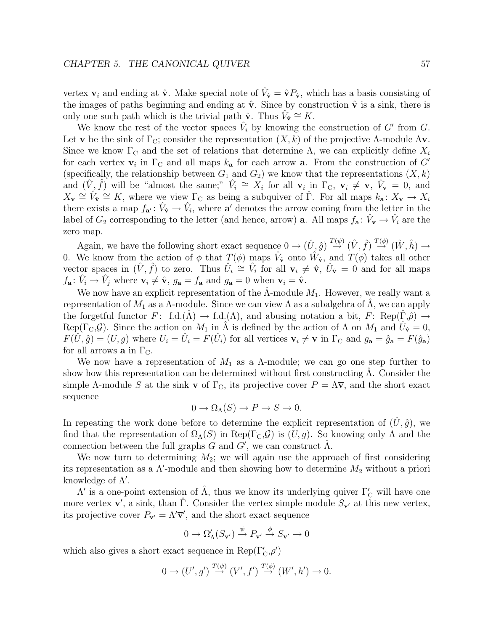vertex  $v_i$  and ending at  $\hat{v}$ . Make special note of  $\hat{V}_{\hat{v}} = \hat{v} P_{\hat{v}}$ , which has a basis consisting of the images of paths beginning and ending at  $\hat{\mathbf{v}}$ . Since by construction  $\hat{\mathbf{v}}$  is a sink, there is only one such path which is the trivial path  $\hat{\mathbf{v}}$ . Thus  $V_{\hat{\mathbf{v}}} \cong K$ .

We know the rest of the vector spaces  $\tilde{V}_i$  by knowing the construction of G' from G. Let **v** be the sink of  $\Gamma_{\text{C}}$ ; consider the representation  $(X, k)$  of the projective  $\Lambda$ -module  $\Lambda$ **v**. Since we know  $\Gamma_{\text{C}}$  and the set of relations that determine  $\Lambda$ , we can explicitly define  $X_i$ for each vertex  $\mathbf{v}_i$  in  $\Gamma_{\text{C}}$  and all maps  $k_a$  for each arrow **a**. From the construction of G' (specifically, the relationship between  $G_1$  and  $G_2$ ) we know that the representations  $(X, k)$ and  $(\hat{V}, \hat{f})$  will be "almost the same;"  $\hat{V}_i \cong X_i$  for all  $\mathbf{v}_i$  in  $\Gamma_{\text{C}}$ ,  $\mathbf{v}_i \neq \mathbf{v}$ ,  $\hat{V}_\mathbf{v} = 0$ , and  $X_{\mathbf{v}} \cong \hat{V}_{\hat{\mathbf{v}}} \cong K$ , where we view  $\Gamma_{\mathbf{C}}$  as being a subquiver of  $\hat{\Gamma}$ . For all maps  $k_{\mathbf{a}}: X_{\mathbf{v}} \to X_i$ there exists a map  $f_{\mathbf{a}'} : \hat{V}_{\hat{\mathbf{v}}} \to \hat{V}_{i}$ , where  $\mathbf{a}'$  denotes the arrow coming from the letter in the label of  $G_2$  corresponding to the letter (and hence, arrow) **a**. All maps  $f_a: V_\mathbf{v} \to V_i$  are the zero map.

Again, we have the following short exact sequence  $0 \to (\hat{U}, \hat{g}) \stackrel{T(\psi)}{\to} (\hat{V}, \hat{f}) \stackrel{T(\phi)}{\to} (\hat{W}, \hat{h}) \to$ 0. We know from the action of  $\phi$  that  $T(\phi)$  maps  $\tilde{V}_{\hat{v}}$  onto  $\tilde{W}_{\hat{v}}$ , and  $T(\phi)$  takes all other vector spaces in  $(\hat{V}, \hat{f})$  to zero. Thus  $\hat{U}_i \cong \hat{V}_i$  for all  $\mathbf{v}_i \neq \hat{\mathbf{v}}$ ,  $\hat{U}_\mathbf{v} = 0$  and for all maps  $f_{\mathbf{a}}: \hat{V}_i \to \hat{V}_j$  where  $\mathbf{v}_i \neq \hat{\mathbf{v}}$ ,  $g_{\mathbf{a}} = f_{\mathbf{a}}$  and  $g_{\mathbf{a}} = 0$  when  $\mathbf{v}_i = \hat{\mathbf{v}}$ .

We now have an explicit representation of the  $\Lambda$ -module  $M_1$ . However, we really want a representation of  $M_1$  as a Λ-module. Since we can view Λ as a subalgebra of Λ, we can apply the forgetful functor  $F: f.d.(\Lambda) \to f.d.(\Lambda)$ , and abusing notation a bit,  $F: Rep(\Gamma,\hat{\rho}) \to$ Rep( $\Gamma_{\text{C}}$ , $\mathcal{G}$ ). Since the action on  $M_1$  in  $\hat{\Lambda}$  is defined by the action of  $\Lambda$  on  $M_1$  and  $\hat{U}_{\hat{\mathbf{v}}} = 0$ ,  $F(\hat{U}, \hat{g}) = (U, g)$  where  $U_i = \hat{U}_i = F(\hat{U}_i)$  for all vertices  $\mathbf{v}_i \neq \mathbf{v}$  in  $\Gamma_{\rm C}$  and  $g_{\mathbf{a}} = \hat{g}_{\mathbf{a}} = F(\hat{g}_{\mathbf{a}})$ for all arrows **a** in  $\Gamma_{\text{C}}$ .

We now have a representation of  $M_1$  as a  $\Lambda$ -module; we can go one step further to show how this representation can be determined without first constructing  $\Lambda$ . Consider the simple  $\Lambda$ -module S at the sink **v** of  $\Gamma_{\text{C}}$ , its projective cover  $P = \Lambda \bar{v}$ , and the short exact sequence

$$
0 \to \Omega_{\Lambda}(S) \to P \to S \to 0.
$$

In repeating the work done before to determine the explicit representation of  $(U, \hat{g})$ , we find that the representation of  $\Omega_{\Lambda}(S)$  in Rep( $\Gamma_{\Lambda}(S)$ ) is  $(U, g)$ . So knowing only  $\Lambda$  and the connection between the full graphs  $G$  and  $G'$ , we can construct  $\hat{\Lambda}$ .

We now turn to determining  $M_2$ ; we will again use the approach of first considering its representation as a  $\Lambda'$ -module and then showing how to determine  $M_2$  without a priori knowledge of  $\Lambda'.$ 

 $\Lambda'$  is a one-point extension of  $\hat{\Lambda}$ , thus we know its underlying quiver  $\Gamma'_{\rm C}$  will have one more vertex  $\mathbf{v}'$ , a sink, than  $\hat{\Gamma}$ . Consider the vertex simple module  $S_{\mathbf{v}'}$  at this new vertex, its projective cover  $P_{\mathbf{v}'} = \Lambda' \overline{\mathbf{v}}'$ , and the short exact sequence

$$
0\to \Omega'_\Lambda(S_{{\bf v}'})\overset{\psi}{\to} P_{{\bf v}'}\overset{\phi}{\to} S_{{\bf v}'}\to 0
$$

which also gives a short exact sequence in  $\operatorname{Rep}(\Gamma'_C,\rho')$ 

$$
0 \to (U', g') \stackrel{T(\psi)}{\to} (V', f') \stackrel{T(\phi)}{\to} (W', h') \to 0.
$$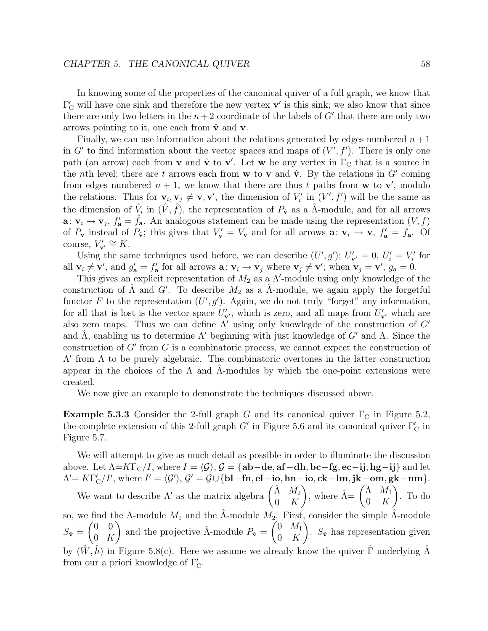In knowing some of the properties of the canonical quiver of a full graph, we know that  $\Gamma'_{\rm C}$  will have one sink and therefore the new vertex  ${\bf v}'$  is this sink; we also know that since there are only two letters in the  $n+2$  coordinate of the labels of G' that there are only two arrows pointing to it, one each from  $\hat{\mathbf{v}}$  and **v**.

Finally, we can use information about the relations generated by edges numbered  $n + 1$ in  $G'$  to find information about the vector spaces and maps of  $(V', f')$ . There is only one path (an arrow) each from **v** and  $\hat{\mathbf{v}}$  to **v**'. Let **w** be any vertex in  $\Gamma_{\text{C}}$  that is a source in the *n*th level; there are t arrows each from **w** to **v** and  $\hat{\mathbf{v}}$ . By the relations in G' coming from edges numbered  $n + 1$ , we know that there are thus t paths from **w** to **v**', modulo the relations. Thus for  $\mathbf{v}_i, \mathbf{v}_j \neq \mathbf{v}, \mathbf{v}'$ , the dimension of  $V'_i$  in  $(V', f')$  will be the same as the dimension of  $\hat{V}_i$  in  $(\hat{V}, \hat{f})$ , the representation of  $P_{\hat{v}}$  as a  $\hat{\Lambda}$ -module, and for all arrows **a**:  $\mathbf{v}_i \to \mathbf{v}_j$ ,  $f'_\mathbf{a} = \hat{f}_\mathbf{a}$ . An analogous statement can be made using the representation  $(V, f)$ of  $P_{\mathbf{v}}$  instead of  $P_{\hat{\mathbf{v}}}$ ; this gives that  $V_{\mathbf{v}}' = V_{\mathbf{v}}$  and for all arrows  $\mathbf{a}: \mathbf{v}_i \to \mathbf{v}$ ,  $f'_{\mathbf{a}} = f_{\mathbf{a}}$ . Of course,  $V'_{\mathbf{v}'} \cong K$ .

Using the same techniques used before, we can describe  $(U', g')$ ;  $U'_{\mathbf{v}'} = 0$ ,  $U'_{i} = V'_{i}$  for all  $\mathbf{v}_i \neq \mathbf{v}'$ , and  $g'_a = f'_a$  for all arrows  $\mathbf{a}: \mathbf{v}_i \to \mathbf{v}_j$  where  $\mathbf{v}_j \neq \mathbf{v}'$ ; when  $\mathbf{v}_j = \mathbf{v}'$ ,  $g_a = 0$ .

This gives an explicit representation of  $M_2$  as a  $\Lambda'$ -module using only knowledge of the construction of  $\hat{\Lambda}$  and  $G'$ . To describe  $M_2$  as a  $\hat{\Lambda}$ -module, we again apply the forgetful functor F to the representation  $(U', g')$ . Again, we do not truly "forget" any information, for all that is lost is the vector space  $U'_{\mathbf{v}'},$  which is zero, and all maps from  $U'_{\mathbf{v}'}$  which are also zero maps. Thus we can define  $\Lambda'$  using only knowlegde of the construction of  $G'$ and  $\Lambda$ , enabling us to determine  $\Lambda'$  beginning with just knowledge of G' and  $\Lambda$ . Since the construction of  $G'$  from  $G$  is a combinatoric process, we cannot expect the construction of  $\Lambda'$  from  $\Lambda$  to be purely algebraic. The combinatoric overtones in the latter construction appear in the choices of the  $\Lambda$  and  $\Lambda$ -modules by which the one-point extensions were created.

We now give an example to demonstrate the techniques discussed above.

**Example 5.3.3** Consider the 2-full graph G and its canonical quiver  $\Gamma_{\rm C}$  in Figure 5.2, the complete extension of this 2-full graph  $G'$  in Figure 5.6 and its canonical quiver  $\Gamma'_{\text{C}}$  in Figure 5.7.

We will attempt to give as much detail as possible in order to illuminate the discussion above. Let  $\Lambda = K\Gamma_c/I$ , where  $I = \langle \mathcal{G} \rangle$ ,  $\mathcal{G} = \{ab - de, af - dh, bc - fg, ec - ij, hg - ij\}$  and let  $\Lambda' = K\Gamma'_{\text{C}}/I'$ , where  $I' = \langle \mathcal{G}' \rangle$ ,  $\mathcal{G}' = \mathcal{G} \cup \{ \text{bl}-\text{fn}, \text{el}-\text{io}, \text{hn}-\text{io}, \text{ck}-\text{lm}, \text{jk}-\text{om}, \text{gk}-\text{nm} \}.$ We want to describe  $\Lambda'$  as the matrix algebra  $\begin{pmatrix} \hat{\Lambda} & M_2 \\ 0 & K_1 \end{pmatrix}$ 0 K ), where  $\hat{\Lambda} = \begin{pmatrix} \Lambda & M_1 \\ 0 & K \end{pmatrix}$ 0 K  $\lambda$ . To do so, we find the  $\Lambda$ -module  $M_1$  and the  $\hat{\Lambda}$ -module  $M_2$ . First, consider the simple  $\hat{\Lambda}$ -module  $S_{\hat{\mathbf{v}}} =$  $(0 0)$  $0\;\;K$ and the projective  $\hat{\Lambda}$ -module  $P_{\hat{\mathbf{v}}} = \begin{bmatrix} 0 & M_1 \\ 0 & K \end{bmatrix}$  $0\quad K$ Í. .  $S_{\hat{\mathbf{v}}}$  has representation given by  $(\hat{W}, \hat{h})$  in Figure 5.8(c). Here we assume we already know the quiver  $\hat{\Gamma}$  underlying  $\hat{\Lambda}$ from our a priori knowledge of  $\Gamma'_{\mathcal{C}}$ .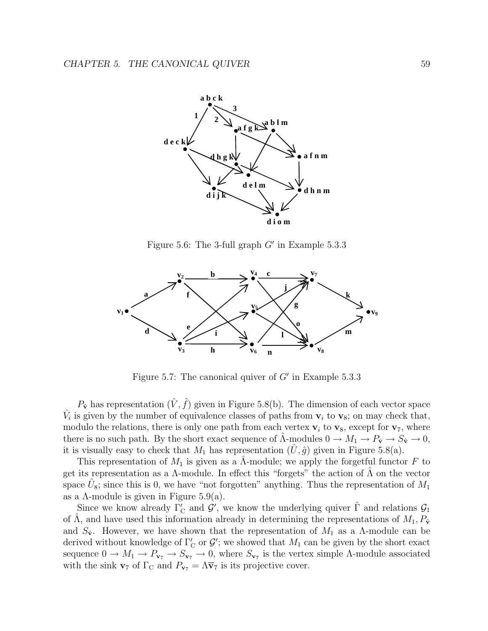

Figure 5.6: The 3-full graph  $G'$  in Example 5.3.3



Figure 5.7: The canonical quiver of  $G'$  in Example 5.3.3

 $P_{\hat{\mathbf{v}}}$  has representation  $(\hat{V}, \hat{f})$  given in Figure 5.8(b). The dimension of each vector space  $\hat{V}_i$  is given by the number of equivalence classes of paths from  $\mathbf{v}_i$  to  $\mathbf{v}_8$ ; on may check that, modulo the relations, there is only one path from each vertex  $v_i$  to  $v_8$ , except for  $v_7$ , where there is no such path. By the short exact sequence of  $\Lambda$ -modules  $0 \to M_1 \to P_{\hat{v}} \to S_{\hat{v}} \to 0$ , it is visually easy to check that  $M_1$  has representation  $(U, \hat{g})$  given in Figure 5.8(a).

This representation of  $M_1$  is given as a  $\Lambda$ -module; we apply the forgetful functor F to get its representation as a  $\Lambda$ -module. In effect this "forgets" the action of  $\Lambda$  on the vector space  $U_8$ ; since this is 0, we have "not forgotten" anything. Thus the representation of  $M_1$ as a  $\Lambda$ -module is given in Figure 5.9(a).

Since we know already  $\Gamma'_{\mathcal{C}}$  and  $\mathcal{G}'$ , we know the underlying quiver  $\hat{\Gamma}$  and relations  $\mathcal{G}_1$ of  $\Lambda$ , and have used this information already in determining the representations of  $M_1, P_{\hat{v}}$ and  $S_{\hat{v}}$ . However, we have shown that the representation of  $M_1$  as a  $\Lambda$ -module can be derived without knowledge of  $\Gamma_{\text{C}}'$  or  $\mathcal{G}'$ ; we showed that  $M_1$  can be given by the short exact sequence  $0 \to M_1 \to P_{\mathbf{v}_7} \to S_{\mathbf{v}_7} \to 0$ , where  $S_{\mathbf{v}_7}$  is the vertex simple  $\Lambda$ -module associated with the sink **v**<sub>7</sub> of  $\Gamma_{\rm C}$  and  $P_{\rm v7} = \Lambda \overline{v}_7$  is its projective cover.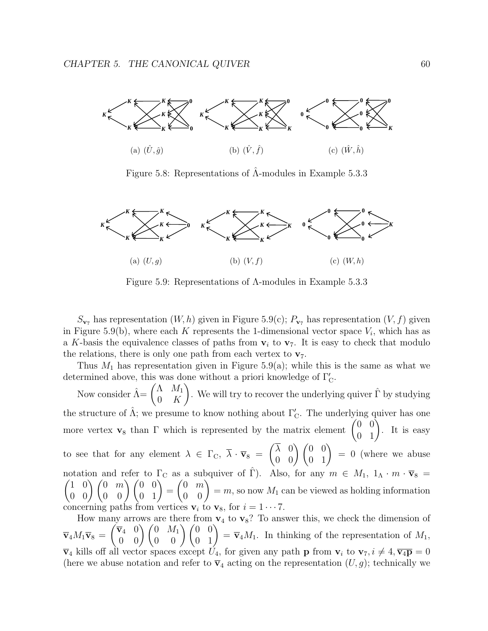

Figure 5.8: Representations of  $\hat{\Lambda}$ -modules in Example 5.3.3



Figure 5.9: Representations of Λ-modules in Example 5.3.3

 $S_{\mathbf{v}_7}$  has representation  $(W, h)$  given in Figure 5.9(c);  $P_{\mathbf{v}_7}$  has representation  $(V, f)$  given in Figure 5.9(b), where each K represents the 1-dimensional vector space  $V_i$ , which has as a K-basis the equivalence classes of paths from  $v_i$  to  $v_7$ . It is easy to check that modulo the relations, there is only one path from each vertex to  $\mathbf{v}_7$ .

Thus  $M_1$  has representation given in Figure 5.9(a); while this is the same as what we determined above, this was done without a priori knowledge of  $\Gamma_{\mathcal{C}}'.$ 

Now consider  $\hat{\Lambda} = \begin{pmatrix} \Lambda & M_1 \\ 0 & K \end{pmatrix}$ 0 K ). We will try to recover the underlying quiver  $\hat{\Gamma}$  by studying the structure of  $\hat{\Lambda}$ ; we presume to know nothing about  $\Gamma'_{\mathcal{C}}$ . The underlying quiver has one more vertex **v**<sub>8</sub> than  $\Gamma$  which is represented by the matrix element  $\begin{pmatrix} 0 & 0 \\ 0 & 1 \end{pmatrix}$ . It is easy to see that for any element  $\lambda \in \Gamma_{\text{C}}$ ,  $\lambda \cdot \overline{\mathbf{v}}_8$  =  $\begin{pmatrix} \overline{\lambda} & 0 \\ 0 & 0 \end{pmatrix} \begin{pmatrix} 0 & 0 \\ 0 & 1 \end{pmatrix} = 0$  (where we abuse notation and refer to  $\Gamma_c$  as a subquiver of  $\hat{\Gamma}$ ). Also, for any  $m \in M_1$ ,  $1_A \cdot m \cdot \overline{v}_8$  $\begin{pmatrix} 1 & 0 \\ 0 & 0 \end{pmatrix} \begin{pmatrix} 0 & m \\ 0 & 0 \end{pmatrix} \begin{pmatrix} 0 & 0 \\ 0 & 1 \end{pmatrix} =$  $\begin{pmatrix} 0 & m \\ 0 & 0 \end{pmatrix} = m$ , so now  $M_1$  can be viewed as holding information concerning paths from vertices  $v_i$  to  $v_8$ , for  $i = 1 \cdots 7$ .

How many arrows are there from  $\mathbf{v}_4$  to  $\mathbf{v}_8$ ? To answer this, we check the dimension of  $\overline{\mathbf{v}}_4M_1\overline{\mathbf{v}}_8=$  $\begin{pmatrix} \nabla_4 & 0 \\ 0 & 0 \end{pmatrix} \begin{pmatrix} 0 & M_1 \\ 0 & 0 \end{pmatrix} \begin{pmatrix} 0 & 0 \\ 0 & 1 \end{pmatrix} = \nabla_4 M_1$ . In thinking of the representation of  $M_1$ ,  $\overline{\mathbf{v}}_4$  kills off all vector spaces except  $U_4$ , for given any path **p** from  $\mathbf{v}_i$  to  $\mathbf{v}_7$ ,  $i \neq 4$ ,  $\overline{\mathbf{v}_4\mathbf{p}} = 0$ (here we abuse notation and refer to  $\overline{\mathbf{v}}_4$  acting on the representation  $(U, g)$ ; technically we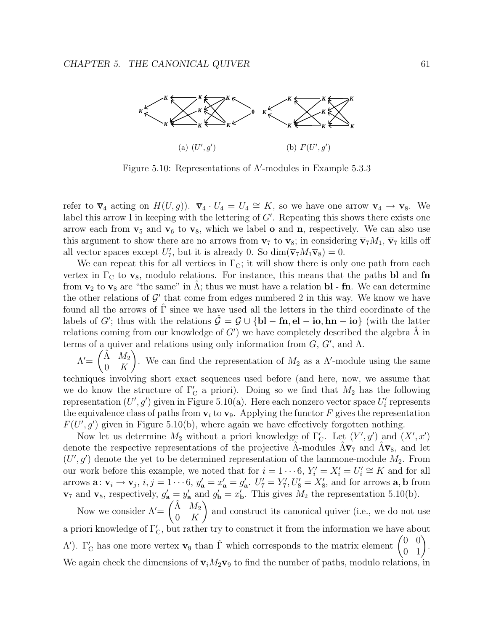

Figure 5.10: Representations of  $\Lambda'$ -modules in Example 5.3.3

refer to  $\overline{\mathbf{v}}_4$  acting on  $H(U, g)$ ).  $\overline{\mathbf{v}}_4 \cdot U_4 = U_4 \cong K$ , so we have one arrow  $\mathbf{v}_4 \to \mathbf{v}_8$ . We label this arrow **l** in keeping with the lettering of G . Repeating this shows there exists one arrow each from  $v_5$  and  $v_6$  to  $v_8$ , which we label **o** and **n**, respectively. We can also use this argument to show there are no arrows from  $v_7$  to  $v_8$ ; in considering  $\overline{v}_7M_1$ ,  $\overline{v}_7$  kills off all vector spaces except  $U'_7$ , but it is already 0. So  $\dim(\overline{\mathbf{v}}_7M_1\overline{\mathbf{v}}_8)=0$ .

We can repeat this for all vertices in  $\Gamma_{\text{C}}$ ; it will show there is only one path from each vertex in  $\Gamma_c$  to  $\mathbf{v}_8$ , modulo relations. For instance, this means that the paths **bl** and **fn** from  $\mathbf{v}_2$  to  $\mathbf{v}_8$  are "the same" in  $\hat{\Lambda}$ ; thus we must have a relation **bl** - **fn**. We can determine the other relations of  $\mathcal{G}'$  that come from edges numbered 2 in this way. We know we have found all the arrows of  $\Gamma$  since we have used all the letters in the third coordinate of the labels of G'; thus with the relations  $\hat{\mathcal{G}} = \mathcal{G} \cup \{bl - fn, el - io, hn - io\}$  (with the latter relations coming from our knowledge of  $G'$ ) we have completely described the algebra  $\hat{\Lambda}$  in terms of a quiver and relations using only information from  $G, G'$ , and  $\Lambda$ .

 $\Lambda^{\prime}$ =  $(\hat{\Lambda}$   $M_2$ 0 K  $\overline{ }$ . We can find the representation of  $M_2$  as a  $\Lambda'$ -module using the same

techniques involving short exact sequences used before (and here, now, we assume that we do know the structure of  $\Gamma'_{\text{C}}$  a priori). Doing so we find that  $M_2$  has the following representation  $(U', g')$  given in Figure 5.10(a). Here each nonzero vector space  $U'_i$  represents the equivalence class of paths from  $v_i$  to  $v_9$ . Applying the functor F gives the representation  $F(U', g')$  given in Figure 5.10(b), where again we have effectively forgotten nothing.

Now let us determine  $M_2$  without a priori knowledge of  $\Gamma'_{\mathcal{C}}$ . Let  $(Y', y')$  and  $(X', x')$ denote the respective representations of the projective  $\Lambda$ -modules  $\Lambda \bar{v}_7$  and  $\Lambda \bar{v}_8$ , and let  $(U', g')$  denote the yet to be determined representation of the lammone-module  $M_2$ . From our work before this example, we noted that for  $i = 1 \cdots 6$ ,  $Y'_i = X'_i = U'_i \cong K$  and for all arrows  $\mathbf{a}: \mathbf{v}_i \to \mathbf{v}_j$ ,  $i, j = 1 \cdots 6$ ,  $y'_\mathbf{a} = x'_\mathbf{a} = g'_\mathbf{a}$ .  $U'_7 = Y'_7, U'_8 = X'_8$ , and for arrows  $\mathbf{a}, \mathbf{b}$  from  $\mathbf{v}_7$  and  $\mathbf{v}_8$ , respectively,  $g'_a = y'_a$  and  $g'_b = x'_b$ . This gives  $M_2$  the representation 5.10(b).

Now we consider  $\Lambda'$  =  $\left(\begin{matrix} \hat{\Lambda} & M_2 \end{matrix}\right)$ 0 K  $\overline{ }$ and construct its canonical quiver (i.e., we do not use a priori knowledge of  $\Gamma_{\mathcal{C}}'$ , but rather try to construct it from the information we have about  $Λ'$ ). Γ'<sub>C</sub> has one more vertex **v**<sub>9</sub> than Γ which corresponds to the matrix element  $\begin{pmatrix} 0 & 0 \\ 0 & 1 \end{pmatrix}$ . We again check the dimensions of  $\bar{\mathbf{v}}_iM_2\bar{\mathbf{v}}_9$  to find the number of paths, modulo relations, in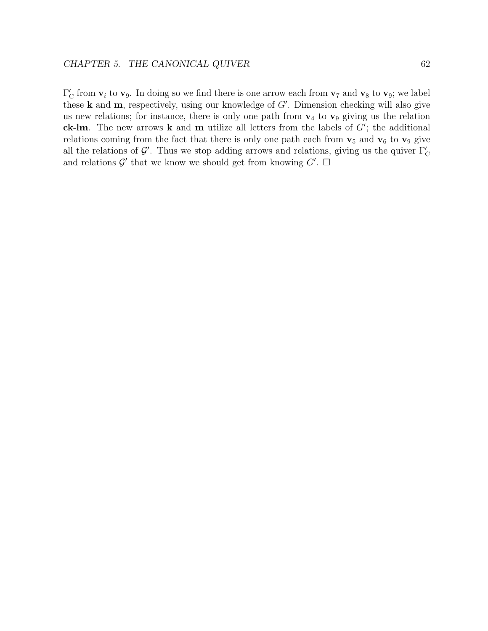$\Gamma'_{\rm C}$  from  $\mathbf{v}_i$  to  $\mathbf{v}_9$ . In doing so we find there is one arrow each from  $\mathbf{v}_7$  and  $\mathbf{v}_8$  to  $\mathbf{v}_9$ ; we label these **k** and **m**, respectively, using our knowledge of G . Dimension checking will also give us new relations; for instance, there is only one path from  $\mathbf{v}_4$  to  $\mathbf{v}_9$  giving us the relation **ck**-**lm**. The new arrows **k** and **m** utilize all letters from the labels of G ; the additional relations coming from the fact that there is only one path each from  $\mathbf{v}_5$  and  $\mathbf{v}_6$  to  $\mathbf{v}_9$  give all the relations of  $\mathcal{G}'$ . Thus we stop adding arrows and relations, giving us the quiver  $\Gamma'_{\mathcal{C}}$ and relations  $\mathcal{G}'$  that we know we should get from knowing  $G'$ .  $\Box$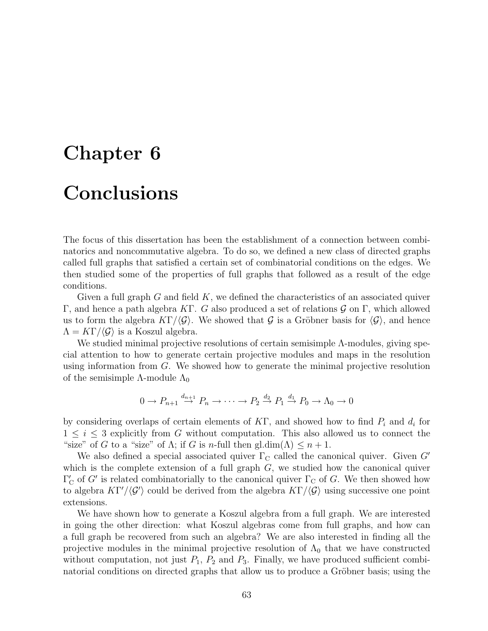# **Chapter 6 Conclusions**

The focus of this dissertation has been the establishment of a connection between combinatorics and noncommutative algebra. To do so, we defined a new class of directed graphs called full graphs that satisfied a certain set of combinatorial conditions on the edges. We then studied some of the properties of full graphs that followed as a result of the edge conditions.

Given a full graph  $G$  and field  $K$ , we defined the characteristics of an associated quiver Γ, and hence a path algebra KΓ. G also produced a set of relations  $\mathcal G$  on Γ, which allowed us to form the algebra  $K\Gamma/\langle\mathcal{G}\rangle$ . We showed that G is a Gröbner basis for  $\langle\mathcal{G}\rangle$ , and hence  $\Lambda = K\Gamma/\langle \mathcal{G} \rangle$  is a Koszul algebra.

We studied minimal projective resolutions of certain semisimple Λ-modules, giving special attention to how to generate certain projective modules and maps in the resolution using information from G. We showed how to generate the minimal projective resolution of the semisimple  $\Lambda$ -module  $\Lambda_0$ 

$$
0 \to P_{n+1} \stackrel{d_{n+1}}{\to} P_n \to \cdots \to P_2 \stackrel{d_2}{\to} P_1 \stackrel{d_1}{\to} P_0 \to \Lambda_0 \to 0
$$

by considering overlaps of certain elements of  $KT$ , and showed how to find  $P_i$  and  $d_i$  for  $1 \leq i \leq 3$  explicitly from G without computation. This also allowed us to connect the "size" of G to a "size" of  $\Lambda$ ; if G is n-full then gl.dim( $\Lambda$ )  $\leq n+1$ .

We also defined a special associated quiver  $\Gamma_{\rm C}$  called the canonical quiver. Given G' which is the complete extension of a full graph  $G$ , we studied how the canonical quiver  $\Gamma'_{\rm C}$  of G' is related combinatorially to the canonical quiver  $\Gamma_{\rm C}$  of G. We then showed how to algebra  $K\Gamma'/\langle \mathcal{G}' \rangle$  could be derived from the algebra  $K\Gamma/\langle \mathcal{G} \rangle$  using successive one point extensions.

We have shown how to generate a Koszul algebra from a full graph. We are interested in going the other direction: what Koszul algebras come from full graphs, and how can a full graph be recovered from such an algebra? We are also interested in finding all the projective modules in the minimal projective resolution of  $\Lambda_0$  that we have constructed without computation, not just  $P_1$ ,  $P_2$  and  $P_3$ . Finally, we have produced sufficient combinatorial conditions on directed graphs that allow us to produce a Gröbner basis; using the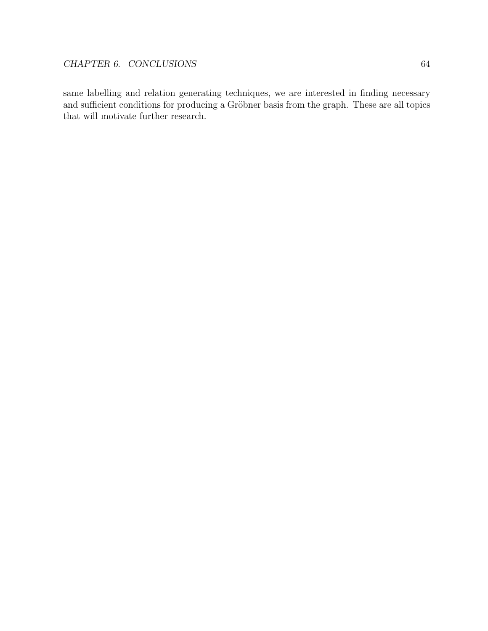same labelling and relation generating techniques, we are interested in finding necessary and sufficient conditions for producing a Gröbner basis from the graph. These are all topics that will motivate further research.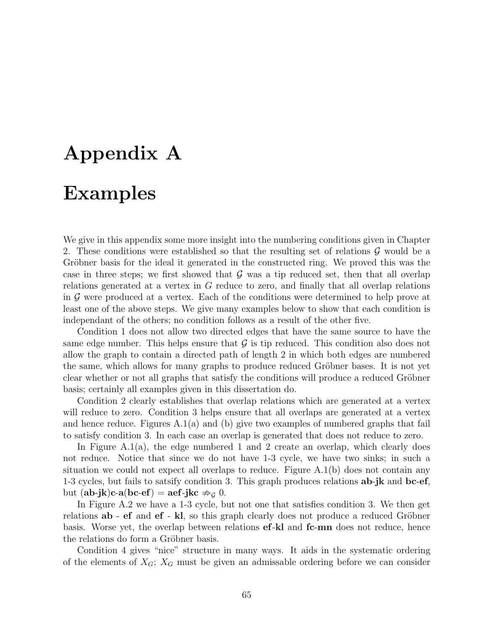# **Appendix A**

# **Examples**

We give in this appendix some more insight into the numbering conditions given in Chapter 2. These conditions were established so that the resulting set of relations  $\mathcal G$  would be a Gröbner basis for the ideal it generated in the constructed ring. We proved this was the case in three steps; we first showed that  $\mathcal G$  was a tip reduced set, then that all overlap relations generated at a vertex in G reduce to zero, and finally that all overlap relations in  $\mathcal G$  were produced at a vertex. Each of the conditions were determined to help prove at least one of the above steps. We give many examples below to show that each condition is independant of the others; no condition follows as a result of the other five.

Condition 1 does not allow two directed edges that have the same source to have the same edge number. This helps ensure that  $\mathcal G$  is tip reduced. This condition also does not allow the graph to contain a directed path of length 2 in which both edges are numbered the same, which allows for many graphs to produce reduced Gröbner bases. It is not yet clear whether or not all graphs that satisfy the conditions will produce a reduced Gröbner basis; certainly all examples given in this dissertation do.

Condition 2 clearly establishes that overlap relations which are generated at a vertex will reduce to zero. Condition 3 helps ensure that all overlaps are generated at a vertex and hence reduce. Figures  $A(1(a))$  and (b) give two examples of numbered graphs that fail to satisfy condition 3. In each case an overlap is generated that does not reduce to zero.

In Figure A.1(a), the edge numbered 1 and 2 create an overlap, which clearly does not reduce. Notice that since we do not have 1-3 cycle, we have two sinks; in such a situation we could not expect all overlaps to reduce. Figure  $A.1(b)$  does not contain any 1-3 cycles, but fails to satsify condition 3. This graph produces relations **ab**-**jk** and **bc**-**ef**, but  $(ab\text{-}jk)c-a(bc\text{-}ef) = aef\text{-}jkc \nRightarrow_{\mathcal{G}} 0.$ 

In Figure A.2 we have a 1-3 cycle, but not one that satisfies condition 3. We then get relations **ab** - **ef** and **ef** - **kl**, so this graph clearly does not produce a reduced Gröbner basis. Worse yet, the overlap between relations **ef**-**kl** and **fc**-**mn** does not reduce, hence the relations do form a Gröbner basis.

Condition 4 gives "nice" structure in many ways. It aids in the systematic ordering of the elements of  $X_G$ ;  $X_G$  must be given an admissable ordering before we can consider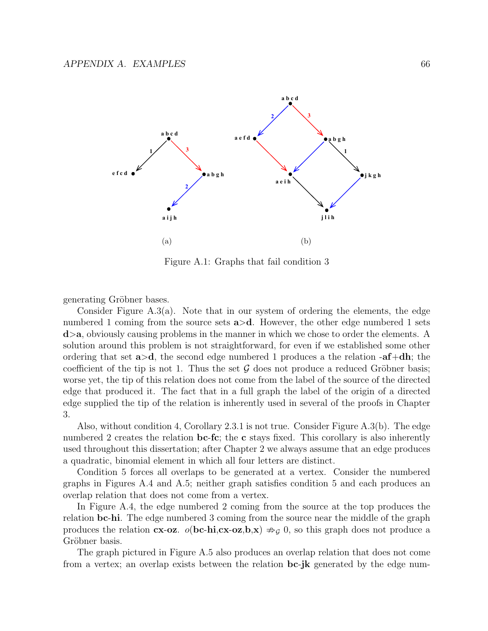

Figure A.1: Graphs that fail condition 3

generating Gröbner bases.

Consider Figure A.3(a). Note that in our system of ordering the elements, the edge numbered 1 coming from the source sets **a**>**d**. However, the other edge numbered 1 sets **d**>**a**, obviously causing problems in the manner in which we chose to order the elements. A solution around this problem is not straightforward, for even if we established some other ordering that set **a**>**d**, the second edge numbered 1 produces a the relation -**af**+**dh**; the coefficient of the tip is not 1. Thus the set  $\mathcal G$  does not produce a reduced Gröbner basis; worse yet, the tip of this relation does not come from the label of the source of the directed edge that produced it. The fact that in a full graph the label of the origin of a directed edge supplied the tip of the relation is inherently used in several of the proofs in Chapter 3.

Also, without condition 4, Corollary 2.3.1 is not true. Consider Figure A.3(b). The edge numbered 2 creates the relation **bc-fc**; the **c** stays fixed. This corollary is also inherently used throughout this dissertation; after Chapter 2 we always assume that an edge produces a quadratic, binomial element in which all four letters are distinct.

Condition 5 forces all overlaps to be generated at a vertex. Consider the numbered graphs in Figures A.4 and A.5; neither graph satisfies condition 5 and each produces an overlap relation that does not come from a vertex.

In Figure A.4, the edge numbered 2 coming from the source at the top produces the relation **bc**-**hi**. The edge numbered 3 coming from the source near the middle of the graph produces the relation **cx**-**oz**.  $o(\mathbf{bc-hi,cx-oz,b,x}) \nRightarrow_{\mathcal{G}} 0$ , so this graph does not produce a Gröbner basis.

The graph pictured in Figure A.5 also produces an overlap relation that does not come from a vertex; an overlap exists between the relation **bc**-**jk** generated by the edge num-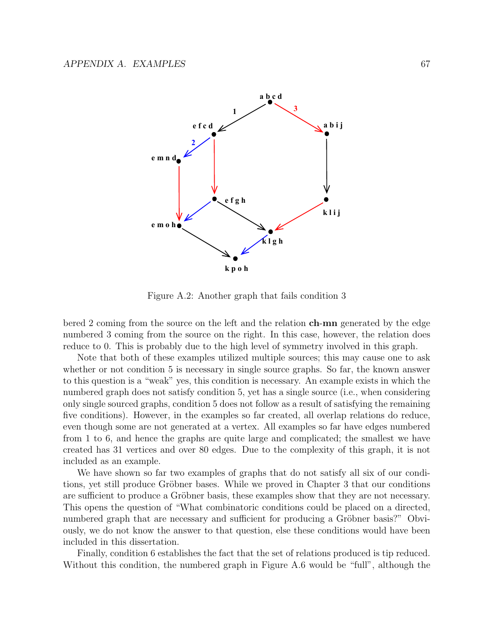

Figure A.2: Another graph that fails condition 3

bered 2 coming from the source on the left and the relation **ch**-**mn** generated by the edge numbered 3 coming from the source on the right. In this case, however, the relation does reduce to 0. This is probably due to the high level of symmetry involved in this graph.

Note that both of these examples utilized multiple sources; this may cause one to ask whether or not condition 5 is necessary in single source graphs. So far, the known answer to this question is a "weak" yes, this condition is necessary. An example exists in which the numbered graph does not satisfy condition 5, yet has a single source (i.e., when considering only single sourced graphs, condition 5 does not follow as a result of satisfying the remaining five conditions). However, in the examples so far created, all overlap relations do reduce, even though some are not generated at a vertex. All examples so far have edges numbered from 1 to 6, and hence the graphs are quite large and complicated; the smallest we have created has 31 vertices and over 80 edges. Due to the complexity of this graph, it is not included as an example.

We have shown so far two examples of graphs that do not satisfy all six of our conditions, yet still produce Gröbner bases. While we proved in Chapter 3 that our conditions are sufficient to produce a Gröbner basis, these examples show that they are not necessary. This opens the question of "What combinatoric conditions could be placed on a directed, numbered graph that are necessary and sufficient for producing a Gröbner basis?" Obviously, we do not know the answer to that question, else these conditions would have been included in this dissertation.

Finally, condition 6 establishes the fact that the set of relations produced is tip reduced. Without this condition, the numbered graph in Figure A.6 would be "full", although the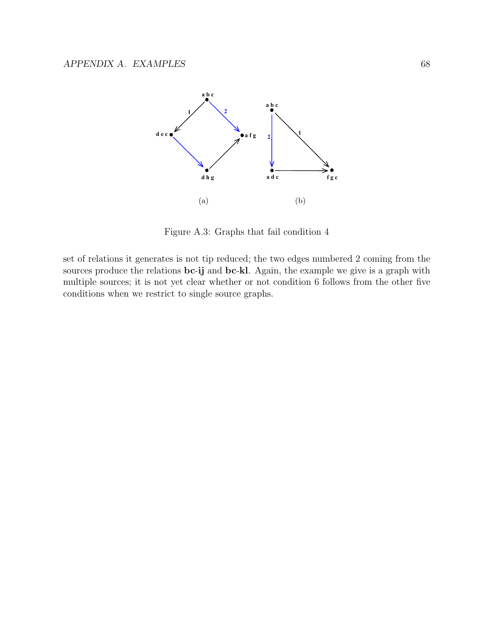

Figure A.3: Graphs that fail condition 4

set of relations it generates is not tip reduced; the two edges numbered 2 coming from the sources produce the relations **bc**-**ij** and **bc**-**kl**. Again, the example we give is a graph with multiple sources; it is not yet clear whether or not condition 6 follows from the other five conditions when we restrict to single source graphs.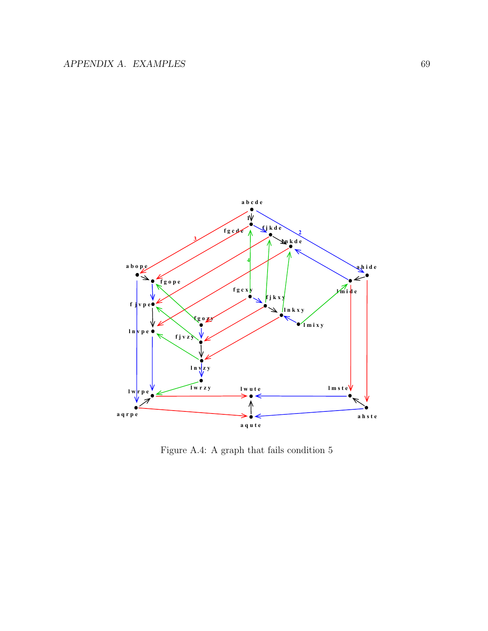

Figure A.4: A graph that fails condition 5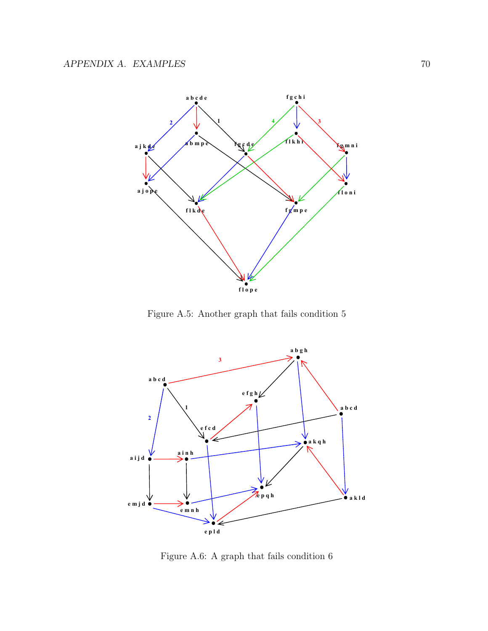

Figure A.5: Another graph that fails condition 5



Figure A.6: A graph that fails condition 6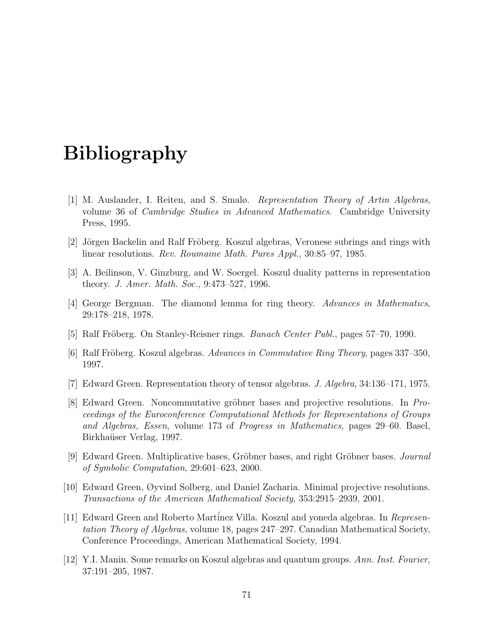# **Bibliography**

- [1] M. Auslander, I. Reiten, and S. Smalø. Representation Theory of Artin Algebras, volume 36 of Cambridge Studies in Advanced Mathematics. Cambridge University Press, 1995.
- [2] Jörgen Backelin and Ralf Fröberg. Koszul algebras, Veronese subrings and rings with linear resolutions. Rev. Roumaine Math. Pures Appl., 30:85–97, 1985.
- [3] A. Beilinson, V. Ginzburg, and W. Soergel. Koszul duality patterns in representation theory. J. Amer. Math. Soc., 9:473–527, 1996.
- [4] George Bergman. The diamond lemma for ring theory. Advances in Mathematics, 29:178–218, 1978.
- [5] Ralf Fröberg. On Stanley-Reisner rings. *Banach Center Publ.*, pages 57–70, 1990.
- $|6|$  Ralf Fröberg. Koszul algebras. Advances in Commutative Ring Theory, pages 337–350, 1997.
- [7] Edward Green. Representation theory of tensor algebras. J. Algebra, 34:136–171, 1975.
- [8] Edward Green. Noncommutative gröbner bases and projective resolutions. In Proceedings of the Euroconference Computational Methods for Representations of Groups and Algebras, Essen, volume 173 of Progress in Mathematics, pages 29–60. Basel, Birkhaüser Verlag, 1997.
- [9] Edward Green. Multiplicative bases, Gröbner bases, and right Gröbner bases. *Journal* of Symbolic Computation, 29:601–623, 2000.
- [10] Edward Green, Øyvind Solberg, and Daniel Zacharia. Minimal projective resolutions. Transactions of the American Mathematical Society, 353:2915–2939, 2001.
- [11] Edward Green and Roberto Martinez Villa. Koszul and yoneda algebras. In Representation Theory of Algebras, volume 18, pages 247–297. Canadian Mathematical Society, Conference Proceedings, American Mathematical Society, 1994.
- [12] Y.I. Manin. Some remarks on Koszul algebras and quantum groups. Ann. Inst. Fourier, 37:191–205, 1987.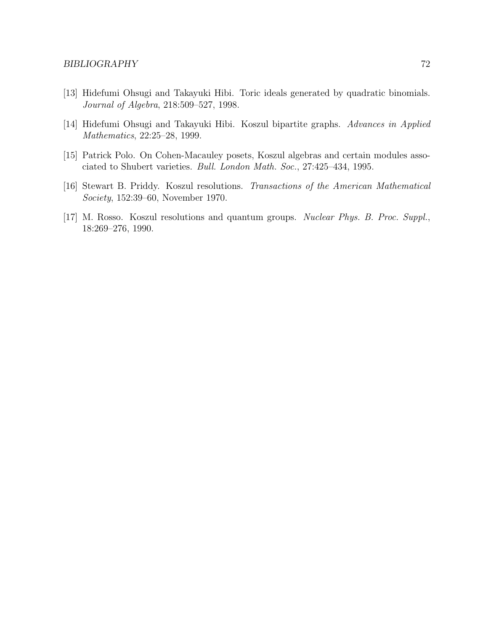- [13] Hidefumi Ohsugi and Takayuki Hibi. Toric ideals generated by quadratic binomials. Journal of Algebra, 218:509–527, 1998.
- [14] Hidefumi Ohsugi and Takayuki Hibi. Koszul bipartite graphs. Advances in Applied Mathematics, 22:25–28, 1999.
- [15] Patrick Polo. On Cohen-Macauley posets, Koszul algebras and certain modules associated to Shubert varieties. Bull. London Math. Soc., 27:425–434, 1995.
- [16] Stewart B. Priddy. Koszul resolutions. Transactions of the American Mathematical Society, 152:39–60, November 1970.
- [17] M. Rosso. Koszul resolutions and quantum groups. Nuclear Phys. B. Proc. Suppl., 18:269–276, 1990.